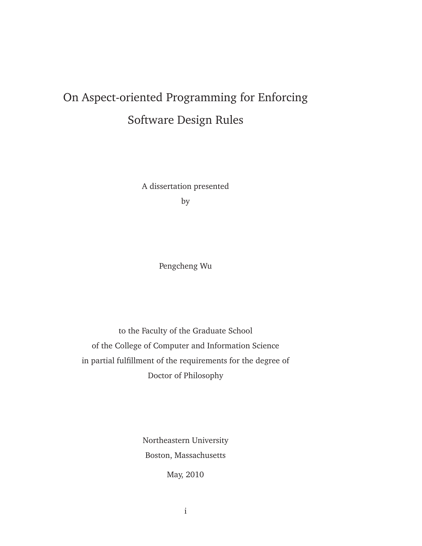# On Aspect-oriented Programming for Enforcing Software Design Rules

A dissertation presented by

Pengcheng Wu

to the Faculty of the Graduate School of the College of Computer and Information Science in partial fulfillment of the requirements for the degree of Doctor of Philosophy

> Northeastern University Boston, Massachusetts

> > May, 2010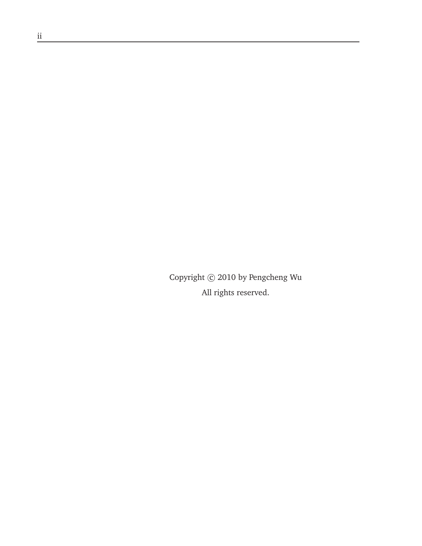Copyright  $\odot$  2010 by Pengcheng Wu All rights reserved.

<u> 1989 - Johann Barn, mars ar breis besteht fan de Fryske kommer</u>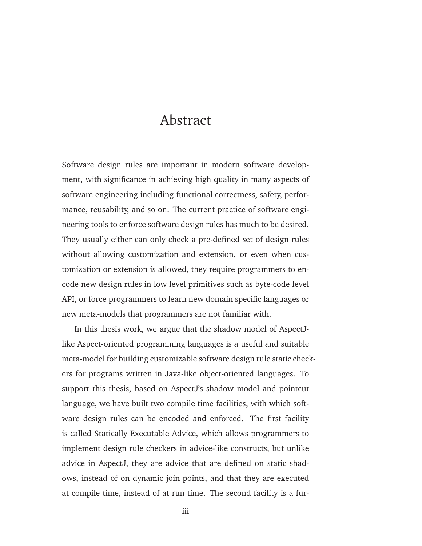### Abstract

Software design rules are important in modern software development, with significance in achieving high quality in many aspects of software engineering including functional correctness, safety, performance, reusability, and so on. The current practice of software engineering tools to enforce software design rules has much to be desired. They usually either can only check a pre-defined set of design rules without allowing customization and extension, or even when customization or extension is allowed, they require programmers to encode new design rules in low level primitives such as byte-code level API, or force programmers to learn new domain specific languages or new meta-models that programmers are not familiar with.

In this thesis work, we argue that the shadow model of AspectJlike Aspect-oriented programming languages is a useful and suitable meta-model for building customizable software design rule static checkers for programs written in Java-like object-oriented languages. To support this thesis, based on AspectJ's shadow model and pointcut language, we have built two compile time facilities, with which software design rules can be encoded and enforced. The first facility is called Statically Executable Advice, which allows programmers to implement design rule checkers in advice-like constructs, but unlike advice in AspectJ, they are advice that are defined on static shadows, instead of on dynamic join points, and that they are executed at compile time, instead of at run time. The second facility is a fur-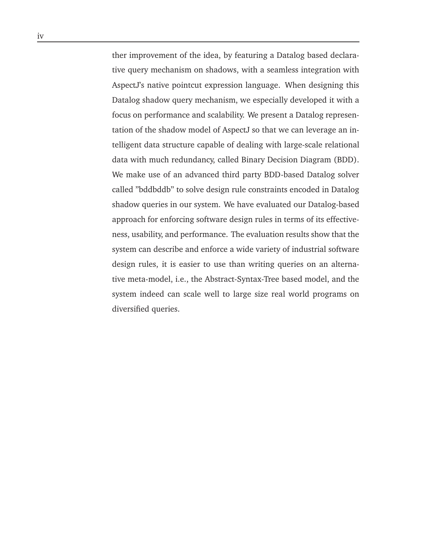ther improvement of the idea, by featuring a Datalog based declarative query mechanism on shadows, with a seamless integration with AspectJ's native pointcut expression language. When designing this Datalog shadow query mechanism, we especially developed it with a focus on performance and scalability. We present a Datalog representation of the shadow model of AspectJ so that we can leverage an intelligent data structure capable of dealing with large-scale relational data with much redundancy, called Binary Decision Diagram (BDD). We make use of an advanced third party BDD-based Datalog solver called "bddbddb" to solve design rule constraints encoded in Datalog shadow queries in our system. We have evaluated our Datalog-based approach for enforcing software design rules in terms of its effectiveness, usability, and performance. The evaluation results show that the system can describe and enforce a wide variety of industrial software design rules, it is easier to use than writing queries on an alternative meta-model, i.e., the Abstract-Syntax-Tree based model, and the system indeed can scale well to large size real world programs on diversified queries.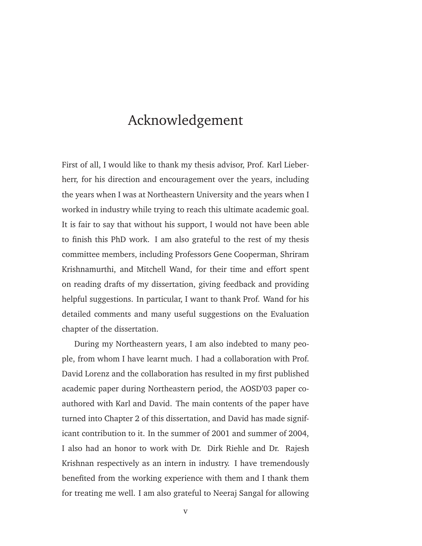### Acknowledgement

First of all, I would like to thank my thesis advisor, Prof. Karl Lieberherr, for his direction and encouragement over the years, including the years when I was at Northeastern University and the years when I worked in industry while trying to reach this ultimate academic goal. It is fair to say that without his support, I would not have been able to finish this PhD work. I am also grateful to the rest of my thesis committee members, including Professors Gene Cooperman, Shriram Krishnamurthi, and Mitchell Wand, for their time and effort spent on reading drafts of my dissertation, giving feedback and providing helpful suggestions. In particular, I want to thank Prof. Wand for his detailed comments and many useful suggestions on the Evaluation chapter of the dissertation.

During my Northeastern years, I am also indebted to many people, from whom I have learnt much. I had a collaboration with Prof. David Lorenz and the collaboration has resulted in my first published academic paper during Northeastern period, the AOSD'03 paper coauthored with Karl and David. The main contents of the paper have turned into Chapter 2 of this dissertation, and David has made significant contribution to it. In the summer of 2001 and summer of 2004, I also had an honor to work with Dr. Dirk Riehle and Dr. Rajesh Krishnan respectively as an intern in industry. I have tremendously benefited from the working experience with them and I thank them for treating me well. I am also grateful to Neeraj Sangal for allowing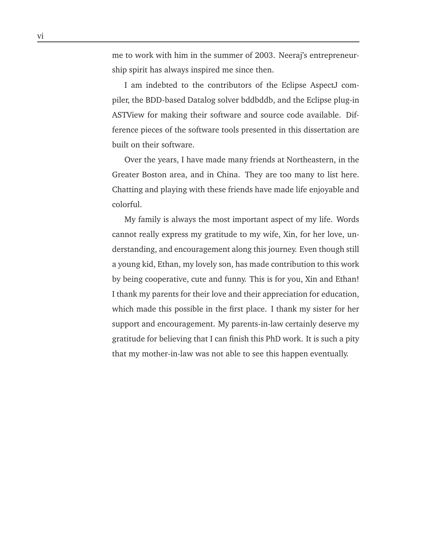me to work with him in the summer of 2003. Neeraj's entrepreneurship spirit has always inspired me since then.

I am indebted to the contributors of the Eclipse AspectJ compiler, the BDD-based Datalog solver bddbddb, and the Eclipse plug-in ASTView for making their software and source code available. Difference pieces of the software tools presented in this dissertation are built on their software.

Over the years, I have made many friends at Northeastern, in the Greater Boston area, and in China. They are too many to list here. Chatting and playing with these friends have made life enjoyable and colorful.

My family is always the most important aspect of my life. Words cannot really express my gratitude to my wife, Xin, for her love, understanding, and encouragement along this journey. Even though still a young kid, Ethan, my lovely son, has made contribution to this work by being cooperative, cute and funny. This is for you, Xin and Ethan! I thank my parents for their love and their appreciation for education, which made this possible in the first place. I thank my sister for her support and encouragement. My parents-in-law certainly deserve my gratitude for believing that I can finish this PhD work. It is such a pity that my mother-in-law was not able to see this happen eventually.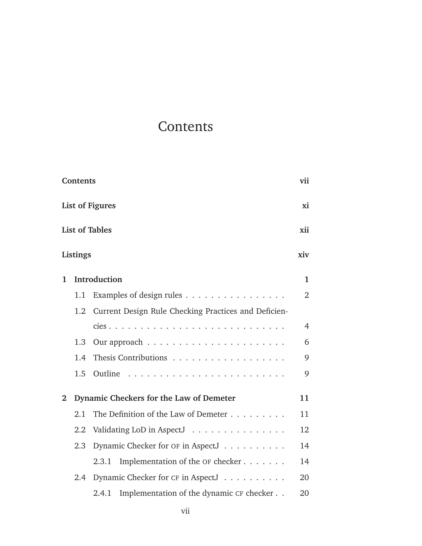## **Contents**

|                              | <b>Contents</b> |                                                          | vii            |
|------------------------------|-----------------|----------------------------------------------------------|----------------|
| <b>List of Figures</b>       |                 |                                                          |                |
| <b>List of Tables</b><br>xii |                 |                                                          |                |
|                              | Listings        |                                                          | xiv            |
| 1                            |                 | Introduction                                             | $\mathbf{1}$   |
|                              | 1.1             | Examples of design rules $\dots \dots \dots \dots \dots$ | $\overline{2}$ |
|                              | 1.2             | Current Design Rule Checking Practices and Deficien-     |                |
|                              |                 |                                                          | $\overline{4}$ |
|                              | 1.3             |                                                          | 6              |
|                              | 1.4             | Thesis Contributions                                     | 9              |
|                              | 1.5             |                                                          | 9              |
| $\mathbf{2}$                 |                 | Dynamic Checkers for the Law of Demeter                  | 11             |
|                              | 2.1             | The Definition of the Law of Demeter                     | 11             |
|                              | 2.2             | Validating LoD in AspectJ                                | 12             |
|                              | 2.3             | Dynamic Checker for OF in AspectJ                        | 14             |
|                              |                 | Implementation of the OF checker<br>2.3.1                | 14             |
|                              | $2.4^{\circ}$   | Dynamic Checker for CF in AspectJ                        | 20             |
|                              |                 | Implementation of the dynamic CF checker<br>2.4.1        | 20             |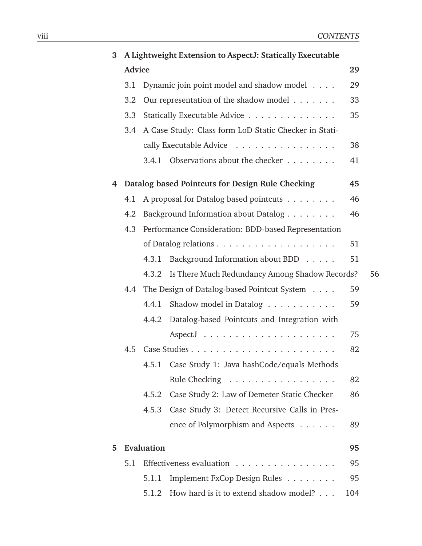| 3 |               |            | A Lightweight Extension to AspectJ: Statically Executable |     |    |
|---|---------------|------------|-----------------------------------------------------------|-----|----|
|   | <b>Advice</b> |            |                                                           | 29  |    |
|   | 3.1           |            | Dynamic join point model and shadow model                 | 29  |    |
|   | 3.2           |            | Our representation of the shadow model                    | 33  |    |
|   | 3.3           |            | Statically Executable Advice                              | 35  |    |
|   | 3.4           |            | A Case Study: Class form LoD Static Checker in Stati-     |     |    |
|   |               |            | cally Executable Advice                                   | 38  |    |
|   |               | 3.4.1      | Observations about the checker                            | 41  |    |
|   |               |            | 4 Datalog based Pointcuts for Design Rule Checking        | 45  |    |
|   | 4.1           |            | A proposal for Datalog based pointcuts                    | 46  |    |
|   | 4.2           |            | Background Information about Datalog                      | 46  |    |
|   | 4.3           |            | Performance Consideration: BDD-based Representation       |     |    |
|   |               |            |                                                           | 51  |    |
|   |               | 4.3.1      | Background Information about BDD                          | 51  |    |
|   |               | 4.3.2      | Is There Much Redundancy Among Shadow Records?            |     | 56 |
|   | 4.4           |            | The Design of Datalog-based Pointcut System               | 59  |    |
|   |               | 4.4.1      | Shadow model in Datalog                                   | 59  |    |
|   |               | 4.4.2      | Datalog-based Pointcuts and Integration with              |     |    |
|   |               |            |                                                           | 75  |    |
|   | 4.5           |            |                                                           | 82  |    |
|   |               | 4.5.1      | Case Study 1: Java hashCode/equals Methods                |     |    |
|   |               |            | Rule Checking                                             | 82  |    |
|   |               | 4.5.2      | Case Study 2: Law of Demeter Static Checker               | 86  |    |
|   |               | 4.5.3      | Case Study 3: Detect Recursive Calls in Pres-             |     |    |
|   |               |            | ence of Polymorphism and Aspects                          | 89  |    |
| 5 |               | Evaluation |                                                           | 95  |    |
|   | 5.1           |            | Effectiveness evaluation                                  | 95  |    |
|   |               | 5.1.1      | Implement FxCop Design Rules                              | 95  |    |
|   |               | 5.1.2      | How hard is it to extend shadow model?                    | 104 |    |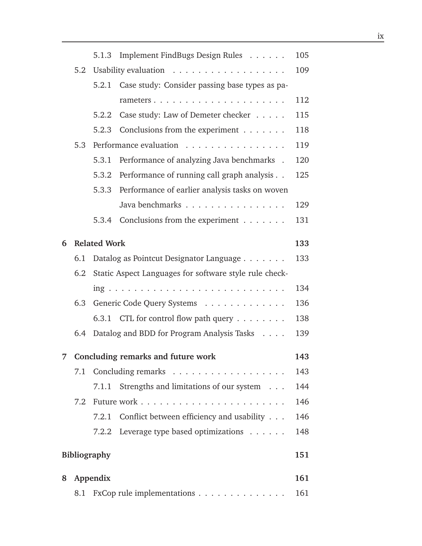|   |     | 5.1.3               | Implement FindBugs Design Rules                        | 105 |
|---|-----|---------------------|--------------------------------------------------------|-----|
|   | 5.2 |                     |                                                        | 109 |
|   |     | 5.2.1               | Case study: Consider passing base types as pa-         |     |
|   |     |                     |                                                        | 112 |
|   |     | 5.2.2               | Case study: Law of Demeter checker                     | 115 |
|   |     | 5.2.3               | Conclusions from the experiment                        | 118 |
|   | 5.3 |                     | Performance evaluation                                 | 119 |
|   |     | 5.3.1               | Performance of analyzing Java benchmarks .             | 120 |
|   |     | 5.3.2               | Performance of running call graph analysis             | 125 |
|   |     | 5.3.3               | Performance of earlier analysis tasks on woven         |     |
|   |     |                     | Java benchmarks                                        | 129 |
|   |     | 5.3.4               | Conclusions from the experiment                        | 131 |
| 6 |     | <b>Related Work</b> |                                                        | 133 |
|   | 6.1 |                     | Datalog as Pointcut Designator Language                | 133 |
|   | 6.2 |                     | Static Aspect Languages for software style rule check- |     |
|   |     |                     |                                                        | 134 |
|   | 6.3 |                     | Generic Code Query Systems                             | 136 |
|   |     |                     | 6.3.1 CTL for control flow path query $\dots \dots$    | 138 |
|   | 6.4 |                     | Datalog and BDD for Program Analysis Tasks             | 139 |
|   |     |                     | 7 Concluding remarks and future work                   | 143 |
|   | 7.1 |                     |                                                        | 143 |
|   |     |                     | 7.1.1 Strengths and limitations of our system          | 144 |
|   |     |                     |                                                        | 146 |
|   |     | 7.2.1               | Conflict between efficiency and usability              | 146 |
|   |     |                     | 7.2.2 Leverage type based optimizations                | 148 |
|   |     | <b>Bibliography</b> |                                                        | 151 |
| 8 |     | Appendix            |                                                        | 161 |
|   |     |                     | 8.1 FxCop rule implementations                         | 161 |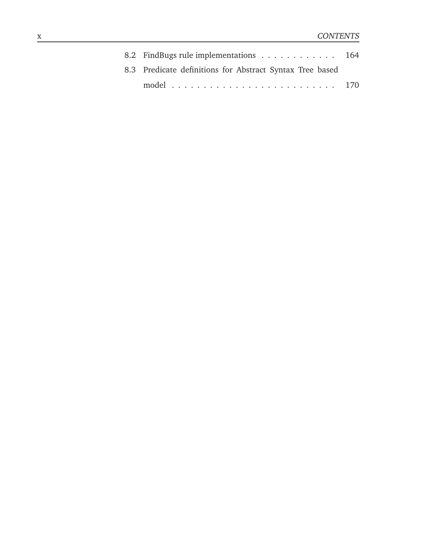| 8.2 FindBugs rule implementations 164                    |  |
|----------------------------------------------------------|--|
| 8.3 Predicate definitions for Abstract Syntax Tree based |  |
|                                                          |  |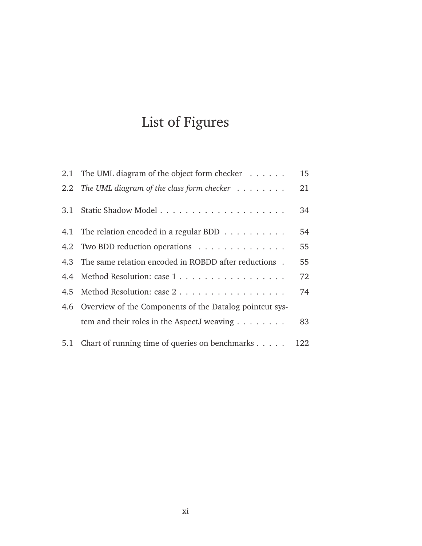# List of Figures

|     | 2.1 The UML diagram of the object form checker               | 15  |
|-----|--------------------------------------------------------------|-----|
|     | 2.2 The UML diagram of the class form checker $\dots \dots$  | 21  |
|     |                                                              | 34  |
|     | 4.1 The relation encoded in a regular BDD                    | 54  |
|     | 4.2 Two BDD reduction operations                             | 55  |
|     | 4.3 The same relation encoded in ROBDD after reductions.     | 55  |
| 4.4 | Method Resolution: case 1                                    | 72  |
|     | 4.5 Method Resolution: case 2                                | 74  |
|     | 4.6 Overview of the Components of the Datalog point cut sys- |     |
|     | tem and their roles in the AspectJ weaving $\dots \dots$     | 83  |
|     | 5.1 Chart of running time of queries on benchmarks           | 122 |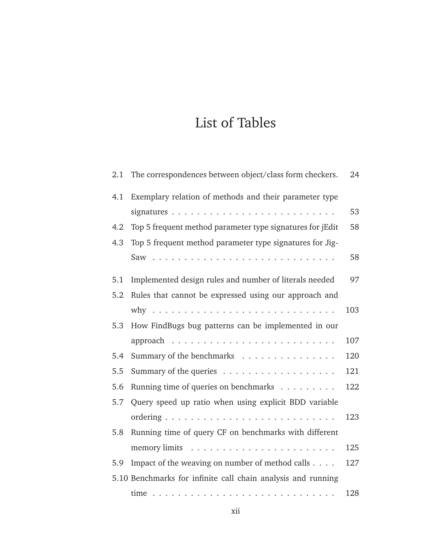## List of Tables

| $2.1\,$ | The correspondences between object/class form checkers.      | 24  |
|---------|--------------------------------------------------------------|-----|
| 4.1     | Exemplary relation of methods and their parameter type       |     |
|         |                                                              | 53  |
| 4.2     | Top 5 frequent method parameter type signatures for jEdit    | 58  |
| 4.3     | Top 5 frequent method parameter type signatures for Jig-     |     |
|         |                                                              | 58  |
| 5.1     | Implemented design rules and number of literals needed       | 97  |
| 5.2     | Rules that cannot be expressed using our approach and        |     |
|         |                                                              | 103 |
| 5.3     | How FindBugs bug patterns can be implemented in our          |     |
|         |                                                              | 107 |
| 5.4     | Summary of the benchmarks                                    | 120 |
| 5.5     | Summary of the queries $\dots \dots \dots \dots \dots \dots$ | 121 |
| 5.6     | Running time of queries on benchmarks                        | 122 |
| 5.7     | Query speed up ratio when using explicit BDD variable        |     |
|         |                                                              | 123 |
| 5.8     | Running time of query CF on benchmarks with different        |     |
|         |                                                              | 125 |
| 5.9     | Impact of the weaving on number of method calls              | 127 |
|         | 5.10 Benchmarks for infinite call chain analysis and running |     |
|         |                                                              | 128 |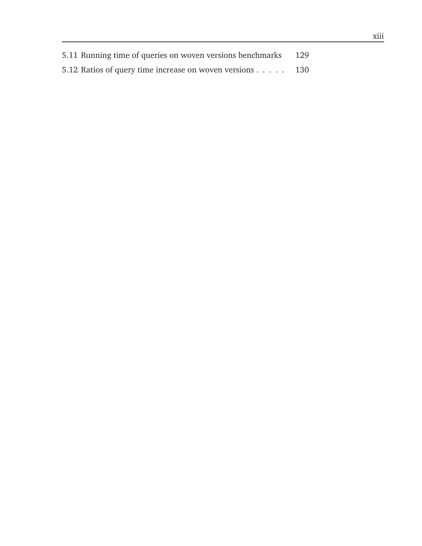| 5.11 Running time of queries on woven versions benchmarks 129 |  |
|---------------------------------------------------------------|--|
| 5.12 Ratios of query time increase on woven versions 130      |  |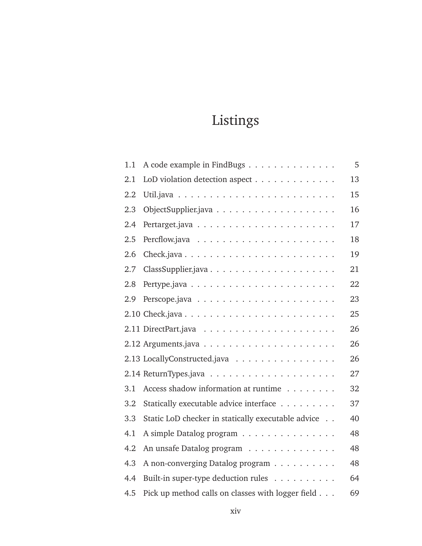## Listings

| 1.1 | A code example in FindBugs                         | 5  |
|-----|----------------------------------------------------|----|
| 2.1 | LoD violation detection aspect                     | 13 |
| 2.2 |                                                    | 15 |
| 2.3 |                                                    | 16 |
| 2.4 |                                                    | 17 |
| 2.5 |                                                    | 18 |
| 2.6 |                                                    | 19 |
| 2.7 |                                                    | 21 |
| 2.8 |                                                    | 22 |
| 2.9 |                                                    | 23 |
|     |                                                    | 25 |
|     |                                                    | 26 |
|     |                                                    | 26 |
|     | 2.13 LocallyConstructed.java                       | 26 |
|     |                                                    | 27 |
| 3.1 | Access shadow information at runtime               | 32 |
| 3.2 | Statically executable advice interface             | 37 |
| 3.3 | Static LoD checker in statically executable advice | 40 |
| 4.1 | A simple Datalog program                           | 48 |
| 4.2 | An unsafe Datalog program                          | 48 |
| 4.3 | A non-converging Datalog program                   | 48 |
| 4.4 | Built-in super-type deduction rules                | 64 |
| 4.5 | Pick up method calls on classes with logger field  | 69 |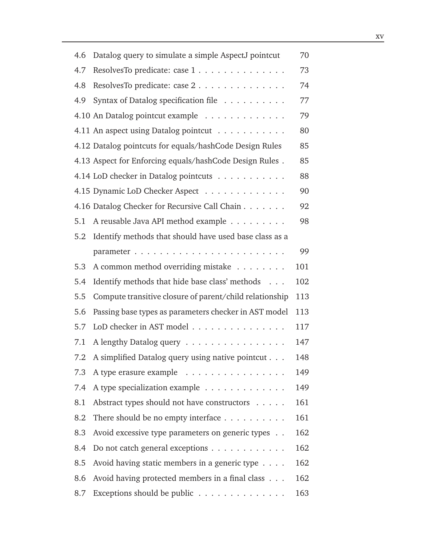| 4.6 | Datalog query to simulate a simple AspectJ pointcut     | 70  |
|-----|---------------------------------------------------------|-----|
| 4.7 | ResolvesTo predicate: case 1                            | 73  |
| 4.8 | ResolvesTo predicate: case 2                            | 74  |
| 4.9 | Syntax of Datalog specification file                    | 77  |
|     | 4.10 An Datalog pointcut example                        | 79  |
|     | 4.11 An aspect using Datalog pointcut                   | 80  |
|     | 4.12 Datalog pointcuts for equals/hashCode Design Rules | 85  |
|     | 4.13 Aspect for Enforcing equals/hashCode Design Rules. | 85  |
|     | 4.14 LoD checker in Datalog pointcuts                   | 88  |
|     | 4.15 Dynamic LoD Checker Aspect                         | 90  |
|     | 4.16 Datalog Checker for Recursive Call Chain           | 92  |
| 5.1 | A reusable Java API method example                      | 98  |
| 5.2 | Identify methods that should have used base class as a  |     |
|     |                                                         | 99  |
| 5.3 | A common method overriding mistake                      | 101 |
| 5.4 | Identify methods that hide base class' methods          | 102 |
| 5.5 | Compute transitive closure of parent/child relationship | 113 |
| 5.6 | Passing base types as parameters checker in AST model   | 113 |
| 5.7 | LoD checker in AST model                                | 117 |
| 7.1 | A lengthy Datalog query                                 | 147 |
|     | 7.2 A simplified Datalog query using native pointcut    | 148 |
| 7.3 | A type erasure example                                  | 149 |
| 7.4 | A type specialization example                           | 149 |
| 8.1 | Abstract types should not have constructors             | 161 |
| 8.2 | There should be no empty interface $\dots$              | 161 |
| 8.3 | Avoid excessive type parameters on generic types        | 162 |
| 8.4 | Do not catch general exceptions                         | 162 |
| 8.5 | Avoid having static members in a generic type $\dots$ . | 162 |
| 8.6 | Avoid having protected members in a final class         | 162 |
| 8.7 | Exceptions should be public                             | 163 |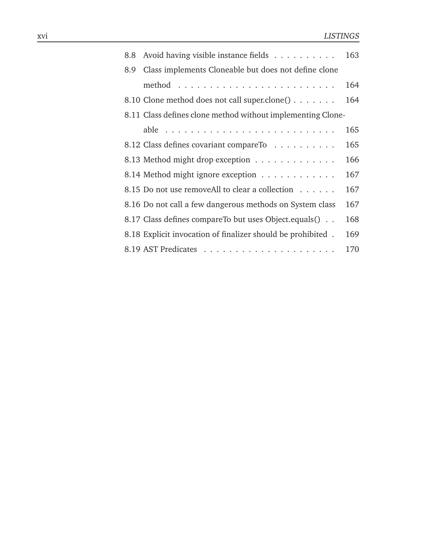| 8.8 | Avoid having visible instance fields                          | 163 |
|-----|---------------------------------------------------------------|-----|
| 8.9 | Class implements Cloneable but does not define clone          |     |
|     |                                                               | 164 |
|     | 8.10 Clone method does not call super.clone() $\ldots \ldots$ | 164 |
|     | 8.11 Class defines clone method without implementing Clone-   |     |
|     |                                                               | 165 |
|     | 8.12 Class defines covariant compareTo                        | 165 |
|     | 8.13 Method might drop exception                              | 166 |
|     | 8.14 Method might ignore exception                            | 167 |
|     | 8.15 Do not use removeAll to clear a collection               | 167 |
|     | 8.16 Do not call a few dangerous methods on System class      | 167 |
|     | 8.17 Class defines compare To but uses Object. equals ()      | 168 |
|     | 8.18 Explicit invocation of finalizer should be prohibited.   | 169 |
|     |                                                               | 170 |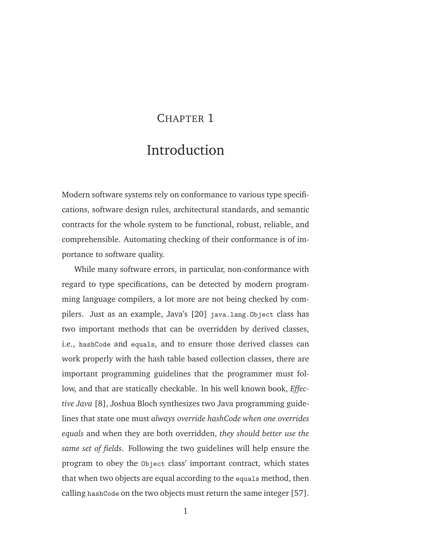#### CHAPTER 1

### Introduction

Modern software systems rely on conformance to various type specifications, software design rules, architectural standards, and semantic contracts for the whole system to be functional, robust, reliable, and comprehensible. Automating checking of their conformance is of importance to software quality.

While many software errors, in particular, non-conformance with regard to type specifications, can be detected by modern programming language compilers, a lot more are not being checked by compilers. Just as an example, Java's [20] java.lang.Object class has two important methods that can be overridden by derived classes, i.e., hashCode and equals, and to ensure those derived classes can work properly with the hash table based collection classes, there are important programming guidelines that the programmer must follow, and that are statically checkable. In his well known book, *Effective Java* [8], Joshua Bloch synthesizes two Java programming guidelines that state one must *always override hashCode when one overrides equals* and when they are both overridden, *they should better use the same set of fields*. Following the two guidelines will help ensure the program to obey the Object class' important contract, which states that when two objects are equal according to the equals method, then calling hashCode on the two objects must return the same integer [57].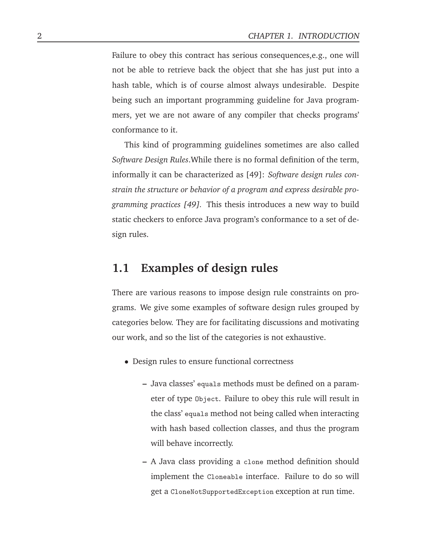Failure to obey this contract has serious consequences,e.g., one will not be able to retrieve back the object that she has just put into a hash table, which is of course almost always undesirable. Despite being such an important programming guideline for Java programmers, yet we are not aware of any compiler that checks programs' conformance to it.

This kind of programming guidelines sometimes are also called *Software Design Rules*.While there is no formal definition of the term, informally it can be characterized as [49]: *Software design rules constrain the structure or behavior of a program and express desirable programming practices [49].* This thesis introduces a new way to build static checkers to enforce Java program's conformance to a set of design rules.

#### **1.1 Examples of design rules**

There are various reasons to impose design rule constraints on programs. We give some examples of software design rules grouped by categories below. They are for facilitating discussions and motivating our work, and so the list of the categories is not exhaustive.

- Design rules to ensure functional correctness
	- **–** Java classes' equals methods must be defined on a parameter of type Object. Failure to obey this rule will result in the class' equals method not being called when interacting with hash based collection classes, and thus the program will behave incorrectly.
	- **–** A Java class providing a clone method definition should implement the Cloneable interface. Failure to do so will get a CloneNotSupportedException exception at run time.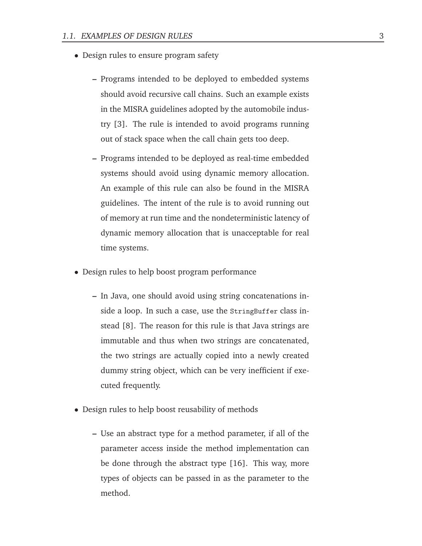- Design rules to ensure program safety
	- **–** Programs intended to be deployed to embedded systems should avoid recursive call chains. Such an example exists in the MISRA guidelines adopted by the automobile industry [3]. The rule is intended to avoid programs running out of stack space when the call chain gets too deep.
	- **–** Programs intended to be deployed as real-time embedded systems should avoid using dynamic memory allocation. An example of this rule can also be found in the MISRA guidelines. The intent of the rule is to avoid running out of memory at run time and the nondeterministic latency of dynamic memory allocation that is unacceptable for real time systems.
- Design rules to help boost program performance
	- **–** In Java, one should avoid using string concatenations inside a loop. In such a case, use the StringBuffer class instead [8]. The reason for this rule is that Java strings are immutable and thus when two strings are concatenated, the two strings are actually copied into a newly created dummy string object, which can be very inefficient if executed frequently.
- Design rules to help boost reusability of methods
	- **–** Use an abstract type for a method parameter, if all of the parameter access inside the method implementation can be done through the abstract type [16]. This way, more types of objects can be passed in as the parameter to the method.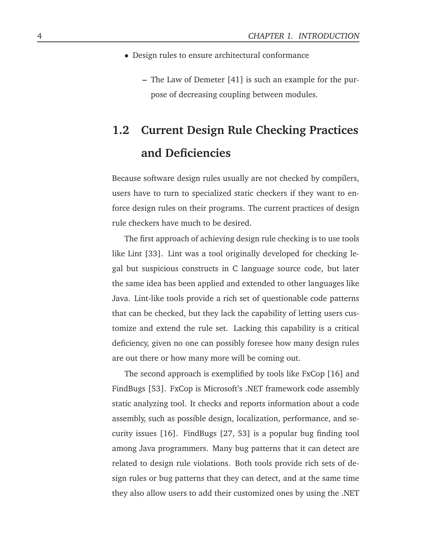- Design rules to ensure architectural conformance
	- **–** The Law of Demeter [41] is such an example for the purpose of decreasing coupling between modules.

## **1.2 Current Design Rule Checking Practices and Deficiencies**

Because software design rules usually are not checked by compilers, users have to turn to specialized static checkers if they want to enforce design rules on their programs. The current practices of design rule checkers have much to be desired.

The first approach of achieving design rule checking is to use tools like Lint [33]. Lint was a tool originally developed for checking legal but suspicious constructs in C language source code, but later the same idea has been applied and extended to other languages like Java. Lint-like tools provide a rich set of questionable code patterns that can be checked, but they lack the capability of letting users customize and extend the rule set. Lacking this capability is a critical deficiency, given no one can possibly foresee how many design rules are out there or how many more will be coming out.

The second approach is exemplified by tools like FxCop [16] and FindBugs [53]. FxCop is Microsoft's .NET framework code assembly static analyzing tool. It checks and reports information about a code assembly, such as possible design, localization, performance, and security issues [16]. FindBugs [27, 53] is a popular bug finding tool among Java programmers. Many bug patterns that it can detect are related to design rule violations. Both tools provide rich sets of design rules or bug patterns that they can detect, and at the same time they also allow users to add their customized ones by using the .NET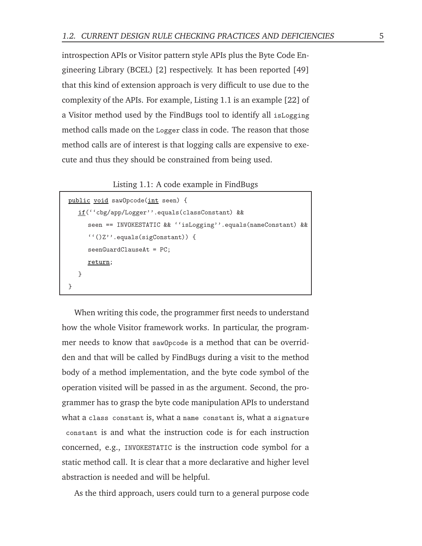introspection APIs or Visitor pattern style APIs plus the Byte Code Engineering Library (BCEL) [2] respectively. It has been reported [49] that this kind of extension approach is very difficult to use due to the complexity of the APIs. For example, Listing 1.1 is an example [22] of a Visitor method used by the FindBugs tool to identify all isLogging method calls made on the Logger class in code. The reason that those method calls are of interest is that logging calls are expensive to execute and thus they should be constrained from being used.

Listing 1.1: A code example in FindBugs

```
public void sawOpcode(int seen) {
  if(''cbg/app/Logger''.equals(classConstant) &&
     seen == INVOKESTATIC && ''isLogging''.equals(nameConstant) &&
      ''()Z''.equals(sigConstant)) {
     seenGuardClauseAt = PC;
     return;
  }
}
```
When writing this code, the programmer first needs to understand how the whole Visitor framework works. In particular, the programmer needs to know that sawOpcode is a method that can be overridden and that will be called by FindBugs during a visit to the method body of a method implementation, and the byte code symbol of the operation visited will be passed in as the argument. Second, the programmer has to grasp the byte code manipulation APIs to understand what a class constant is, what a name constant is, what a signature constant is and what the instruction code is for each instruction concerned, e.g., INVOKESTATIC is the instruction code symbol for a static method call. It is clear that a more declarative and higher level abstraction is needed and will be helpful.

As the third approach, users could turn to a general purpose code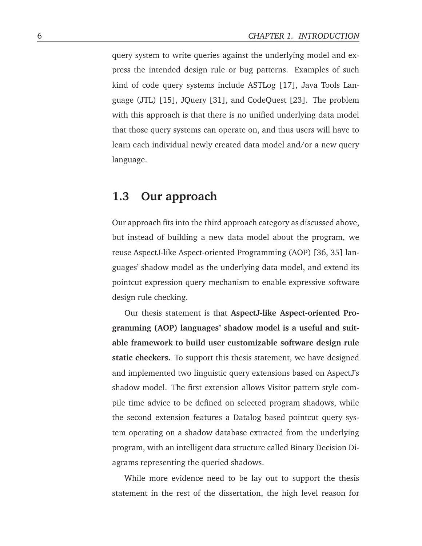query system to write queries against the underlying model and express the intended design rule or bug patterns. Examples of such kind of code query systems include ASTLog [17], Java Tools Language (JTL) [15], JQuery [31], and CodeQuest [23]. The problem with this approach is that there is no unified underlying data model that those query systems can operate on, and thus users will have to learn each individual newly created data model and/or a new query language.

### **1.3 Our approach**

Our approach fits into the third approach category as discussed above, but instead of building a new data model about the program, we reuse AspectJ-like Aspect-oriented Programming (AOP) [36, 35] languages' shadow model as the underlying data model, and extend its pointcut expression query mechanism to enable expressive software design rule checking.

Our thesis statement is that **AspectJ-like Aspect-oriented Programming (AOP) languages' shadow model is a useful and suitable framework to build user customizable software design rule static checkers.** To support this thesis statement, we have designed and implemented two linguistic query extensions based on AspectJ's shadow model. The first extension allows Visitor pattern style compile time advice to be defined on selected program shadows, while the second extension features a Datalog based pointcut query system operating on a shadow database extracted from the underlying program, with an intelligent data structure called Binary Decision Diagrams representing the queried shadows.

While more evidence need to be lay out to support the thesis statement in the rest of the dissertation, the high level reason for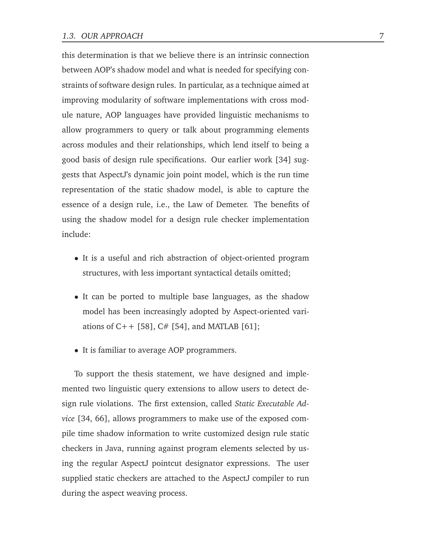this determination is that we believe there is an intrinsic connection between AOP's shadow model and what is needed for specifying constraints of software design rules. In particular, as a technique aimed at improving modularity of software implementations with cross module nature, AOP languages have provided linguistic mechanisms to allow programmers to query or talk about programming elements across modules and their relationships, which lend itself to being a good basis of design rule specifications. Our earlier work [34] suggests that AspectJ's dynamic join point model, which is the run time representation of the static shadow model, is able to capture the essence of a design rule, i.e., the Law of Demeter. The benefits of using the shadow model for a design rule checker implementation include:

- It is a useful and rich abstraction of object-oriented program structures, with less important syntactical details omitted;
- It can be ported to multiple base languages, as the shadow model has been increasingly adopted by Aspect-oriented variations of  $C++$  [58],  $C#$  [54], and MATLAB [61];
- It is familiar to average AOP programmers.

To support the thesis statement, we have designed and implemented two linguistic query extensions to allow users to detect design rule violations. The first extension, called *Static Executable Advice* [34, 66], allows programmers to make use of the exposed compile time shadow information to write customized design rule static checkers in Java, running against program elements selected by using the regular AspectJ pointcut designator expressions. The user supplied static checkers are attached to the AspectJ compiler to run during the aspect weaving process.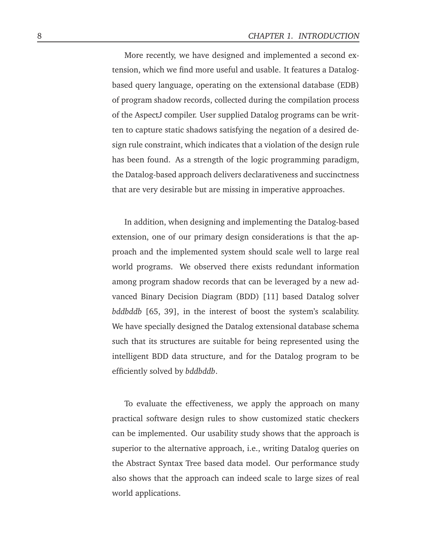More recently, we have designed and implemented a second extension, which we find more useful and usable. It features a Datalogbased query language, operating on the extensional database (EDB) of program shadow records, collected during the compilation process of the AspectJ compiler. User supplied Datalog programs can be written to capture static shadows satisfying the negation of a desired design rule constraint, which indicates that a violation of the design rule has been found. As a strength of the logic programming paradigm, the Datalog-based approach delivers declarativeness and succinctness that are very desirable but are missing in imperative approaches.

In addition, when designing and implementing the Datalog-based extension, one of our primary design considerations is that the approach and the implemented system should scale well to large real world programs. We observed there exists redundant information among program shadow records that can be leveraged by a new advanced Binary Decision Diagram (BDD) [11] based Datalog solver *bddbddb* [65, 39], in the interest of boost the system's scalability. We have specially designed the Datalog extensional database schema such that its structures are suitable for being represented using the intelligent BDD data structure, and for the Datalog program to be efficiently solved by *bddbddb*.

To evaluate the effectiveness, we apply the approach on many practical software design rules to show customized static checkers can be implemented. Our usability study shows that the approach is superior to the alternative approach, i.e., writing Datalog queries on the Abstract Syntax Tree based data model. Our performance study also shows that the approach can indeed scale to large sizes of real world applications.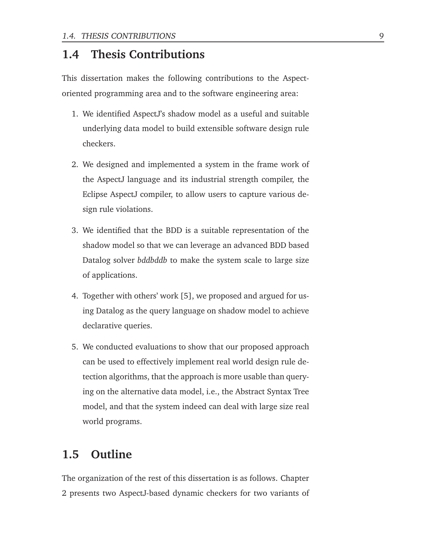### **1.4 Thesis Contributions**

This dissertation makes the following contributions to the Aspectoriented programming area and to the software engineering area:

- 1. We identified AspectJ's shadow model as a useful and suitable underlying data model to build extensible software design rule checkers.
- 2. We designed and implemented a system in the frame work of the AspectJ language and its industrial strength compiler, the Eclipse AspectJ compiler, to allow users to capture various design rule violations.
- 3. We identified that the BDD is a suitable representation of the shadow model so that we can leverage an advanced BDD based Datalog solver *bddbddb* to make the system scale to large size of applications.
- 4. Together with others' work [5], we proposed and argued for using Datalog as the query language on shadow model to achieve declarative queries.
- 5. We conducted evaluations to show that our proposed approach can be used to effectively implement real world design rule detection algorithms, that the approach is more usable than querying on the alternative data model, i.e., the Abstract Syntax Tree model, and that the system indeed can deal with large size real world programs.

### **1.5 Outline**

The organization of the rest of this dissertation is as follows. Chapter 2 presents two AspectJ-based dynamic checkers for two variants of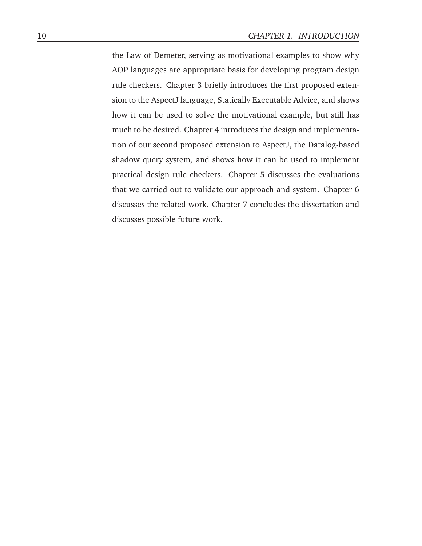the Law of Demeter, serving as motivational examples to show why AOP languages are appropriate basis for developing program design rule checkers. Chapter 3 briefly introduces the first proposed extension to the AspectJ language, Statically Executable Advice, and shows how it can be used to solve the motivational example, but still has much to be desired. Chapter 4 introduces the design and implementation of our second proposed extension to AspectJ, the Datalog-based shadow query system, and shows how it can be used to implement practical design rule checkers. Chapter 5 discusses the evaluations that we carried out to validate our approach and system. Chapter 6 discusses the related work. Chapter 7 concludes the dissertation and discusses possible future work.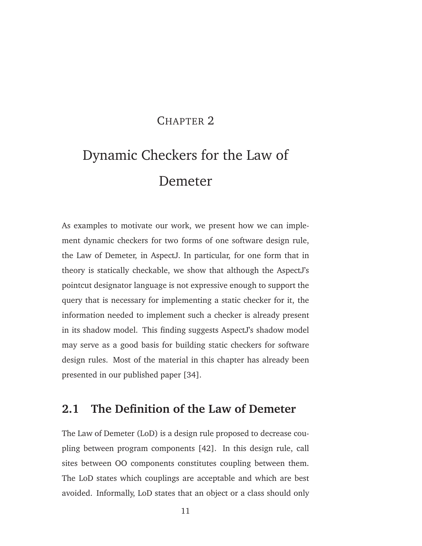### CHAPTER<sub>2</sub>

# Dynamic Checkers for the Law of Demeter

As examples to motivate our work, we present how we can implement dynamic checkers for two forms of one software design rule, the Law of Demeter, in AspectJ. In particular, for one form that in theory is statically checkable, we show that although the AspectJ's pointcut designator language is not expressive enough to support the query that is necessary for implementing a static checker for it, the information needed to implement such a checker is already present in its shadow model. This finding suggests AspectJ's shadow model may serve as a good basis for building static checkers for software design rules. Most of the material in this chapter has already been presented in our published paper [34].

### **2.1 The Definition of the Law of Demeter**

The Law of Demeter (LoD) is a design rule proposed to decrease coupling between program components [42]. In this design rule, call sites between OO components constitutes coupling between them. The LoD states which couplings are acceptable and which are best avoided. Informally, LoD states that an object or a class should only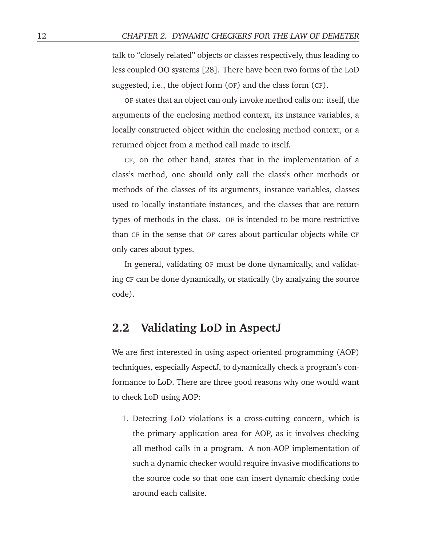talk to "closely related" objects or classes respectively, thus leading to less coupled OO systems [28]. There have been two forms of the LoD suggested, i.e., the object form (OF) and the class form (CF).

OF states that an object can only invoke method calls on: itself, the arguments of the enclosing method context, its instance variables, a locally constructed object within the enclosing method context, or a returned object from a method call made to itself.

CF, on the other hand, states that in the implementation of a class's method, one should only call the class's other methods or methods of the classes of its arguments, instance variables, classes used to locally instantiate instances, and the classes that are return types of methods in the class. OF is intended to be more restrictive than CF in the sense that OF cares about particular objects while CF only cares about types.

In general, validating OF must be done dynamically, and validating CF can be done dynamically, or statically (by analyzing the source code).

#### **2.2 Validating LoD in AspectJ**

We are first interested in using aspect-oriented programming (AOP) techniques, especially AspectJ, to dynamically check a program's conformance to LoD. There are three good reasons why one would want to check LoD using AOP:

1. Detecting LoD violations is a cross-cutting concern, which is the primary application area for AOP, as it involves checking all method calls in a program. A non-AOP implementation of such a dynamic checker would require invasive modifications to the source code so that one can insert dynamic checking code around each callsite.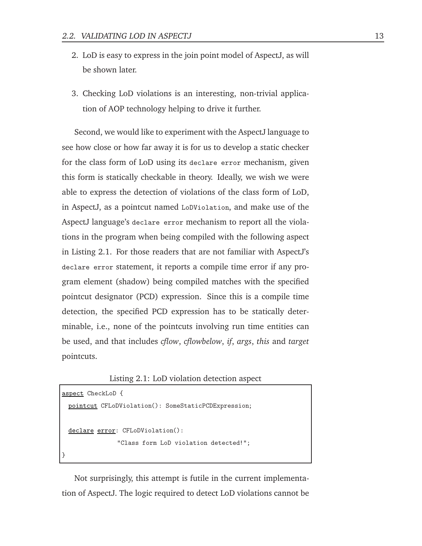- 2. LoD is easy to express in the join point model of AspectJ, as will be shown later.
- 3. Checking LoD violations is an interesting, non-trivial application of AOP technology helping to drive it further.

Second, we would like to experiment with the AspectJ language to see how close or how far away it is for us to develop a static checker for the class form of LoD using its declare error mechanism, given this form is statically checkable in theory. Ideally, we wish we were able to express the detection of violations of the class form of LoD, in AspectJ, as a pointcut named LoDViolation, and make use of the AspectJ language's declare error mechanism to report all the violations in the program when being compiled with the following aspect in Listing 2.1. For those readers that are not familiar with AspectJ's declare error statement, it reports a compile time error if any program element (shadow) being compiled matches with the specified pointcut designator (PCD) expression. Since this is a compile time detection, the specified PCD expression has to be statically determinable, i.e., none of the pointcuts involving run time entities can be used, and that includes *cflow*, *cflowbelow*, *if*, *args*, *this* and *target* pointcuts.

Listing 2.1: LoD violation detection aspect

```
aspect CheckLoD {
 pointcut CFLoDViolation(): SomeStaticPCDExpression;
 declare error: CFLoDViolation():
               "Class form LoD violation detected!";
}
```
Not surprisingly, this attempt is futile in the current implementation of AspectJ. The logic required to detect LoD violations cannot be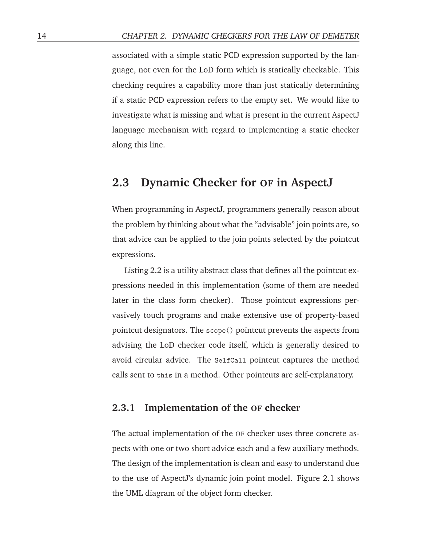associated with a simple static PCD expression supported by the language, not even for the LoD form which is statically checkable. This checking requires a capability more than just statically determining if a static PCD expression refers to the empty set. We would like to investigate what is missing and what is present in the current AspectJ language mechanism with regard to implementing a static checker along this line.

#### **2.3 Dynamic Checker for OF in AspectJ**

When programming in AspectJ, programmers generally reason about the problem by thinking about what the "advisable" join points are, so that advice can be applied to the join points selected by the pointcut expressions.

Listing 2.2 is a utility abstract class that defines all the pointcut expressions needed in this implementation (some of them are needed later in the class form checker). Those pointcut expressions pervasively touch programs and make extensive use of property-based pointcut designators. The scope() pointcut prevents the aspects from advising the LoD checker code itself, which is generally desired to avoid circular advice. The SelfCall pointcut captures the method calls sent to this in a method. Other pointcuts are self-explanatory.

#### **2.3.1 Implementation of the OF checker**

The actual implementation of the OF checker uses three concrete aspects with one or two short advice each and a few auxiliary methods. The design of the implementation is clean and easy to understand due to the use of AspectJ's dynamic join point model. Figure 2.1 shows the UML diagram of the object form checker.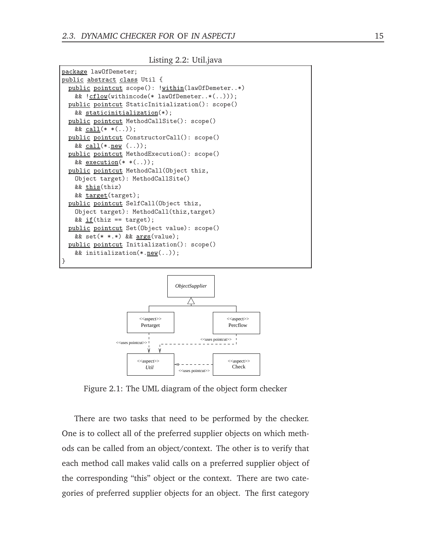Listing 2.2: Util.java





Figure 2.1: The UML diagram of the object form checker

There are two tasks that need to be performed by the checker. One is to collect all of the preferred supplier objects on which methods can be called from an object/context. The other is to verify that each method call makes valid calls on a preferred supplier object of the corresponding "this" object or the context. There are two categories of preferred supplier objects for an object. The first category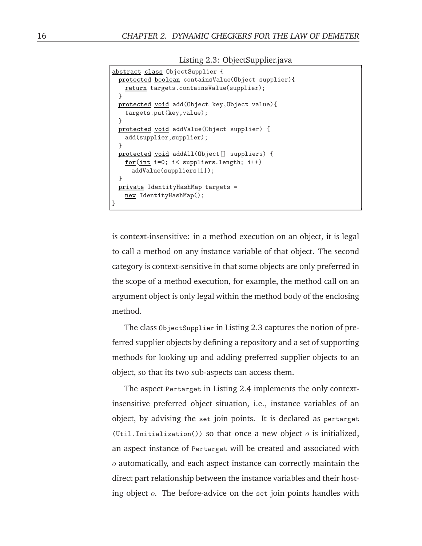Listing 2.3: ObjectSupplier.java

```
abstract class ObjectSupplier {
 protected boolean containsValue(Object supplier){
   return targets.containsValue(supplier);
 }
 protected void add(Object key,Object value){
   targets.put(key,value);
 }
 protected void addValue(Object supplier) {
   add(supplier,supplier);
 }
 protected void addAll(Object[] suppliers) {
   for(int i=0; i< suppliers.length; i++)
     addValue(suppliers[i]);
 }
 private IdentityHashMap targets =
   new IdentityHashMap();
}
```
is context-insensitive: in a method execution on an object, it is legal to call a method on any instance variable of that object. The second category is context-sensitive in that some objects are only preferred in the scope of a method execution, for example, the method call on an argument object is only legal within the method body of the enclosing method.

The class ObjectSupplier in Listing 2.3 captures the notion of preferred supplier objects by defining a repository and a set of supporting methods for looking up and adding preferred supplier objects to an object, so that its two sub-aspects can access them.

The aspect Pertarget in Listing 2.4 implements the only contextinsensitive preferred object situation, i.e., instance variables of an object, by advising the set join points. It is declared as pertarget (Util.Initialization()) so that once a new object  $o$  is initialized, an aspect instance of Pertarget will be created and associated with  $\sigma$  automatically, and each aspect instance can correctly maintain the direct part relationship between the instance variables and their hosting object  $o$ . The before-advice on the set join points handles with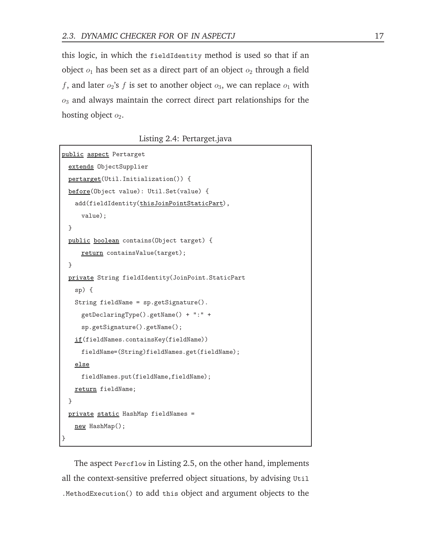this logic, in which the fieldIdentity method is used so that if an object  $o_1$  has been set as a direct part of an object  $o_2$  through a field f, and later  $o_2$ 's f is set to another object  $o_3$ , we can replace  $o_1$  with  $o_3$  and always maintain the correct direct part relationships for the hosting object  $o_2$ .

Listing 2.4: Pertarget.java

```
public aspect Pertarget
 extends ObjectSupplier
 pertarget(Util.Initialization()) {
 before(Object value): Util.Set(value) {
   add(fieldIdentity(thisJoinPointStaticPart),
     value);
 }
 public boolean contains(Object target) {
     return containsValue(target);
 }
 private String fieldIdentity(JoinPoint.StaticPart
   sp) {
   String fieldName = sp.getSignature().
     getDeclaringType().getName() + ":" +
     sp.getSignature().getName();
   if(fieldNames.containsKey(fieldName))
     fieldName=(String)fieldNames.get(fieldName);
   else
     fieldNames.put(fieldName,fieldName);
   return fieldName;
 }
 private static HashMap fieldNames =
   new HashMap();
}
```
The aspect Percflow in Listing 2.5, on the other hand, implements all the context-sensitive preferred object situations, by advising Util .MethodExecution() to add this object and argument objects to the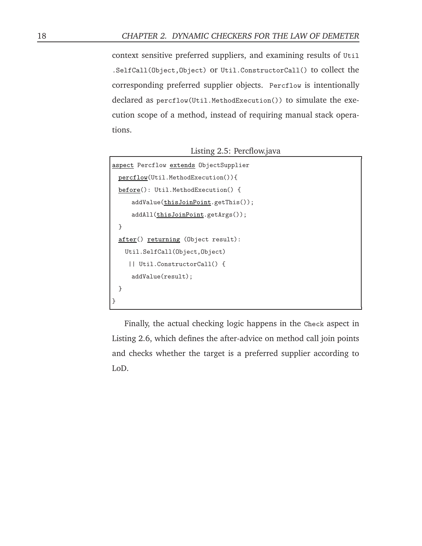context sensitive preferred suppliers, and examining results of Util .SelfCall(Object,Object) or Util.ConstructorCall() to collect the corresponding preferred supplier objects. Percflow is intentionally declared as percflow(Util.MethodExecution()) to simulate the execution scope of a method, instead of requiring manual stack operations.

Listing 2.5: Percflow.java

```
aspect Percflow extends ObjectSupplier
 percflow(Util.MethodExecution()){
 before(): Util.MethodExecution() {
     addValue(thisJoinPoint.getThis());
     addAll(thisJoinPoint.getArgs());
 }
 after() returning (Object result):
   Util.SelfCall(Object,Object)
    || Util.ConstructorCall() {
     addValue(result);
 }
}
```
Finally, the actual checking logic happens in the Check aspect in Listing 2.6, which defines the after-advice on method call join points and checks whether the target is a preferred supplier according to LoD.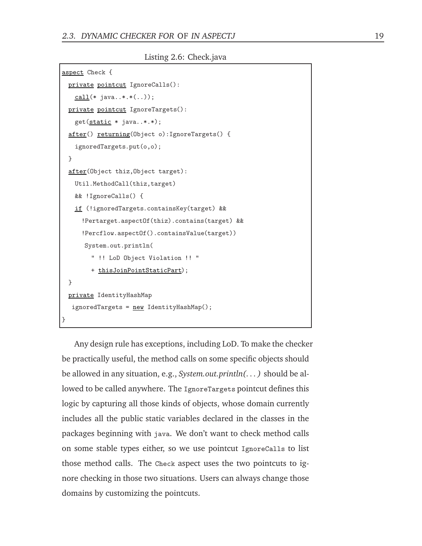Listing 2.6: Check.java

```
aspect Check {
 private pointcut IgnoreCalls():
   call(* java..*.*(..));
 private pointcut IgnoreTargets():
   get(static * java..*.*);
 after() returning(Object o):IgnoreTargets() {
   ignoredTargets.put(o,o);
 }
 after(Object thiz,Object target):
   Util.MethodCall(thiz,target)
   && !IgnoreCalls() {
   if (!ignoredTargets.containsKey(target) &&
     !Pertarget.aspectOf(thiz).contains(target) &&
     !Percflow.aspectOf().containsValue(target))
      System.out.println(
        " !! LoD Object Violation !! "
        + thisJoinPointStaticPart);
 }
 private IdentityHashMap
  ignoredTargets = <u>new</u> IdentityHashMap();
}
```
Any design rule has exceptions, including LoD. To make the checker be practically useful, the method calls on some specific objects should be allowed in any situation, e.g., *System.out.println(. . . )* should be allowed to be called anywhere. The IgnoreTargets pointcut defines this logic by capturing all those kinds of objects, whose domain currently includes all the public static variables declared in the classes in the packages beginning with java. We don't want to check method calls on some stable types either, so we use pointcut IgnoreCalls to list those method calls. The Check aspect uses the two pointcuts to ignore checking in those two situations. Users can always change those domains by customizing the pointcuts.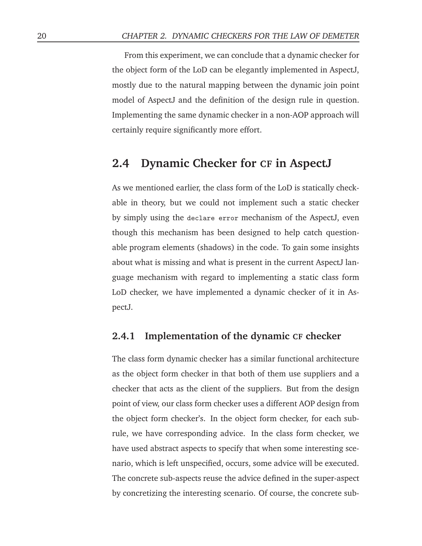From this experiment, we can conclude that a dynamic checker for the object form of the LoD can be elegantly implemented in AspectJ, mostly due to the natural mapping between the dynamic join point model of AspectJ and the definition of the design rule in question. Implementing the same dynamic checker in a non-AOP approach will certainly require significantly more effort.

#### **2.4 Dynamic Checker for CF in AspectJ**

As we mentioned earlier, the class form of the LoD is statically checkable in theory, but we could not implement such a static checker by simply using the declare error mechanism of the AspectJ, even though this mechanism has been designed to help catch questionable program elements (shadows) in the code. To gain some insights about what is missing and what is present in the current AspectJ language mechanism with regard to implementing a static class form LoD checker, we have implemented a dynamic checker of it in AspectJ.

#### **2.4.1 Implementation of the dynamic CF checker**

The class form dynamic checker has a similar functional architecture as the object form checker in that both of them use suppliers and a checker that acts as the client of the suppliers. But from the design point of view, our class form checker uses a different AOP design from the object form checker's. In the object form checker, for each subrule, we have corresponding advice. In the class form checker, we have used abstract aspects to specify that when some interesting scenario, which is left unspecified, occurs, some advice will be executed. The concrete sub-aspects reuse the advice defined in the super-aspect by concretizing the interesting scenario. Of course, the concrete sub-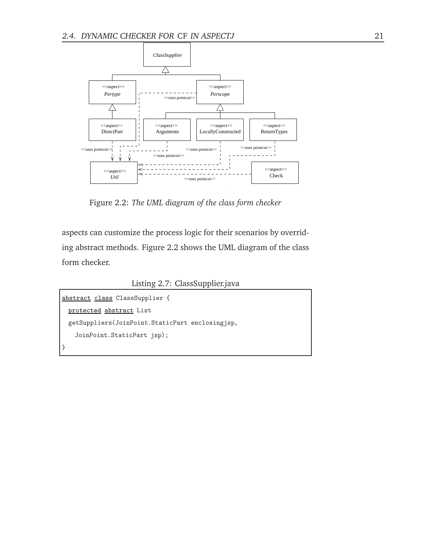

Figure 2.2: *The UML diagram of the class form checker*

aspects can customize the process logic for their scenarios by overriding abstract methods. Figure 2.2 shows the UML diagram of the class form checker.

Listing 2.7: ClassSupplier.java

```
abstract class ClassSupplier {
 protected abstract List
 getSuppliers(JoinPoint.StaticPart enclosingjsp,
   JoinPoint.StaticPart jsp);
}
```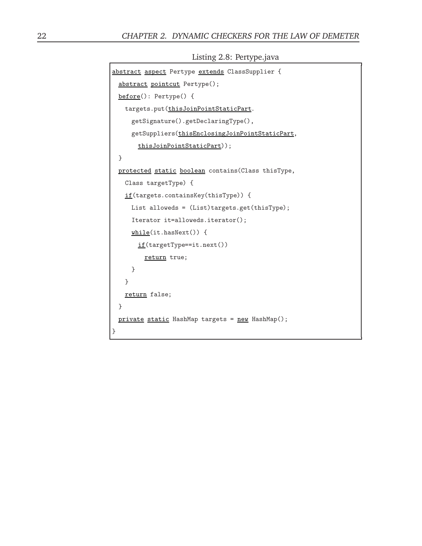|  | Listing 2.8: Pertype.java |  |
|--|---------------------------|--|
|  |                           |  |

```
abstract aspect Pertype extends ClassSupplier {
 abstract pointcut Pertype();
 before(): Pertype() {
   targets.put(thisJoinPointStaticPart.
     getSignature().getDeclaringType(),
     getSuppliers(thisEnclosingJoinPointStaticPart,
       thisJoinPointStaticPart));
 }
 protected static boolean contains(Class thisType,
   Class targetType) {
   if(targets.containsKey(thisType)) {
     List alloweds = (List)targets.get(thisType);
     Iterator it=alloweds.iterator();
     while(it.hasNext()) {
       if(targetType==it.next())
         return true;
     }
   }
   return false;
 }
 private static HashMap targets = new HashMap();
}
```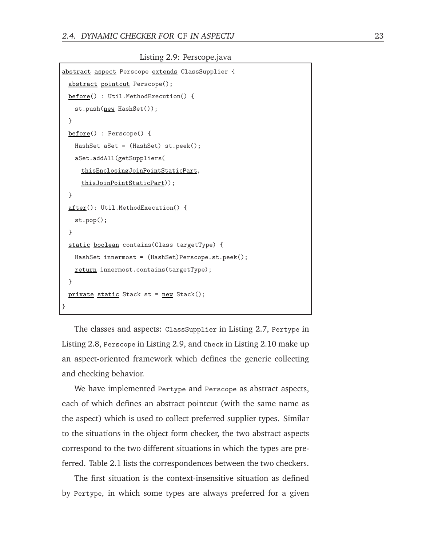Listing 2.9: Perscope.java

```
abstract aspect Perscope extends ClassSupplier {
 abstract pointcut Perscope();
 before() : Util.MethodExecution() {
   st.push(new HashSet());
 }
 before() : Perscope() {
   HashSet aSet = (HashSet) st.peek();
   aSet.addAll(getSuppliers(
     thisEnclosingJoinPointStaticPart,
     thisJoinPointStaticPart));
 }
 after(): Util.MethodExecution() {
   st.pop();
 }
 static boolean contains(Class targetType) {
   HashSet innermost = (HashSet)Perscope.st.peek();
   return innermost.contains(targetType);
 }
 private static Stack st = new Stack();
}
```
The classes and aspects: ClassSupplier in Listing 2.7, Pertype in Listing 2.8, Perscope in Listing 2.9, and Check in Listing 2.10 make up an aspect-oriented framework which defines the generic collecting and checking behavior.

We have implemented Pertype and Perscope as abstract aspects, each of which defines an abstract pointcut (with the same name as the aspect) which is used to collect preferred supplier types. Similar to the situations in the object form checker, the two abstract aspects correspond to the two different situations in which the types are preferred. Table 2.1 lists the correspondences between the two checkers.

The first situation is the context-insensitive situation as defined by Pertype, in which some types are always preferred for a given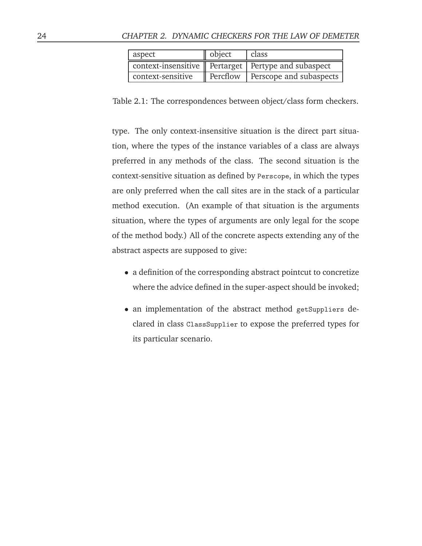| aspect            | object                                                   | class                   |  |
|-------------------|----------------------------------------------------------|-------------------------|--|
|                   | context-insensitive    Pertarget   Pertype and subaspect |                         |  |
| context-sensitive | Percflow                                                 | Perscope and subaspects |  |

Table 2.1: The correspondences between object/class form checkers.

type. The only context-insensitive situation is the direct part situation, where the types of the instance variables of a class are always preferred in any methods of the class. The second situation is the context-sensitive situation as defined by Perscope, in which the types are only preferred when the call sites are in the stack of a particular method execution. (An example of that situation is the arguments situation, where the types of arguments are only legal for the scope of the method body.) All of the concrete aspects extending any of the abstract aspects are supposed to give:

- a definition of the corresponding abstract pointcut to concretize where the advice defined in the super-aspect should be invoked;
- an implementation of the abstract method getSuppliers declared in class ClassSupplier to expose the preferred types for its particular scenario.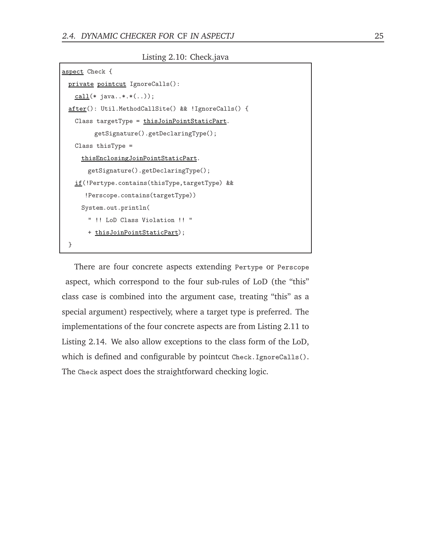Listing 2.10: Check.java

```
aspect Check {
 private pointcut IgnoreCalls():
   call(* java..*.*(..));
 after(): Util.MethodCallSite() && !IgnoreCalls() {
   Class targetType = thisJoinPointStaticPart.
        getSignature().getDeclaringType();
   Class thisType =
     thisEnclosingJoinPointStaticPart.
       getSignature().getDeclaringType();
   if(!Pertype.contains(thisType,targetType) &&
      !Perscope.contains(targetType))
     System.out.println(
       " !! LoD Class Violation !! "
       + thisJoinPointStaticPart);
 }
```
There are four concrete aspects extending Pertype or Perscope aspect, which correspond to the four sub-rules of LoD (the "this" class case is combined into the argument case, treating "this" as a special argument) respectively, where a target type is preferred. The implementations of the four concrete aspects are from Listing 2.11 to Listing 2.14. We also allow exceptions to the class form of the LoD, which is defined and configurable by pointcut Check. IgnoreCalls(). The Check aspect does the straightforward checking logic.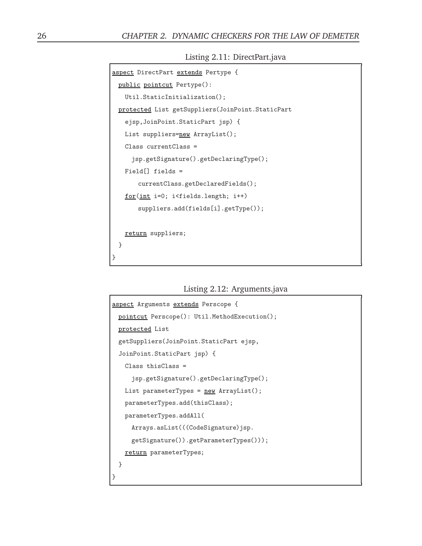Listing 2.11: DirectPart.java

```
aspect DirectPart extends Pertype {
 public pointcut Pertype():
   Util.StaticInitialization();
 protected List getSuppliers(JoinPoint.StaticPart
   ejsp,JoinPoint.StaticPart jsp) {
   List suppliers=new ArrayList();
   Class currentClass =
     jsp.getSignature().getDeclaringType();
   Field[] fields =
       currentClass.getDeclaredFields();
   for(int i=0; i<fields.length; i++)
       suppliers.add(fields[i].getType());
   return suppliers;
 }
}
```
Listing 2.12: Arguments.java

```
aspect Arguments extends Perscope {
 pointcut Perscope(): Util.MethodExecution();
 protected List
 getSuppliers(JoinPoint.StaticPart ejsp,
 JoinPoint.StaticPart jsp) {
   Class thisClass =
     jsp.getSignature().getDeclaringType();
   List parameterTypes = new ArrayList();
   parameterTypes.add(thisClass);
   parameterTypes.addAll(
     Arrays.asList(((CodeSignature)jsp.
     getSignature()).getParameterTypes()));
   return parameterTypes;
 }
}
```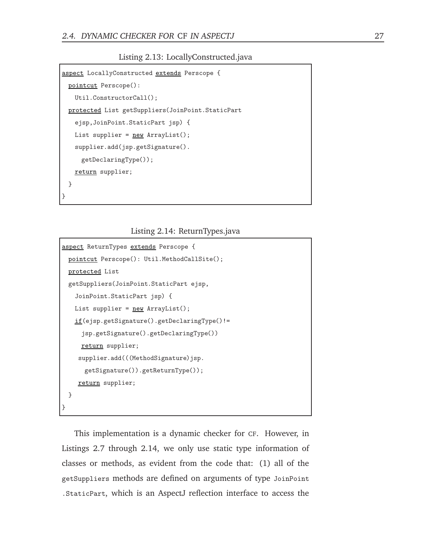#### Listing 2.13: LocallyConstructed.java

```
aspect LocallyConstructed extends Perscope {
 pointcut Perscope():
   Util.ConstructorCall();
 protected List getSuppliers(JoinPoint.StaticPart
   ejsp,JoinPoint.StaticPart jsp) {
   List supplier = <u>new</u> ArrayList();
   supplier.add(jsp.getSignature().
     getDeclaringType());
   return supplier;
 }
}
```
#### Listing 2.14: ReturnTypes.java

```
aspect ReturnTypes extends Perscope {
 pointcut Perscope(): Util.MethodCallSite();
 protected List
 getSuppliers(JoinPoint.StaticPart ejsp,
   JoinPoint.StaticPart jsp) {
   List supplier = <u>new</u> ArrayList();</u>
   if(ejsp.getSignature().getDeclaringType()!=
     jsp.getSignature().getDeclaringType())
     return supplier;
    supplier.add(((MethodSignature)jsp.
      getSignature()).getReturnType());
    return supplier;
 }
}
```
This implementation is a dynamic checker for CF. However, in Listings 2.7 through 2.14, we only use static type information of classes or methods, as evident from the code that: (1) all of the getSuppliers methods are defined on arguments of type JoinPoint .StaticPart, which is an AspectJ reflection interface to access the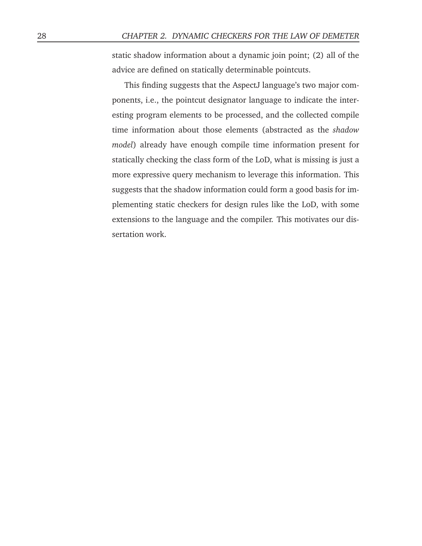static shadow information about a dynamic join point; (2) all of the advice are defined on statically determinable pointcuts.

This finding suggests that the AspectJ language's two major components, i.e., the pointcut designator language to indicate the interesting program elements to be processed, and the collected compile time information about those elements (abstracted as the *shadow model*) already have enough compile time information present for statically checking the class form of the LoD, what is missing is just a more expressive query mechanism to leverage this information. This suggests that the shadow information could form a good basis for implementing static checkers for design rules like the LoD, with some extensions to the language and the compiler. This motivates our dissertation work.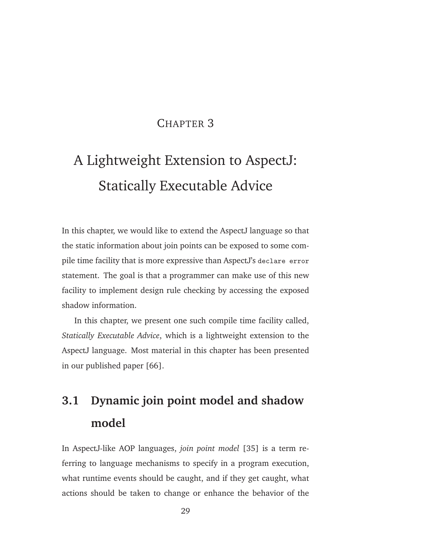## CHAPTER 3

# A Lightweight Extension to AspectJ: Statically Executable Advice

In this chapter, we would like to extend the AspectJ language so that the static information about join points can be exposed to some compile time facility that is more expressive than AspectJ's declare error statement. The goal is that a programmer can make use of this new facility to implement design rule checking by accessing the exposed shadow information.

In this chapter, we present one such compile time facility called, *Statically Executable Advice*, which is a lightweight extension to the AspectJ language. Most material in this chapter has been presented in our published paper [66].

# **3.1 Dynamic join point model and shadow model**

In AspectJ-like AOP languages, *join point model* [35] is a term referring to language mechanisms to specify in a program execution, what runtime events should be caught, and if they get caught, what actions should be taken to change or enhance the behavior of the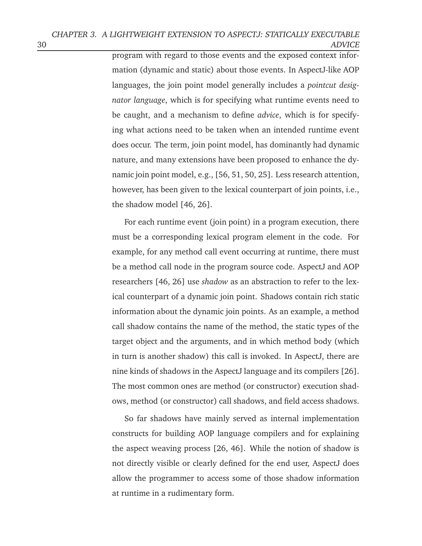program with regard to those events and the exposed context information (dynamic and static) about those events. In AspectJ-like AOP languages, the join point model generally includes a *pointcut designator language*, which is for specifying what runtime events need to be caught, and a mechanism to define *advice*, which is for specifying what actions need to be taken when an intended runtime event does occur. The term, join point model, has dominantly had dynamic nature, and many extensions have been proposed to enhance the dynamic join point model, e.g., [56, 51, 50, 25]. Less research attention, however, has been given to the lexical counterpart of join points, i.e., the shadow model [46, 26].

For each runtime event (join point) in a program execution, there must be a corresponding lexical program element in the code. For example, for any method call event occurring at runtime, there must be a method call node in the program source code. AspectJ and AOP researchers [46, 26] use *shadow* as an abstraction to refer to the lexical counterpart of a dynamic join point. Shadows contain rich static information about the dynamic join points. As an example, a method call shadow contains the name of the method, the static types of the target object and the arguments, and in which method body (which in turn is another shadow) this call is invoked. In AspectJ, there are nine kinds of shadows in the AspectJ language and its compilers [26]. The most common ones are method (or constructor) execution shadows, method (or constructor) call shadows, and field access shadows.

So far shadows have mainly served as internal implementation constructs for building AOP language compilers and for explaining the aspect weaving process [26, 46]. While the notion of shadow is not directly visible or clearly defined for the end user, AspectJ does allow the programmer to access some of those shadow information at runtime in a rudimentary form.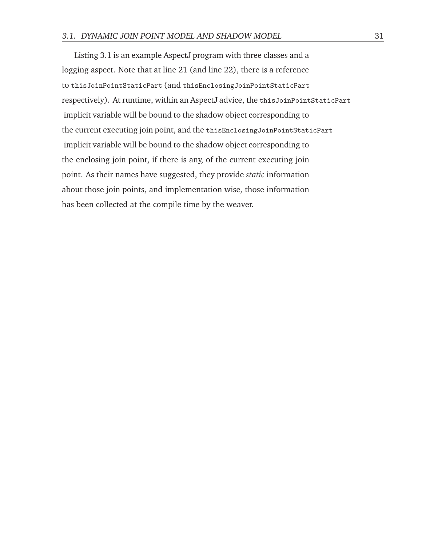Listing 3.1 is an example AspectJ program with three classes and a logging aspect. Note that at line 21 (and line 22), there is a reference to thisJoinPointStaticPart (and thisEnclosingJoinPointStaticPart respectively). At runtime, within an AspectJ advice, the thisJoinPointStaticPart implicit variable will be bound to the shadow object corresponding to the current executing join point, and the thisEnclosingJoinPointStaticPart implicit variable will be bound to the shadow object corresponding to the enclosing join point, if there is any, of the current executing join point. As their names have suggested, they provide *static* information about those join points, and implementation wise, those information has been collected at the compile time by the weaver.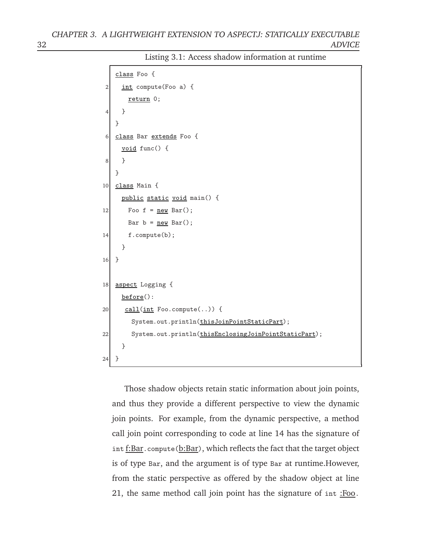```
class Foo {
2 int compute(Foo a) {
      return 0;
4 }
   }
6 class Bar extends Foo {
     void func() {
8 }
   }
10 class Main {
     public static void main() {
12 Foo f = new Bar();
      Bar b = new Bar();
14 f.compute(b);
     }
16 }
18 aspect Logging {
     before():
20 call (int Foo.compute(..)) {
       System.out.println(thisJoinPointStaticPart);
22 System.out.println(thisEnclosingJoinPointStaticPart);
     }
24 }
```
Listing 3.1: Access shadow information at runtime

Those shadow objects retain static information about join points, and thus they provide a different perspective to view the dynamic join points. For example, from the dynamic perspective, a method call join point corresponding to code at line 14 has the signature of int f:Bar.compute(b:Bar), which reflects the fact that the target object is of type Bar, and the argument is of type Bar at runtime.However, from the static perspective as offered by the shadow object at line 21, the same method call join point has the signature of int :Foo.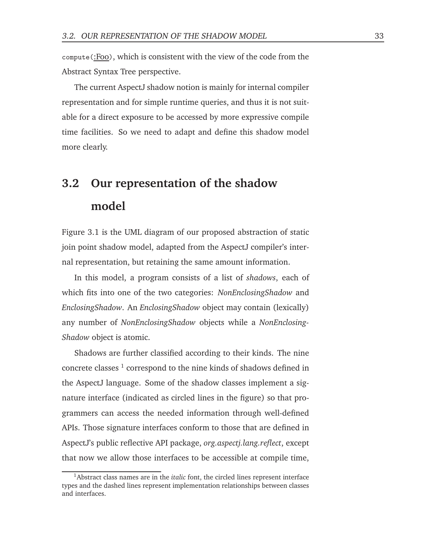compute(:Foo), which is consistent with the view of the code from the Abstract Syntax Tree perspective.

The current AspectJ shadow notion is mainly for internal compiler representation and for simple runtime queries, and thus it is not suitable for a direct exposure to be accessed by more expressive compile time facilities. So we need to adapt and define this shadow model more clearly.

# **3.2 Our representation of the shadow model**

Figure 3.1 is the UML diagram of our proposed abstraction of static join point shadow model, adapted from the AspectJ compiler's internal representation, but retaining the same amount information.

In this model, a program consists of a list of *shadows*, each of which fits into one of the two categories: *NonEnclosingShadow* and *EnclosingShadow*. An *EnclosingShadow* object may contain (lexically) any number of *NonEnclosingShadow* objects while a *NonEnclosing-Shadow* object is atomic.

Shadows are further classified according to their kinds. The nine concrete classes<sup>1</sup> correspond to the nine kinds of shadows defined in the AspectJ language. Some of the shadow classes implement a signature interface (indicated as circled lines in the figure) so that programmers can access the needed information through well-defined APIs. Those signature interfaces conform to those that are defined in AspectJ's public reflective API package, *org.aspectj.lang.reflect*, except that now we allow those interfaces to be accessible at compile time,

<sup>1</sup>Abstract class names are in the *italic* font, the circled lines represent interface types and the dashed lines represent implementation relationships between classes and interfaces.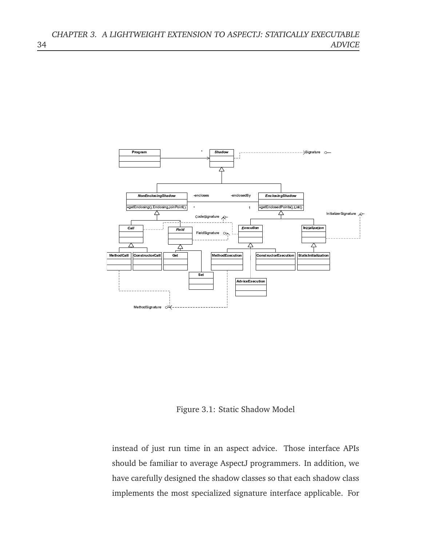

Figure 3.1: Static Shadow Model

instead of just run time in an aspect advice. Those interface APIs should be familiar to average AspectJ programmers. In addition, we have carefully designed the shadow classes so that each shadow class implements the most specialized signature interface applicable. For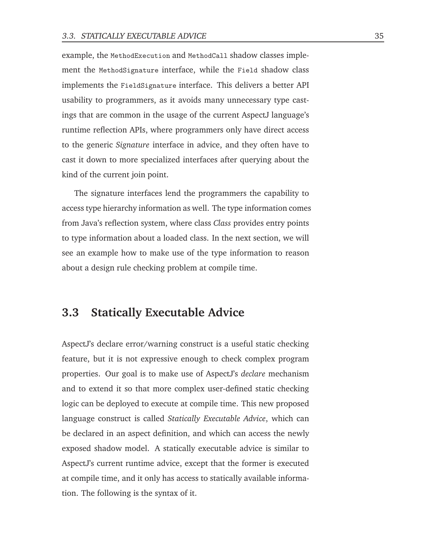example, the MethodExecution and MethodCall shadow classes implement the MethodSignature interface, while the Field shadow class implements the FieldSignature interface. This delivers a better API usability to programmers, as it avoids many unnecessary type castings that are common in the usage of the current AspectJ language's runtime reflection APIs, where programmers only have direct access to the generic *Signature* interface in advice, and they often have to cast it down to more specialized interfaces after querying about the kind of the current join point.

The signature interfaces lend the programmers the capability to access type hierarchy information as well. The type information comes from Java's reflection system, where class *Class* provides entry points to type information about a loaded class. In the next section, we will see an example how to make use of the type information to reason about a design rule checking problem at compile time.

### **3.3 Statically Executable Advice**

AspectJ's declare error/warning construct is a useful static checking feature, but it is not expressive enough to check complex program properties. Our goal is to make use of AspectJ's *declare* mechanism and to extend it so that more complex user-defined static checking logic can be deployed to execute at compile time. This new proposed language construct is called *Statically Executable Advice*, which can be declared in an aspect definition, and which can access the newly exposed shadow model. A statically executable advice is similar to AspectJ's current runtime advice, except that the former is executed at compile time, and it only has access to statically available information. The following is the syntax of it.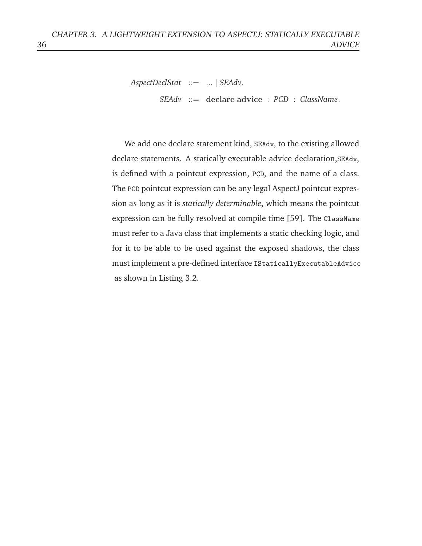```
AspectDeclStat ::= ... | SEAdv.
       SEAdv ::= declare advice : PCD : ClassName.
```
We add one declare statement kind, SEAdv, to the existing allowed declare statements. A statically executable advice declaration,SEAdv, is defined with a pointcut expression, PCD, and the name of a class. The PCD pointcut expression can be any legal AspectJ pointcut expression as long as it is *statically determinable*, which means the pointcut expression can be fully resolved at compile time [59]. The ClassName must refer to a Java class that implements a static checking logic, and for it to be able to be used against the exposed shadows, the class must implement a pre-defined interface IStaticallyExecutableAdvice as shown in Listing 3.2.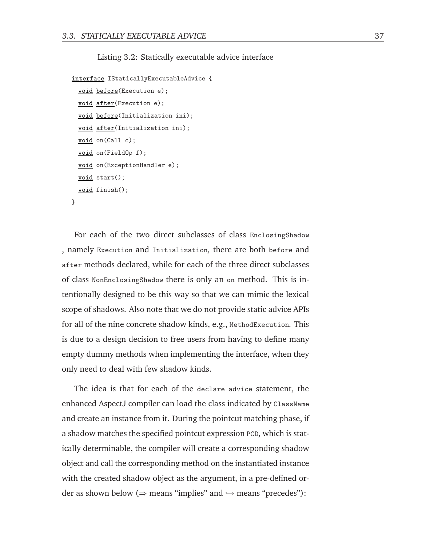Listing 3.2: Statically executable advice interface

```
interface IStaticallyExecutableAdvice {
 void before(Execution e);
 void after(Execution e);
 void before(Initialization ini);
 void after(Initialization ini);
 void on(Call c);
 void on(FieldOp f);
 void on(ExceptionHandler e);
 void start();
 void finish();
}
```
For each of the two direct subclasses of class EnclosingShadow , namely Execution and Initialization, there are both before and after methods declared, while for each of the three direct subclasses of class NonEnclosingShadow there is only an on method. This is intentionally designed to be this way so that we can mimic the lexical scope of shadows. Also note that we do not provide static advice APIs for all of the nine concrete shadow kinds, e.g., MethodExecution. This is due to a design decision to free users from having to define many empty dummy methods when implementing the interface, when they only need to deal with few shadow kinds.

The idea is that for each of the declare advice statement, the enhanced AspectJ compiler can load the class indicated by ClassName and create an instance from it. During the pointcut matching phase, if a shadow matches the specified pointcut expression PCD, which is statically determinable, the compiler will create a corresponding shadow object and call the corresponding method on the instantiated instance with the created shadow object as the argument, in a pre-defined order as shown below ( $\Rightarrow$  means "implies" and  $\hookrightarrow$  means "precedes"):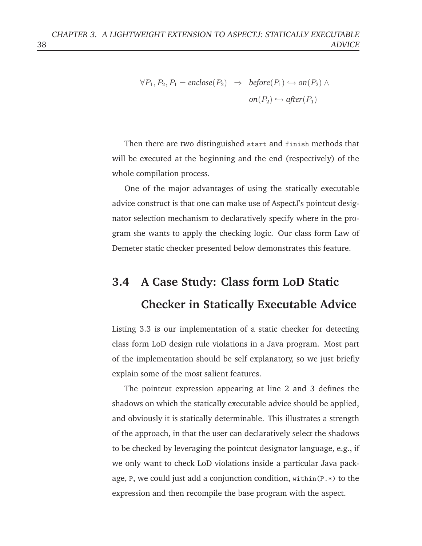$$
\forall P_1, P_2, P_1 = enclose(P_2) \Rightarrow before(P_1) \hookrightarrow on(P_2) \land
$$

$$
on(P_2) \hookrightarrow after(P_1)
$$

Then there are two distinguished start and finish methods that will be executed at the beginning and the end (respectively) of the whole compilation process.

One of the major advantages of using the statically executable advice construct is that one can make use of AspectJ's pointcut designator selection mechanism to declaratively specify where in the program she wants to apply the checking logic. Our class form Law of Demeter static checker presented below demonstrates this feature.

# **3.4 A Case Study: Class form LoD Static Checker in Statically Executable Advice**

Listing 3.3 is our implementation of a static checker for detecting class form LoD design rule violations in a Java program. Most part of the implementation should be self explanatory, so we just briefly explain some of the most salient features.

The pointcut expression appearing at line 2 and 3 defines the shadows on which the statically executable advice should be applied, and obviously it is statically determinable. This illustrates a strength of the approach, in that the user can declaratively select the shadows to be checked by leveraging the pointcut designator language, e.g., if we only want to check LoD violations inside a particular Java package, P, we could just add a conjunction condition, within(P.\*) to the expression and then recompile the base program with the aspect.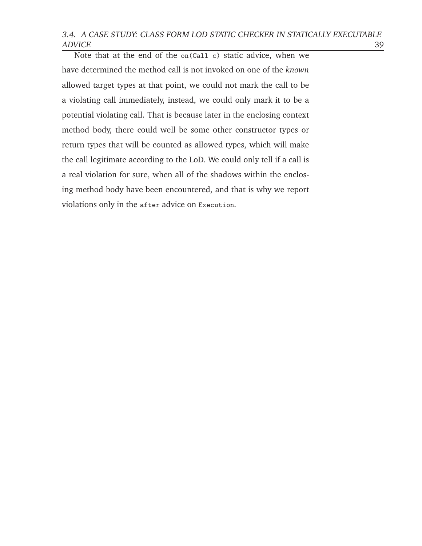3.4. <sup>A</sup> CASE STUDY: CLASS FORM LOD STATIC CHECKER IN STATICALLY EXECUTABLE ADVICE 39

Note that at the end of the on(Call c) static advice, when we have determined the method call is not invoked on one of the *known* allowed target types at that point, we could not mark the call to be a violating call immediately, instead, we could only mark it to be a potential violating call. That is because later in the enclosing context method body, there could well be some other constructor types or return types that will be counted as allowed types, which will make the call legitimate according to the LoD. We could only tell if a call is a real violation for sure, when all of the shadows within the enclosing method body have been encountered, and that is why we report violations only in the after advice on Execution.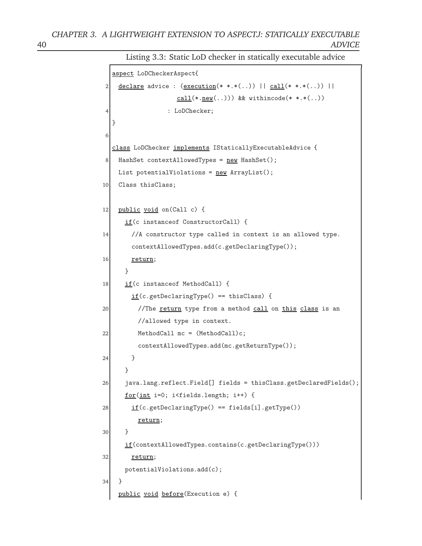Listing 3.3: Static LoD checker in statically executable advice

```
aspect LoDCheckerAspect{
2 declare advice : (execution(* *.*(..)) || call(* *.*(..)) ||cal(*.new(..))) && withincode(* *.*(..))
4 : LoDChecker;
  }
6
  class LoDChecker implements IStaticallyExecutableAdvice {
8 HashSet contextAllowedTypes = new HashSet();
   List potentialViolations = <u>new</u> ArrayList();</u>
10 Class thisClass;
12 public void on(Call c) {
     if(c instanceof ConstructorCall) {
14 //A constructor type called in context is an allowed type.
       contextAllowedTypes.add(c.getDeclaringType());
16 return;
     }
18 if(c instance of MethodCall) {
       if(c.getDeclaringType() == this Class) {
20 //The return type from a method call on this class is an
         //allowed type in context.
22 MethodCall mc = (MethodCall)c;contextAllowedTypes.add(mc.getReturnType());
24 }
     }
26 java.lang.reflect.Field[] fields = thisClass.getDeclaredFields();
     for(int i=0; i<fields.length; i++) {
28 if(c.getDecimalType() == fields[i].getType())return;
30 }
     if(contextAllowedTypes.contains(c.getDeclaringType()))
32 return;
     potentialViolations.add(c);
34 }
    public void before(Execution e) {
```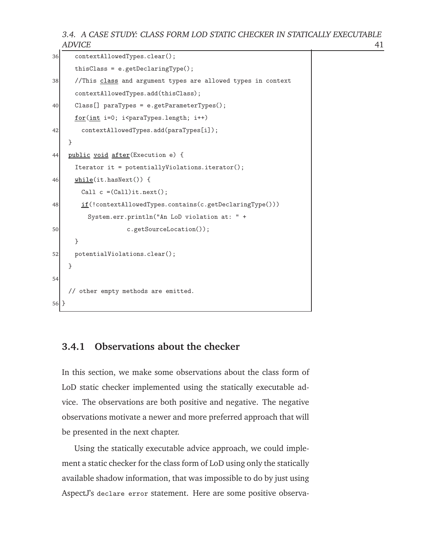3.4. <sup>A</sup> CASE STUDY: CLASS FORM LOD STATIC CHECKER IN STATICALLY EXECUTABLE ADVICE 41

```
36 contextAllowedTypes.clear();
      thisClass = e.getDeclaringType();
38 //This class and argument types are allowed types in context
      contextAllowedTypes.add(thisClass);
40 Class[] paraTypes = e.getParameterTypes();
      <u>for(int</u> i=0; i<sup></sup>paraTypes.length; i++)</u>
42 contextAllowedTypes.add(paraTypes[i]);
    }
44 public void after(Execution e) {
      Iterator it = potentiallyViolations.iterator();
46 while(it.hasNext()) {
       Call c = (Call)it.next();
48 if(!contextAllowedTypes.contains(c.getDeclaringType()))
         System.err.println("An LoD violation at: " +
50 c.getSourceLocation());
      }
52 potentialViolations.clear();
    }
54
    // other empty methods are emitted.
56 }
```
#### **3.4.1 Observations about the checker**

In this section, we make some observations about the class form of LoD static checker implemented using the statically executable advice. The observations are both positive and negative. The negative observations motivate a newer and more preferred approach that will be presented in the next chapter.

Using the statically executable advice approach, we could implement a static checker for the class form of LoD using only the statically available shadow information, that was impossible to do by just using AspectJ's declare error statement. Here are some positive observa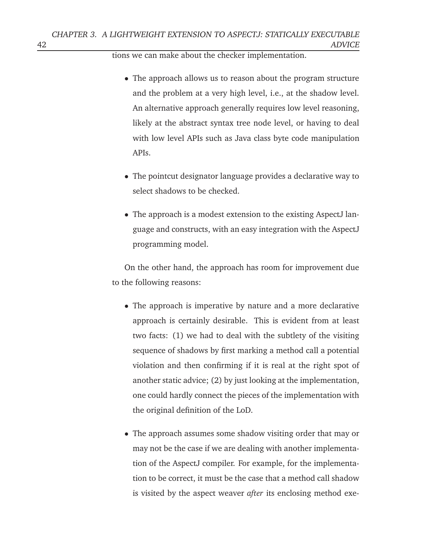tions we can make about the checker implementation.

- The approach allows us to reason about the program structure and the problem at a very high level, i.e., at the shadow level. An alternative approach generally requires low level reasoning, likely at the abstract syntax tree node level, or having to deal with low level APIs such as Java class byte code manipulation APIs.
- The pointcut designator language provides a declarative way to select shadows to be checked.
- The approach is a modest extension to the existing AspectJ language and constructs, with an easy integration with the AspectJ programming model.

On the other hand, the approach has room for improvement due to the following reasons:

- The approach is imperative by nature and a more declarative approach is certainly desirable. This is evident from at least two facts: (1) we had to deal with the subtlety of the visiting sequence of shadows by first marking a method call a potential violation and then confirming if it is real at the right spot of another static advice; (2) by just looking at the implementation, one could hardly connect the pieces of the implementation with the original definition of the LoD.
- The approach assumes some shadow visiting order that may or may not be the case if we are dealing with another implementation of the AspectJ compiler. For example, for the implementation to be correct, it must be the case that a method call shadow is visited by the aspect weaver *after* its enclosing method exe-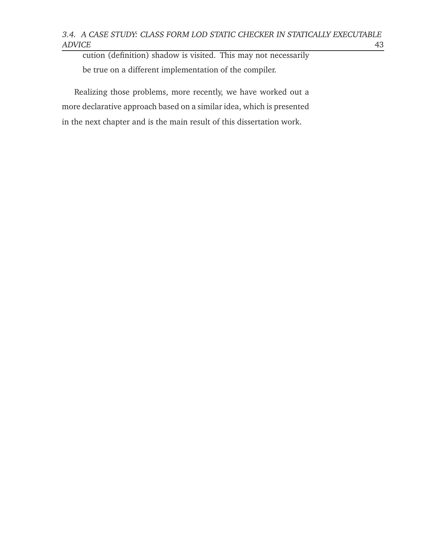cution (definition) shadow is visited. This may not necessarily be true on a different implementation of the compiler.

Realizing those problems, more recently, we have worked out a more declarative approach based on a similar idea, which is presented in the next chapter and is the main result of this dissertation work.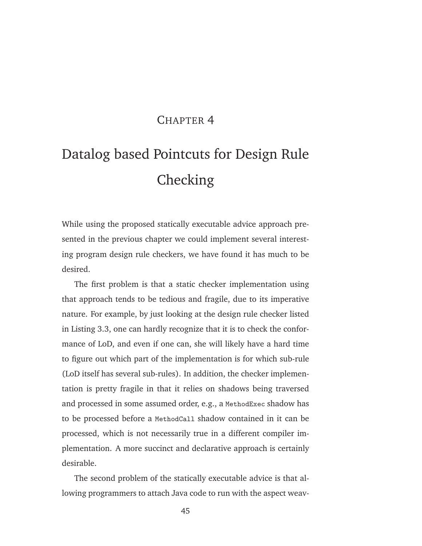## CHAPTER 4

# Datalog based Pointcuts for Design Rule Checking

While using the proposed statically executable advice approach presented in the previous chapter we could implement several interesting program design rule checkers, we have found it has much to be desired.

The first problem is that a static checker implementation using that approach tends to be tedious and fragile, due to its imperative nature. For example, by just looking at the design rule checker listed in Listing 3.3, one can hardly recognize that it is to check the conformance of LoD, and even if one can, she will likely have a hard time to figure out which part of the implementation is for which sub-rule (LoD itself has several sub-rules). In addition, the checker implementation is pretty fragile in that it relies on shadows being traversed and processed in some assumed order, e.g., a MethodExec shadow has to be processed before a MethodCall shadow contained in it can be processed, which is not necessarily true in a different compiler implementation. A more succinct and declarative approach is certainly desirable.

The second problem of the statically executable advice is that allowing programmers to attach Java code to run with the aspect weav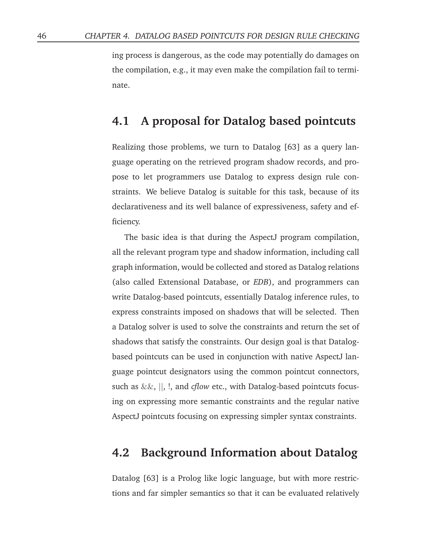ing process is dangerous, as the code may potentially do damages on the compilation, e.g., it may even make the compilation fail to terminate.

### **4.1 A proposal for Datalog based pointcuts**

Realizing those problems, we turn to Datalog [63] as a query language operating on the retrieved program shadow records, and propose to let programmers use Datalog to express design rule constraints. We believe Datalog is suitable for this task, because of its declarativeness and its well balance of expressiveness, safety and efficiency.

The basic idea is that during the AspectJ program compilation, all the relevant program type and shadow information, including call graph information, would be collected and stored as Datalog relations (also called Extensional Database, or *EDB*), and programmers can write Datalog-based pointcuts, essentially Datalog inference rules, to express constraints imposed on shadows that will be selected. Then a Datalog solver is used to solve the constraints and return the set of shadows that satisfy the constraints. Our design goal is that Datalogbased pointcuts can be used in conjunction with native AspectJ language pointcut designators using the common pointcut connectors, such as &&, ||, !, and *cflow* etc., with Datalog-based pointcuts focusing on expressing more semantic constraints and the regular native AspectJ pointcuts focusing on expressing simpler syntax constraints.

### **4.2 Background Information about Datalog**

Datalog [63] is a Prolog like logic language, but with more restrictions and far simpler semantics so that it can be evaluated relatively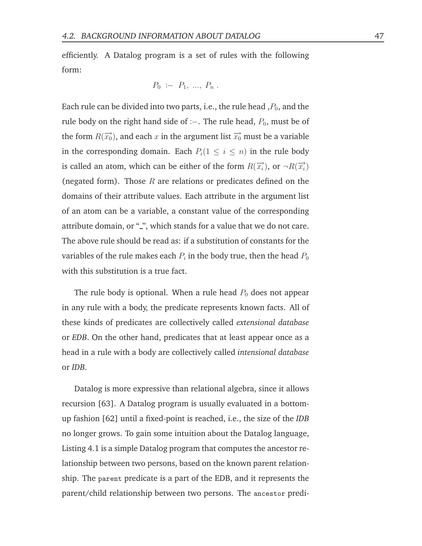efficiently. A Datalog program is a set of rules with the following form:

$$
P_0 := P_1, ..., P_n.
$$

Each rule can be divided into two parts, i.e., the rule head  $P_0$ , and the rule body on the right hand side of :−. The rule head,  $P_0$ , must be of the form  $R(\overrightarrow{x_0})$ , and each  $x$  in the argument list  $\overrightarrow{x_0}$  must be a variable in the corresponding domain. Each  $P_i(1 \leq i \leq n)$  in the rule body is called an atom, which can be either of the form  $R(\overrightarrow{x_i})$ , or  $\neg R(\overrightarrow{x_i})$ (negated form). Those  $R$  are relations or predicates defined on the domains of their attribute values. Each attribute in the argument list of an atom can be a variable, a constant value of the corresponding attribute domain, or "2", which stands for a value that we do not care. The above rule should be read as: if a substitution of constants for the variables of the rule makes each  $P_i$  in the body true, then the head  $P_0$ with this substitution is a true fact.

The rule body is optional. When a rule head  $P_0$  does not appear in any rule with a body, the predicate represents known facts. All of these kinds of predicates are collectively called *extensional database* or *EDB*. On the other hand, predicates that at least appear once as a head in a rule with a body are collectively called *intensional database* or *IDB*.

Datalog is more expressive than relational algebra, since it allows recursion [63]. A Datalog program is usually evaluated in a bottomup fashion [62] until a fixed-point is reached, i.e., the size of the *IDB* no longer grows. To gain some intuition about the Datalog language, Listing 4.1 is a simple Datalog program that computes the ancestor relationship between two persons, based on the known parent relationship. The parent predicate is a part of the EDB, and it represents the parent/child relationship between two persons. The ancestor predi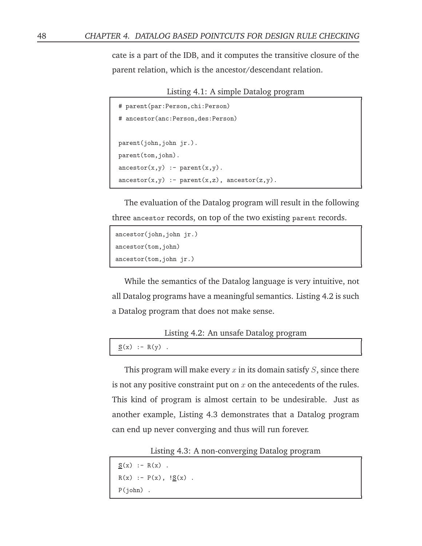cate is a part of the IDB, and it computes the transitive closure of the parent relation, which is the ancestor/descendant relation.

Listing 4.1: A simple Datalog program

```
# parent(par:Person,chi:Person)
# ancestor(anc:Person,des:Person)
parent(john,john jr.).
parent(tom,john).
\text{arcestor}(x,y) := \text{parent}(x,y).
\text{ancestor}(x,y) :- \text{parent}(x,z), \text{ancestor}(z,y).
```
The evaluation of the Datalog program will result in the following three ancestor records, on top of the two existing parent records.

```
ancestor(john,john jr.)
ancestor(tom,john)
ancestor(tom,john jr.)
```
While the semantics of the Datalog language is very intuitive, not all Datalog programs have a meaningful semantics. Listing 4.2 is such a Datalog program that does not make sense.

```
Listing 4.2: An unsafe Datalog program
```
 $S(x) := R(y)$ .

This program will make every x in its domain satisfy  $S$ , since there is not any positive constraint put on  $x$  on the antecedents of the rules. This kind of program is almost certain to be undesirable. Just as another example, Listing 4.3 demonstrates that a Datalog program can end up never converging and thus will run forever.

Listing 4.3: A non-converging Datalog program

```
S(x) := R(x).
R(x) := P(x), \frac{1S(x)}{s}.
P(john) .
```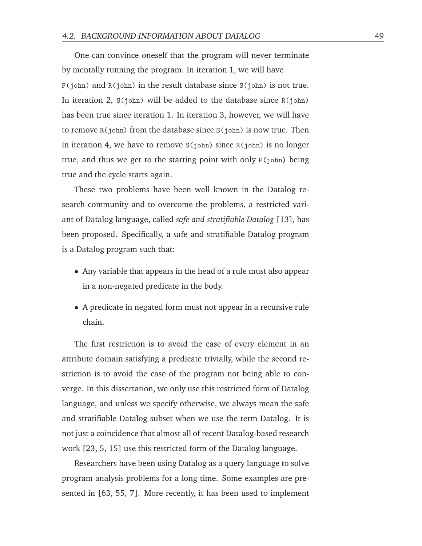One can convince oneself that the program will never terminate by mentally running the program. In iteration 1, we will have P(john) and R(john) in the result database since S(john) is not true. In iteration 2,  $S(john)$  will be added to the database since  $R(john)$ has been true since iteration 1. In iteration 3, however, we will have to remove R(john) from the database since S(john) is now true. Then in iteration 4, we have to remove  $S(john)$  since  $R(john)$  is no longer true, and thus we get to the starting point with only P(john) being true and the cycle starts again.

These two problems have been well known in the Datalog research community and to overcome the problems, a restricted variant of Datalog language, called *safe and stratifiable Datalog* [13], has been proposed. Specifically, a safe and stratifiable Datalog program is a Datalog program such that:

- Any variable that appears in the head of a rule must also appear in a non-negated predicate in the body.
- A predicate in negated form must not appear in a recursive rule chain.

The first restriction is to avoid the case of every element in an attribute domain satisfying a predicate trivially, while the second restriction is to avoid the case of the program not being able to converge. In this dissertation, we only use this restricted form of Datalog language, and unless we specify otherwise, we always mean the safe and stratifiable Datalog subset when we use the term Datalog. It is not just a coincidence that almost all of recent Datalog-based research work [23, 5, 15] use this restricted form of the Datalog language.

Researchers have been using Datalog as a query language to solve program analysis problems for a long time. Some examples are presented in [63, 55, 7]. More recently, it has been used to implement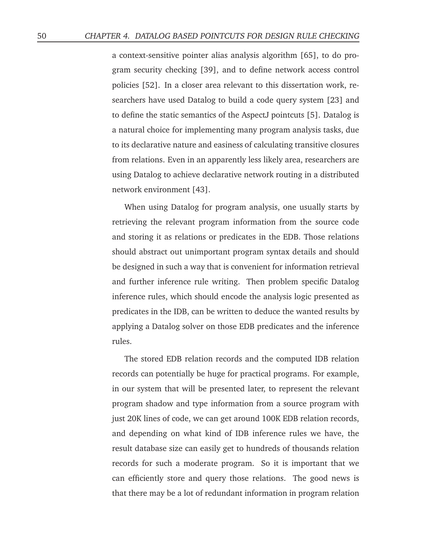a context-sensitive pointer alias analysis algorithm [65], to do program security checking [39], and to define network access control policies [52]. In a closer area relevant to this dissertation work, researchers have used Datalog to build a code query system [23] and to define the static semantics of the AspectJ pointcuts [5]. Datalog is a natural choice for implementing many program analysis tasks, due to its declarative nature and easiness of calculating transitive closures from relations. Even in an apparently less likely area, researchers are using Datalog to achieve declarative network routing in a distributed network environment [43].

When using Datalog for program analysis, one usually starts by retrieving the relevant program information from the source code and storing it as relations or predicates in the EDB. Those relations should abstract out unimportant program syntax details and should be designed in such a way that is convenient for information retrieval and further inference rule writing. Then problem specific Datalog inference rules, which should encode the analysis logic presented as predicates in the IDB, can be written to deduce the wanted results by applying a Datalog solver on those EDB predicates and the inference rules.

The stored EDB relation records and the computed IDB relation records can potentially be huge for practical programs. For example, in our system that will be presented later, to represent the relevant program shadow and type information from a source program with just 20K lines of code, we can get around 100K EDB relation records, and depending on what kind of IDB inference rules we have, the result database size can easily get to hundreds of thousands relation records for such a moderate program. So it is important that we can efficiently store and query those relations. The good news is that there may be a lot of redundant information in program relation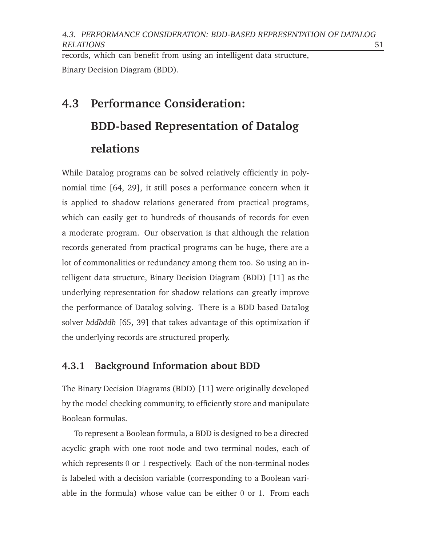4.3. PERFORMANCE CONSIDERATION: BDD-BASED REPRESENTATION OF DATALOG RELATIONS 51

records, which can benefit from using an intelligent data structure, Binary Decision Diagram (BDD).

# **4.3 Performance Consideration: BDD-based Representation of Datalog relations**

While Datalog programs can be solved relatively efficiently in polynomial time [64, 29], it still poses a performance concern when it is applied to shadow relations generated from practical programs, which can easily get to hundreds of thousands of records for even a moderate program. Our observation is that although the relation records generated from practical programs can be huge, there are a lot of commonalities or redundancy among them too. So using an intelligent data structure, Binary Decision Diagram (BDD) [11] as the underlying representation for shadow relations can greatly improve the performance of Datalog solving. There is a BDD based Datalog solver *bddbddb* [65, 39] that takes advantage of this optimization if the underlying records are structured properly.

#### **4.3.1 Background Information about BDD**

The Binary Decision Diagrams (BDD) [11] were originally developed by the model checking community, to efficiently store and manipulate Boolean formulas.

To represent a Boolean formula, a BDD is designed to be a directed acyclic graph with one root node and two terminal nodes, each of which represents 0 or 1 respectively. Each of the non-terminal nodes is labeled with a decision variable (corresponding to a Boolean variable in the formula) whose value can be either 0 or 1. From each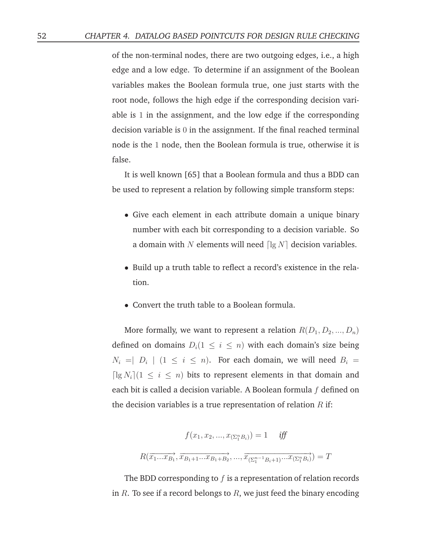of the non-terminal nodes, there are two outgoing edges, i.e., a high edge and a low edge. To determine if an assignment of the Boolean variables makes the Boolean formula true, one just starts with the root node, follows the high edge if the corresponding decision variable is 1 in the assignment, and the low edge if the corresponding decision variable is 0 in the assignment. If the final reached terminal node is the 1 node, then the Boolean formula is true, otherwise it is false.

It is well known [65] that a Boolean formula and thus a BDD can be used to represent a relation by following simple transform steps:

- Give each element in each attribute domain a unique binary number with each bit corresponding to a decision variable. So a domain with N elements will need  $\lceil \lg N \rceil$  decision variables.
- Build up a truth table to reflect a record's existence in the relation.
- Convert the truth table to a Boolean formula.

More formally, we want to represent a relation  $R(D_1, D_2, ..., D_n)$ defined on domains  $D_i(1 \leq i \leq n)$  with each domain's size being  $N_i = \mid D_i \mid (1 \leq i \leq n)$ . For each domain, we will need  $B_i =$  $\lceil \lg N_i \rceil (1 \leq i \leq n)$  bits to represent elements in that domain and each bit is called a decision variable. A Boolean formula  $f$  defined on the decision variables is a true representation of relation  $R$  if:

$$
f(x_1, x_2, ..., x_{(\Sigma_1^n B_i)}) = 1 \quad \text{iff}
$$

$$
R(\overrightarrow{x_1... x_{B_1}}, \overrightarrow{x_{B_1+1}... x_{B_1+B_2}}, ..., \overrightarrow{x_{(\Sigma_1^{n-1} B_i+1)}... x_{(\Sigma_1^n B_i)}}) = T
$$

The BDD corresponding to  $f$  is a representation of relation records in  $R$ . To see if a record belongs to  $R$ , we just feed the binary encoding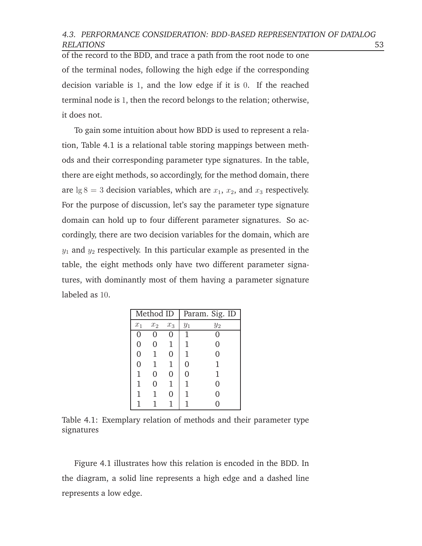of the record to the BDD, and trace a path from the root node to one of the terminal nodes, following the high edge if the corresponding decision variable is 1, and the low edge if it is 0. If the reached terminal node is 1, then the record belongs to the relation; otherwise, it does not.

To gain some intuition about how BDD is used to represent a relation, Table 4.1 is a relational table storing mappings between methods and their corresponding parameter type signatures. In the table, there are eight methods, so accordingly, for the method domain, there are  $\lg 8 = 3$  decision variables, which are  $x_1, x_2$ , and  $x_3$  respectively. For the purpose of discussion, let's say the parameter type signature domain can hold up to four different parameter signatures. So accordingly, there are two decision variables for the domain, which are  $y_1$  and  $y_2$  respectively. In this particular example as presented in the table, the eight methods only have two different parameter signatures, with dominantly most of them having a parameter signature labeled as 10.

| Method ID      |              | Param. Sig. ID |       |          |
|----------------|--------------|----------------|-------|----------|
| $x_1$          | $x_2$        | $x_3$          | $y_1$ | $y_2$    |
| 0              | 0            |                | 1     | $\theta$ |
| 0              | 0            | $\mathbf{1}$   | 1     | 0        |
| $\overline{0}$ | $\mathbf 1$  | 0              | 1     | 0        |
| $\overline{0}$ | $\mathbf{1}$ | $\mathbf{1}$   | 0     | 1        |
| $\mathbf{1}$   | 0            | $\Omega$       | 0     | 1        |
| 1              | 0            | $\mathbf{1}$   | 1     | 0        |
| $\mathbf{1}$   | $\mathbf{1}$ | 0              | 1     | 0        |
| 1              |              | $\mathbf{1}$   |       |          |

Table 4.1: Exemplary relation of methods and their parameter type signatures

Figure 4.1 illustrates how this relation is encoded in the BDD. In the diagram, a solid line represents a high edge and a dashed line represents a low edge.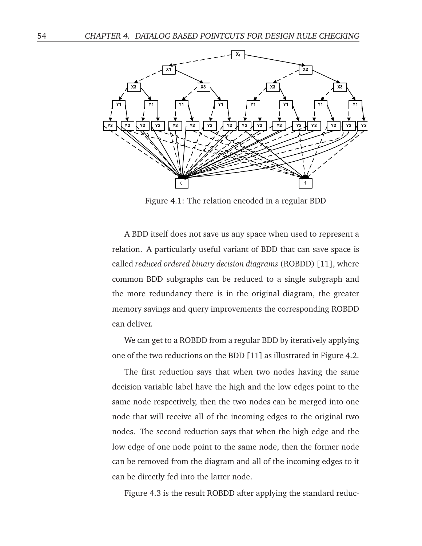

Figure 4.1: The relation encoded in a regular BDD

A BDD itself does not save us any space when used to represent a relation. A particularly useful variant of BDD that can save space is called *reduced ordered binary decision diagrams* (ROBDD) [11], where common BDD subgraphs can be reduced to a single subgraph and the more redundancy there is in the original diagram, the greater memory savings and query improvements the corresponding ROBDD can deliver.

We can get to a ROBDD from a regular BDD by iteratively applying one of the two reductions on the BDD [11] as illustrated in Figure 4.2.

The first reduction says that when two nodes having the same decision variable label have the high and the low edges point to the same node respectively, then the two nodes can be merged into one node that will receive all of the incoming edges to the original two nodes. The second reduction says that when the high edge and the low edge of one node point to the same node, then the former node can be removed from the diagram and all of the incoming edges to it can be directly fed into the latter node.

Figure 4.3 is the result ROBDD after applying the standard reduc-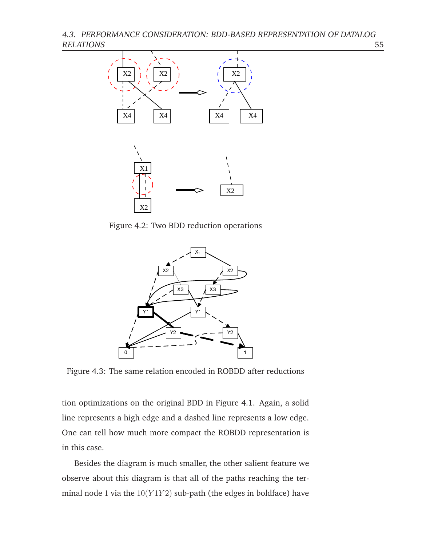4.3. PERFORMANCE CONSIDERATION: BDD-BASED REPRESENTATION OF DATALOG RELATIONS 55



Figure 4.2: Two BDD reduction operations



Figure 4.3: The same relation encoded in ROBDD after reductions

tion optimizations on the original BDD in Figure 4.1. Again, a solid line represents a high edge and a dashed line represents a low edge. One can tell how much more compact the ROBDD representation is in this case.

Besides the diagram is much smaller, the other salient feature we observe about this diagram is that all of the paths reaching the terminal node 1 via the  $10(Y1Y2)$  sub-path (the edges in boldface) have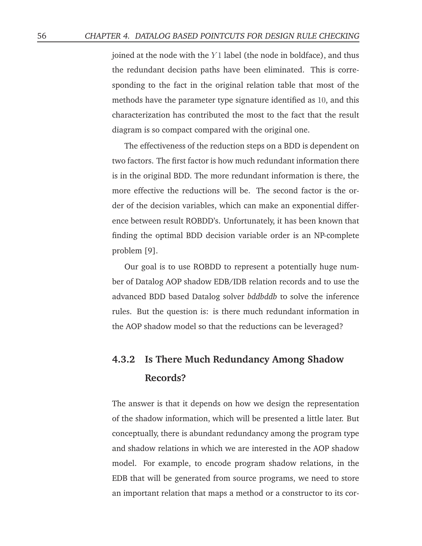joined at the node with the  $Y1$  label (the node in boldface), and thus the redundant decision paths have been eliminated. This is corresponding to the fact in the original relation table that most of the methods have the parameter type signature identified as 10, and this characterization has contributed the most to the fact that the result diagram is so compact compared with the original one.

The effectiveness of the reduction steps on a BDD is dependent on two factors. The first factor is how much redundant information there is in the original BDD. The more redundant information is there, the more effective the reductions will be. The second factor is the order of the decision variables, which can make an exponential difference between result ROBDD's. Unfortunately, it has been known that finding the optimal BDD decision variable order is an NP-complete problem [9].

Our goal is to use ROBDD to represent a potentially huge number of Datalog AOP shadow EDB/IDB relation records and to use the advanced BDD based Datalog solver *bddbddb* to solve the inference rules. But the question is: is there much redundant information in the AOP shadow model so that the reductions can be leveraged?

## **4.3.2 Is There Much Redundancy Among Shadow Records?**

The answer is that it depends on how we design the representation of the shadow information, which will be presented a little later. But conceptually, there is abundant redundancy among the program type and shadow relations in which we are interested in the AOP shadow model. For example, to encode program shadow relations, in the EDB that will be generated from source programs, we need to store an important relation that maps a method or a constructor to its cor-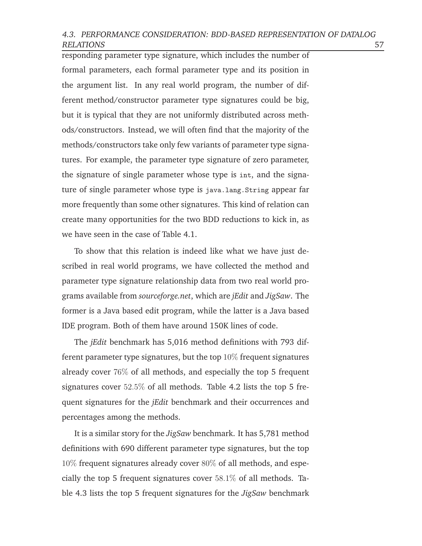#### 4.3. PERFORMANCE CONSIDERATION: BDD-BASED REPRESENTATION OF DATALOG RELATIONS 57

responding parameter type signature, which includes the number of formal parameters, each formal parameter type and its position in the argument list. In any real world program, the number of different method/constructor parameter type signatures could be big, but it is typical that they are not uniformly distributed across methods/constructors. Instead, we will often find that the majority of the methods/constructors take only few variants of parameter type signatures. For example, the parameter type signature of zero parameter, the signature of single parameter whose type is int, and the signature of single parameter whose type is java.lang.String appear far more frequently than some other signatures. This kind of relation can create many opportunities for the two BDD reductions to kick in, as we have seen in the case of Table 4.1.

To show that this relation is indeed like what we have just described in real world programs, we have collected the method and parameter type signature relationship data from two real world programs available from *sourceforge.net*, which are *jEdit* and *JigSaw*. The former is a Java based edit program, while the latter is a Java based IDE program. Both of them have around 150K lines of code.

The *jEdit* benchmark has 5,016 method definitions with 793 different parameter type signatures, but the top  $10\%$  frequent signatures already cover 76% of all methods, and especially the top 5 frequent signatures cover 52.5% of all methods. Table 4.2 lists the top 5 frequent signatures for the *jEdit* benchmark and their occurrences and percentages among the methods.

It is a similar story for the *JigSaw* benchmark. It has 5,781 method definitions with 690 different parameter type signatures, but the top 10% frequent signatures already cover 80% of all methods, and especially the top 5 frequent signatures cover  $58.1\%$  of all methods. Table 4.3 lists the top 5 frequent signatures for the *JigSaw* benchmark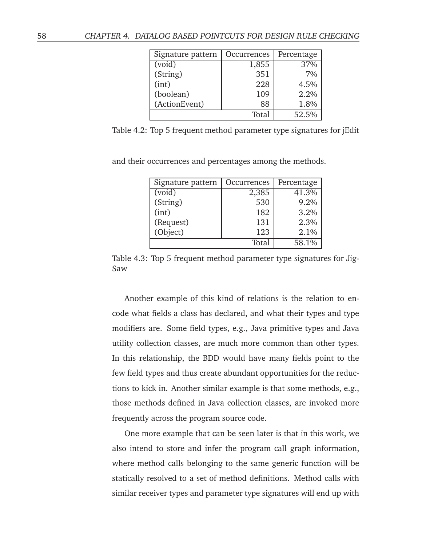| Signature pattern | Occurrences | Percentage |
|-------------------|-------------|------------|
| (void)            | 1,855       | 37%        |
| (String)          | 351         | $7\%$      |
| (int)             | 228         | 4.5%       |
| (boolean)         | 109         | 2.2%       |
| (ActionEvent)     | 88          | 1.8%       |
|                   | Total       | 52.5%      |

Table 4.2: Top 5 frequent method parameter type signatures for jEdit

and their occurrences and percentages among the methods.

| Signature pattern | Occurrences | Percentage |
|-------------------|-------------|------------|
| (void)            | 2,385       | 41.3%      |
| (String)          | 530         | 9.2%       |
| (int)             | 182         | 3.2%       |
| (Request)         | 131         | 2.3%       |
| (Object)          | 123         | 2.1%       |
|                   | Total       | 58.1%      |

Table 4.3: Top 5 frequent method parameter type signatures for Jig-Saw

Another example of this kind of relations is the relation to encode what fields a class has declared, and what their types and type modifiers are. Some field types, e.g., Java primitive types and Java utility collection classes, are much more common than other types. In this relationship, the BDD would have many fields point to the few field types and thus create abundant opportunities for the reductions to kick in. Another similar example is that some methods, e.g., those methods defined in Java collection classes, are invoked more frequently across the program source code.

One more example that can be seen later is that in this work, we also intend to store and infer the program call graph information, where method calls belonging to the same generic function will be statically resolved to a set of method definitions. Method calls with similar receiver types and parameter type signatures will end up with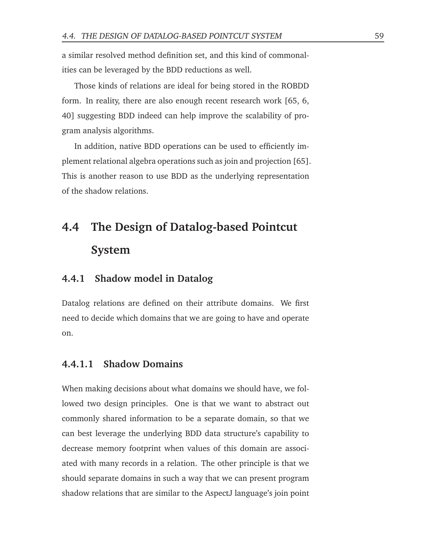a similar resolved method definition set, and this kind of commonalities can be leveraged by the BDD reductions as well.

Those kinds of relations are ideal for being stored in the ROBDD form. In reality, there are also enough recent research work [65, 6, 40] suggesting BDD indeed can help improve the scalability of program analysis algorithms.

In addition, native BDD operations can be used to efficiently implement relational algebra operations such as join and projection [65]. This is another reason to use BDD as the underlying representation of the shadow relations.

# **4.4 The Design of Datalog-based Pointcut System**

### **4.4.1 Shadow model in Datalog**

Datalog relations are defined on their attribute domains. We first need to decide which domains that we are going to have and operate on.

#### **4.4.1.1 Shadow Domains**

When making decisions about what domains we should have, we followed two design principles. One is that we want to abstract out commonly shared information to be a separate domain, so that we can best leverage the underlying BDD data structure's capability to decrease memory footprint when values of this domain are associated with many records in a relation. The other principle is that we should separate domains in such a way that we can present program shadow relations that are similar to the AspectJ language's join point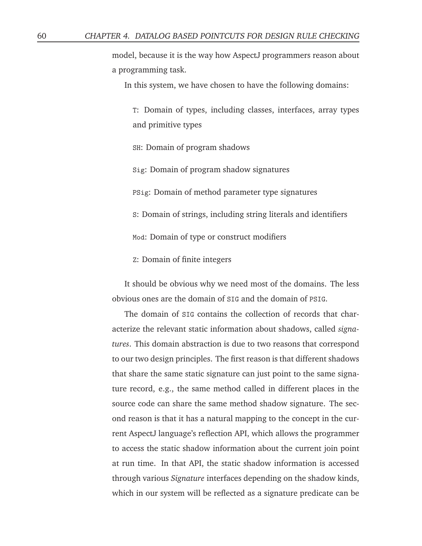model, because it is the way how AspectJ programmers reason about a programming task.

In this system, we have chosen to have the following domains:

T: Domain of types, including classes, interfaces, array types and primitive types

SH: Domain of program shadows

Sig: Domain of program shadow signatures

PSig: Domain of method parameter type signatures

S: Domain of strings, including string literals and identifiers

Mod: Domain of type or construct modifiers

Z: Domain of finite integers

It should be obvious why we need most of the domains. The less obvious ones are the domain of SIG and the domain of PSIG.

The domain of SIG contains the collection of records that characterize the relevant static information about shadows, called *signatures*. This domain abstraction is due to two reasons that correspond to our two design principles. The first reason is that different shadows that share the same static signature can just point to the same signature record, e.g., the same method called in different places in the source code can share the same method shadow signature. The second reason is that it has a natural mapping to the concept in the current AspectJ language's reflection API, which allows the programmer to access the static shadow information about the current join point at run time. In that API, the static shadow information is accessed through various *Signature* interfaces depending on the shadow kinds, which in our system will be reflected as a signature predicate can be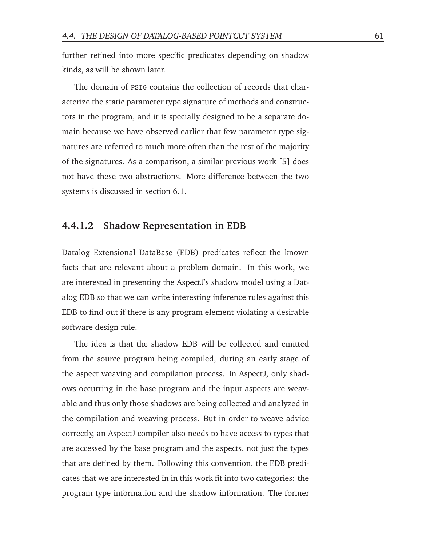further refined into more specific predicates depending on shadow kinds, as will be shown later.

The domain of PSIG contains the collection of records that characterize the static parameter type signature of methods and constructors in the program, and it is specially designed to be a separate domain because we have observed earlier that few parameter type signatures are referred to much more often than the rest of the majority of the signatures. As a comparison, a similar previous work [5] does not have these two abstractions. More difference between the two systems is discussed in section 6.1.

#### **4.4.1.2 Shadow Representation in EDB**

Datalog Extensional DataBase (EDB) predicates reflect the known facts that are relevant about a problem domain. In this work, we are interested in presenting the AspectJ's shadow model using a Datalog EDB so that we can write interesting inference rules against this EDB to find out if there is any program element violating a desirable software design rule.

The idea is that the shadow EDB will be collected and emitted from the source program being compiled, during an early stage of the aspect weaving and compilation process. In AspectJ, only shadows occurring in the base program and the input aspects are weavable and thus only those shadows are being collected and analyzed in the compilation and weaving process. But in order to weave advice correctly, an AspectJ compiler also needs to have access to types that are accessed by the base program and the aspects, not just the types that are defined by them. Following this convention, the EDB predicates that we are interested in in this work fit into two categories: the program type information and the shadow information. The former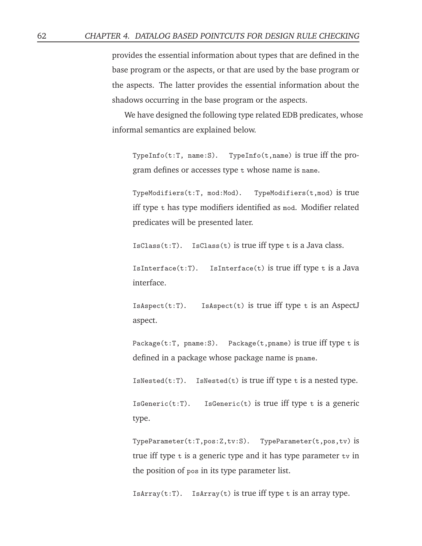provides the essential information about types that are defined in the base program or the aspects, or that are used by the base program or the aspects. The latter provides the essential information about the shadows occurring in the base program or the aspects.

We have designed the following type related EDB predicates, whose informal semantics are explained below.

TypeInfo(t:T, name:S). TypeInfo(t,name) is true iff the program defines or accesses type t whose name is name.

TypeModifiers(t:T, mod:Mod). TypeModifiers(t,mod) is true iff type t has type modifiers identified as mod. Modifier related predicates will be presented later.

IsClass(t:T). IsClass(t) is true iff type t is a Java class.

IsInterface(t:T). IsInterface(t) is true iff type t is a Java interface.

IsAspect(t:T). IsAspect(t) is true iff type t is an AspectJ aspect.

Package(t:T, pname:S). Package(t,pname) is true iff type t is defined in a package whose package name is pname.

 $IsNested(t:T)$ . IsNested(t) is true iff type t is a nested type.

 $IsGeneric(t:T)$ . IsGeneric(t) is true iff type t is a generic type.

TypeParameter(t:T,pos:Z,tv:S). TypeParameter(t,pos,tv) is true iff type  $t$  is a generic type and it has type parameter  $t$  in the position of pos in its type parameter list.

IsArray( $t:T$ ). IsArray( $t$ ) is true iff type  $t$  is an array type.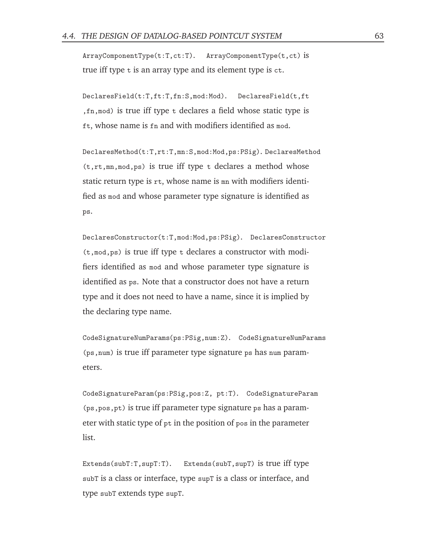ArrayComponentType(t:T,ct:T). ArrayComponentType(t,ct) is true iff type t is an array type and its element type is ct.

DeclaresField(t:T,ft:T,fn:S,mod:Mod). DeclaresField(t,ft ,fn,mod) is true iff type t declares a field whose static type is ft, whose name is fn and with modifiers identified as mod.

DeclaresMethod(t:T,rt:T,mn:S,mod:Mod,ps:PSig). DeclaresMethod (t,rt,mn,mod,ps) is true iff type t declares a method whose static return type is rt, whose name is mn with modifiers identified as mod and whose parameter type signature is identified as ps.

DeclaresConstructor(t:T,mod:Mod,ps:PSig). DeclaresConstructor (t,mod,ps) is true iff type t declares a constructor with modifiers identified as mod and whose parameter type signature is identified as ps. Note that a constructor does not have a return type and it does not need to have a name, since it is implied by the declaring type name.

CodeSignatureNumParams(ps:PSig,num:Z). CodeSignatureNumParams (ps,num) is true iff parameter type signature ps has num parameters.

CodeSignatureParam(ps:PSig,pos:Z, pt:T). CodeSignatureParam (ps,pos,pt) is true iff parameter type signature ps has a parameter with static type of pt in the position of pos in the parameter list.

Extends(subT:T,supT:T). Extends(subT,supT) is true iff type subT is a class or interface, type supT is a class or interface, and type subT extends type supT.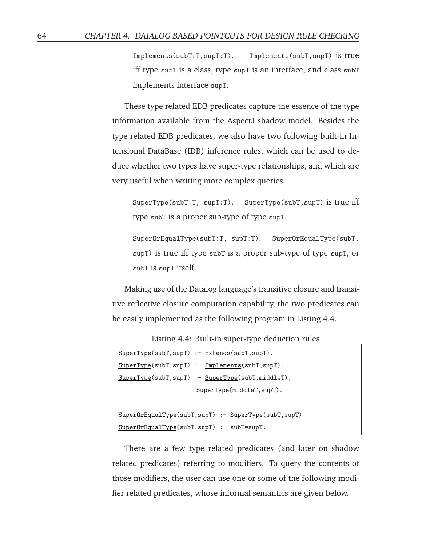Implements(subT:T,supT:T). Implements(subT,supT) is true iff type subT is a class, type supT is an interface, and class subT implements interface supT.

These type related EDB predicates capture the essence of the type information available from the AspectJ shadow model. Besides the type related EDB predicates, we also have two following built-in Intensional DataBase (IDB) inference rules, which can be used to deduce whether two types have super-type relationships, and which are very useful when writing more complex queries.

SuperType(subT:T, supT:T). SuperType(subT,supT) is true iff type subT is a proper sub-type of type supT.

SuperOrEqualType(subT:T, supT:T). SuperOrEqualType(subT, supT) is true iff type subT is a proper sub-type of type supT, or subT is supT itself.

Making use of the Datalog language's transitive closure and transitive reflective closure computation capability, the two predicates can be easily implemented as the following program in Listing 4.4.

Listing 4.4: Built-in super-type deduction rules

| $SuperType(subT, supT) :- Extends(subT, supT).$      |
|------------------------------------------------------|
| $SuperType(subT, supT) :- Implements(subT, supT).$   |
| $SuperType(subT, supT) :- SuperType(subT, middleT),$ |
| $SuperType(middleT, supT)$ .                         |
|                                                      |
|                                                      |

```
SuperOrEqualType(subT, supT) :- SuperType(subT, supT).
SuperOrEqualType(subT,supT) :- subT=supT.
```
There are a few type related predicates (and later on shadow related predicates) referring to modifiers. To query the contents of those modifiers, the user can use one or some of the following modifier related predicates, whose informal semantics are given below.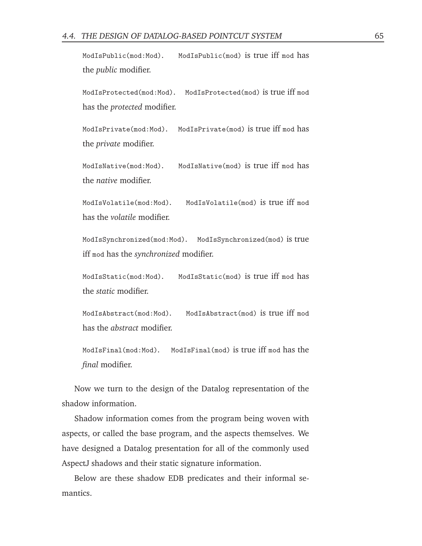ModIsPublic(mod:Mod). ModIsPublic(mod) is true iff mod has the *public* modifier.

ModIsProtected(mod:Mod). ModIsProtected(mod) is true iff mod has the *protected* modifier.

ModIsPrivate(mod:Mod). ModIsPrivate(mod) is true iff mod has the *private* modifier.

ModIsNative(mod:Mod). ModIsNative(mod) is true iff mod has the *native* modifier.

ModIsVolatile(mod:Mod). ModIsVolatile(mod) is true iff mod has the *volatile* modifier.

ModIsSynchronized(mod:Mod). ModIsSynchronized(mod) is true iff mod has the *synchronized* modifier.

ModIsStatic(mod:Mod). ModIsStatic(mod) is true iff mod has the *static* modifier.

ModIsAbstract(mod:Mod). ModIsAbstract(mod) is true iff mod has the *abstract* modifier.

ModIsFinal(mod:Mod). ModIsFinal(mod) is true iff mod has the *final* modifier.

Now we turn to the design of the Datalog representation of the shadow information.

Shadow information comes from the program being woven with aspects, or called the base program, and the aspects themselves. We have designed a Datalog presentation for all of the commonly used AspectJ shadows and their static signature information.

Below are these shadow EDB predicates and their informal semantics.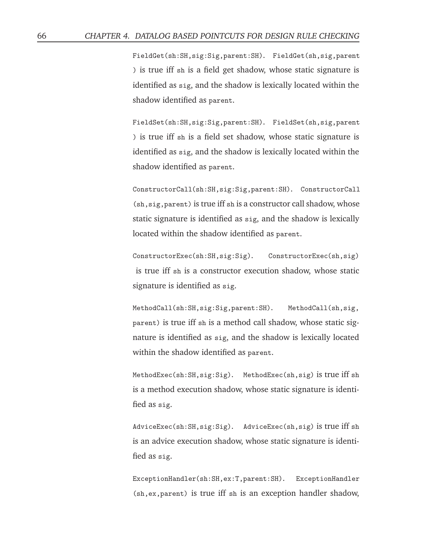FieldGet(sh:SH,sig:Sig,parent:SH). FieldGet(sh,sig,parent ) is true iff sh is a field get shadow, whose static signature is identified as sig, and the shadow is lexically located within the shadow identified as parent.

FieldSet(sh:SH,sig:Sig,parent:SH). FieldSet(sh,sig,parent ) is true iff sh is a field set shadow, whose static signature is identified as sig, and the shadow is lexically located within the shadow identified as parent.

ConstructorCall(sh:SH,sig:Sig,parent:SH). ConstructorCall (sh,sig,parent) is true iff sh is a constructor call shadow, whose static signature is identified as sig, and the shadow is lexically located within the shadow identified as parent.

ConstructorExec(sh:SH,sig:Sig). ConstructorExec(sh,sig) is true iff sh is a constructor execution shadow, whose static signature is identified as sig.

MethodCall(sh:SH,sig:Sig,parent:SH). MethodCall(sh,sig, parent) is true iff sh is a method call shadow, whose static signature is identified as sig, and the shadow is lexically located within the shadow identified as parent.

MethodExec(sh:SH,sig:Sig). MethodExec(sh,sig) is true iff sh is a method execution shadow, whose static signature is identified as sig.

AdviceExec(sh:SH,sig:Sig). AdviceExec(sh,sig) is true iff sh is an advice execution shadow, whose static signature is identified as sig.

ExceptionHandler(sh:SH,ex:T,parent:SH). ExceptionHandler (sh,ex,parent) is true iff sh is an exception handler shadow,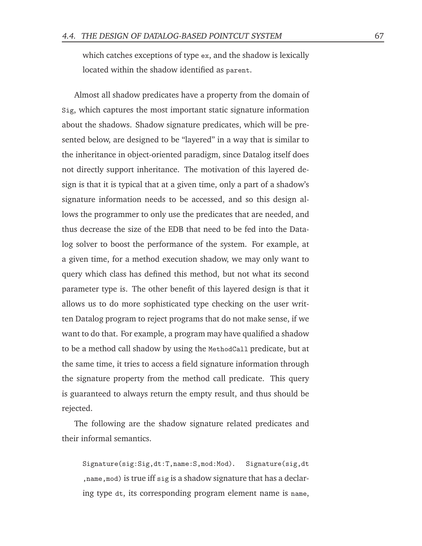which catches exceptions of type ex, and the shadow is lexically located within the shadow identified as parent.

Almost all shadow predicates have a property from the domain of Sig, which captures the most important static signature information about the shadows. Shadow signature predicates, which will be presented below, are designed to be "layered" in a way that is similar to the inheritance in object-oriented paradigm, since Datalog itself does not directly support inheritance. The motivation of this layered design is that it is typical that at a given time, only a part of a shadow's signature information needs to be accessed, and so this design allows the programmer to only use the predicates that are needed, and thus decrease the size of the EDB that need to be fed into the Datalog solver to boost the performance of the system. For example, at a given time, for a method execution shadow, we may only want to query which class has defined this method, but not what its second parameter type is. The other benefit of this layered design is that it allows us to do more sophisticated type checking on the user written Datalog program to reject programs that do not make sense, if we want to do that. For example, a program may have qualified a shadow to be a method call shadow by using the MethodCall predicate, but at the same time, it tries to access a field signature information through the signature property from the method call predicate. This query is guaranteed to always return the empty result, and thus should be rejected.

The following are the shadow signature related predicates and their informal semantics.

Signature(sig:Sig,dt:T,name:S,mod:Mod). Signature(sig,dt ,name,mod) is true iff sig is a shadow signature that has a declaring type dt, its corresponding program element name is name,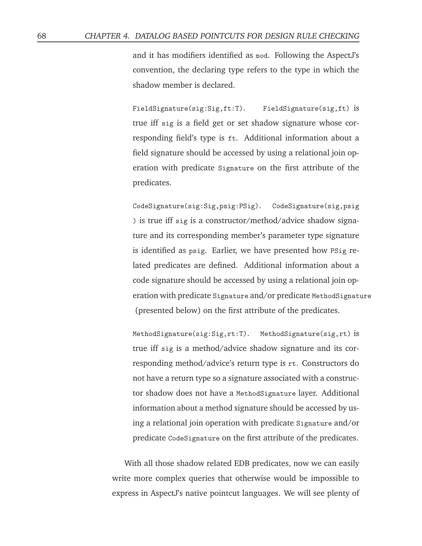and it has modifiers identified as mod. Following the AspectJ's convention, the declaring type refers to the type in which the shadow member is declared.

FieldSignature(sig:Sig,ft:T). FieldSignature(sig,ft) is true iff sig is a field get or set shadow signature whose corresponding field's type is ft. Additional information about a field signature should be accessed by using a relational join operation with predicate Signature on the first attribute of the predicates.

CodeSignature(sig:Sig,psig:PSig). CodeSignature(sig,psig ) is true iff sig is a constructor/method/advice shadow signature and its corresponding member's parameter type signature is identified as psig. Earlier, we have presented how PSig related predicates are defined. Additional information about a code signature should be accessed by using a relational join operation with predicate Signature and/or predicate MethodSignature (presented below) on the first attribute of the predicates.

MethodSignature(sig:Sig,rt:T). MethodSignature(sig,rt) is true iff sig is a method/advice shadow signature and its corresponding method/advice's return type is rt. Constructors do not have a return type so a signature associated with a constructor shadow does not have a MethodSignature layer. Additional information about a method signature should be accessed by using a relational join operation with predicate Signature and/or predicate CodeSignature on the first attribute of the predicates.

With all those shadow related EDB predicates, now we can easily write more complex queries that otherwise would be impossible to express in AspectJ's native pointcut languages. We will see plenty of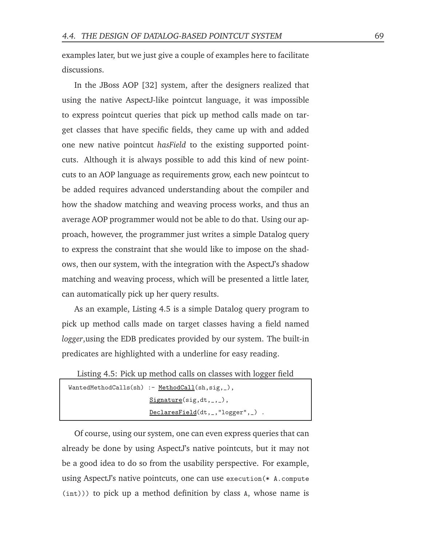examples later, but we just give a couple of examples here to facilitate discussions.

In the JBoss AOP [32] system, after the designers realized that using the native AspectJ-like pointcut language, it was impossible to express pointcut queries that pick up method calls made on target classes that have specific fields, they came up with and added one new native pointcut *hasField* to the existing supported pointcuts. Although it is always possible to add this kind of new pointcuts to an AOP language as requirements grow, each new pointcut to be added requires advanced understanding about the compiler and how the shadow matching and weaving process works, and thus an average AOP programmer would not be able to do that. Using our approach, however, the programmer just writes a simple Datalog query to express the constraint that she would like to impose on the shadows, then our system, with the integration with the AspectJ's shadow matching and weaving process, which will be presented a little later, can automatically pick up her query results.

As an example, Listing 4.5 is a simple Datalog query program to pick up method calls made on target classes having a field named *logger*,using the EDB predicates provided by our system. The built-in predicates are highlighted with a underline for easy reading.

Listing 4.5: Pick up method calls on classes with logger field

```
WantedMethodCalls(sh) :- MethodCall(sh,sig,_),
                        Signature(sig, dt, _{-}, _{-}),
                        DeclaresField(dt,_,"logger",_) .
```
Of course, using our system, one can even express queries that can already be done by using AspectJ's native pointcuts, but it may not be a good idea to do so from the usability perspective. For example, using AspectJ's native pointcuts, one can use execution(\* A.compute (int))) to pick up a method definition by class A, whose name is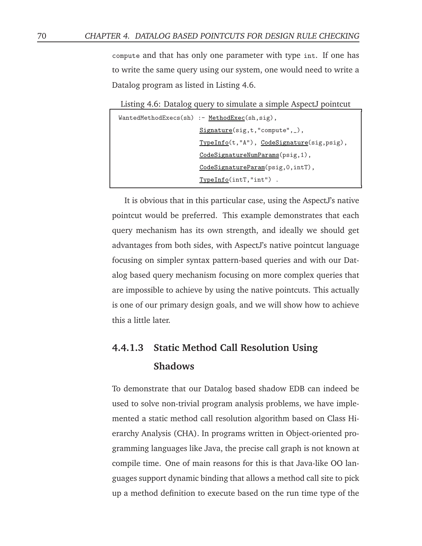compute and that has only one parameter with type int. If one has to write the same query using our system, one would need to write a Datalog program as listed in Listing 4.6.

Listing 4.6: Datalog query to simulate a simple AspectJ pointcut WantedMethodExecs(sh) :- MethodExec(sh,sig), Signature(sig,t,"compute",\_), TypeInfo(t,"A"), CodeSignature(sig,psig), CodeSignatureNumParams(psig,1), CodeSignatureParam(psig,0,intT), TypeInfo(intT,"int") .

It is obvious that in this particular case, using the AspectJ's native pointcut would be preferred. This example demonstrates that each query mechanism has its own strength, and ideally we should get advantages from both sides, with AspectJ's native pointcut language focusing on simpler syntax pattern-based queries and with our Datalog based query mechanism focusing on more complex queries that are impossible to achieve by using the native pointcuts. This actually is one of our primary design goals, and we will show how to achieve this a little later.

### **4.4.1.3 Static Method Call Resolution Using Shadows**

To demonstrate that our Datalog based shadow EDB can indeed be used to solve non-trivial program analysis problems, we have implemented a static method call resolution algorithm based on Class Hierarchy Analysis (CHA). In programs written in Object-oriented programming languages like Java, the precise call graph is not known at compile time. One of main reasons for this is that Java-like OO languages support dynamic binding that allows a method call site to pick up a method definition to execute based on the run time type of the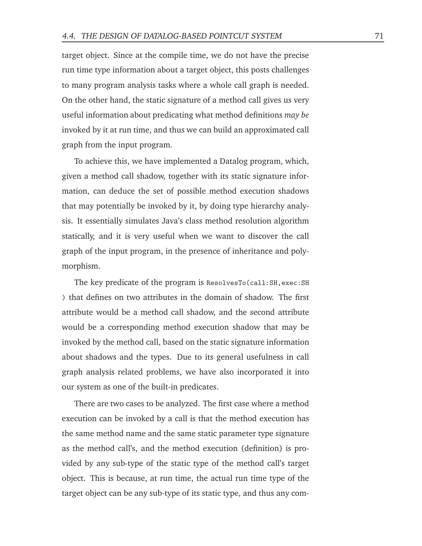target object. Since at the compile time, we do not have the precise run time type information about a target object, this posts challenges to many program analysis tasks where a whole call graph is needed. On the other hand, the static signature of a method call gives us very useful information about predicating what method definitions *may be* invoked by it at run time, and thus we can build an approximated call graph from the input program.

To achieve this, we have implemented a Datalog program, which, given a method call shadow, together with its static signature information, can deduce the set of possible method execution shadows that may potentially be invoked by it, by doing type hierarchy analysis. It essentially simulates Java's class method resolution algorithm statically, and it is very useful when we want to discover the call graph of the input program, in the presence of inheritance and polymorphism.

The key predicate of the program is ResolvesTo(call:SH,exec:SH ) that defines on two attributes in the domain of shadow. The first attribute would be a method call shadow, and the second attribute would be a corresponding method execution shadow that may be invoked by the method call, based on the static signature information about shadows and the types. Due to its general usefulness in call graph analysis related problems, we have also incorporated it into our system as one of the built-in predicates.

There are two cases to be analyzed. The first case where a method execution can be invoked by a call is that the method execution has the same method name and the same static parameter type signature as the method call's, and the method execution (definition) is provided by any sub-type of the static type of the method call's target object. This is because, at run time, the actual run time type of the target object can be any sub-type of its static type, and thus any com-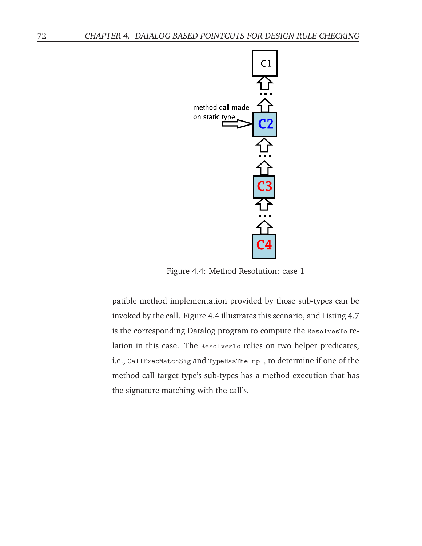

Figure 4.4: Method Resolution: case 1

patible method implementation provided by those sub-types can be invoked by the call. Figure 4.4 illustrates this scenario, and Listing 4.7 is the corresponding Datalog program to compute the ResolvesTo relation in this case. The ResolvesTo relies on two helper predicates, i.e., CallExecMatchSig and TypeHasTheImpl, to determine if one of the method call target type's sub-types has a method execution that has the signature matching with the call's.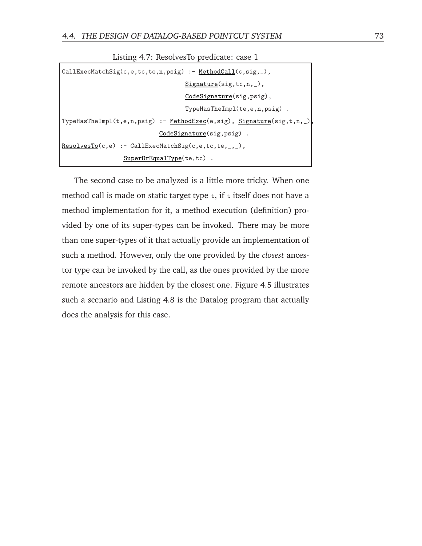| $CallExecMatchSig(c, e, tc, te, n, psig) :- MethodCall(c, sig, _),$    |  |
|------------------------------------------------------------------------|--|
| $Signature(sig,tc,n, _)$ ,                                             |  |
| CodeSignature(sig, psig),                                              |  |
| TypeHasTheImpl(te,e,n,psig).                                           |  |
| TypeHasTheImpl(t,e,n,psig) :- MethodExec(e,sig), Signature(sig,t,n,_), |  |
| CodeSignature(sig, psig).                                              |  |
| $ResolveSTo(c, e) :- CallExecMatchSig(c, e, tc, te, _, _),$            |  |
| $SuperOrEqualType(te,tc)$ .                                            |  |

Listing 4.7: ResolvesTo predicate: case 1

The second case to be analyzed is a little more tricky. When one method call is made on static target type  $t$ , if  $t$  itself does not have a method implementation for it, a method execution (definition) provided by one of its super-types can be invoked. There may be more than one super-types of it that actually provide an implementation of such a method. However, only the one provided by the *closest* ancestor type can be invoked by the call, as the ones provided by the more remote ancestors are hidden by the closest one. Figure 4.5 illustrates such a scenario and Listing 4.8 is the Datalog program that actually does the analysis for this case.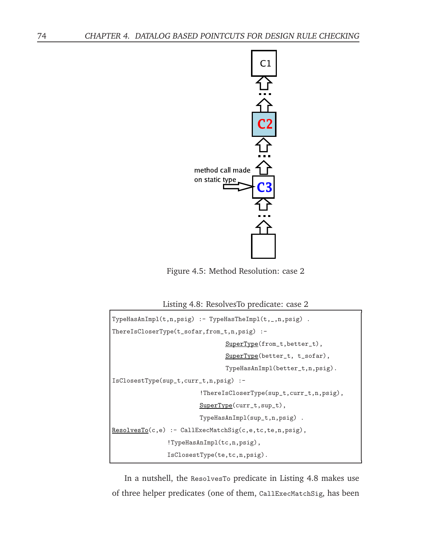

Figure 4.5: Method Resolution: case 2

Listing 4.8: ResolvesTo predicate: case 2

```
TypeHasAnImpl(t,n,psig) :- TypeHasTheImpl(t,_,n,psig) .
ThereIsCloserType(t_sofar,from_t,n,psig) :-
                                SuperType(from_t,better_t),
                                SuperType(better_t, t_sofar),
                                TypeHasAnImpl(better_t,n,psig).
IsClosestType(sup_t,curr_t,n,psig) :-
                         !ThereIsCloserType(sup_t,curr_t,n,psig),
                        SuperType(curr_t,sup_t),
                        TypeHasAnImpl(sup_t,n,psig) .
ResolvesTo(c,e) :- CallExecMatchSig(c,e,tc,te,n,psig),
               !TypeHasAnImpl(tc,n,psig),
               IsClosestType(te,tc,n,psig).
```
In a nutshell, the ResolvesTo predicate in Listing 4.8 makes use of three helper predicates (one of them, CallExecMatchSig, has been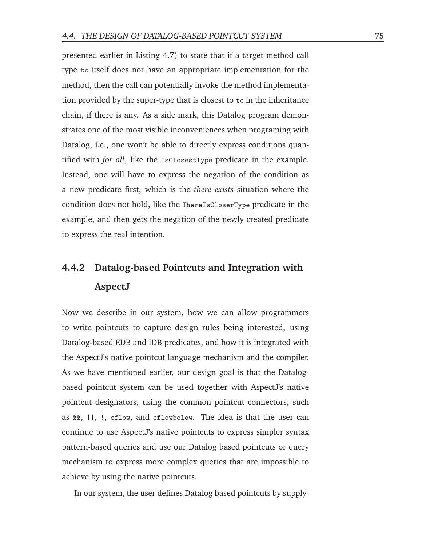presented earlier in Listing 4.7) to state that if a target method call type tc itself does not have an appropriate implementation for the method, then the call can potentially invoke the method implementation provided by the super-type that is closest to tc in the inheritance chain, if there is any. As a side mark, this Datalog program demonstrates one of the most visible inconveniences when programing with Datalog, i.e., one won't be able to directly express conditions quantified with *for all*, like the IsClosestType predicate in the example. Instead, one will have to express the negation of the condition as a new predicate first, which is the *there exists* situation where the condition does not hold, like the ThereIsCloserType predicate in the example, and then gets the negation of the newly created predicate to express the real intention.

### **4.4.2 Datalog-based Pointcuts and Integration with AspectJ**

Now we describe in our system, how we can allow programmers to write pointcuts to capture design rules being interested, using Datalog-based EDB and IDB predicates, and how it is integrated with the AspectJ's native pointcut language mechanism and the compiler. As we have mentioned earlier, our design goal is that the Datalogbased pointcut system can be used together with AspectJ's native pointcut designators, using the common pointcut connectors, such as &&, ||, !, cflow, and cflowbelow. The idea is that the user can continue to use AspectJ's native pointcuts to express simpler syntax pattern-based queries and use our Datalog based pointcuts or query mechanism to express more complex queries that are impossible to achieve by using the native pointcuts.

In our system, the user defines Datalog based pointcuts by supply-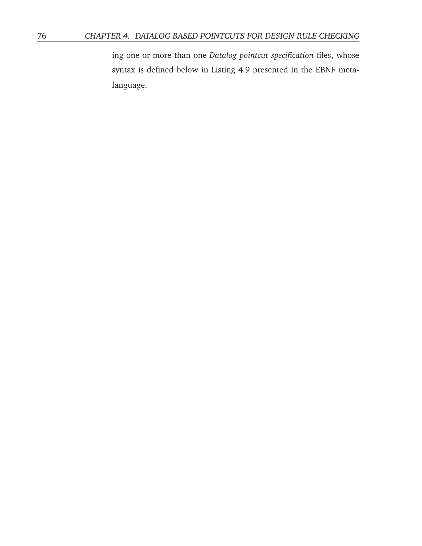ing one or more than one *Datalog pointcut specification* files, whose syntax is defined below in Listing 4.9 presented in the EBNF metalanguage.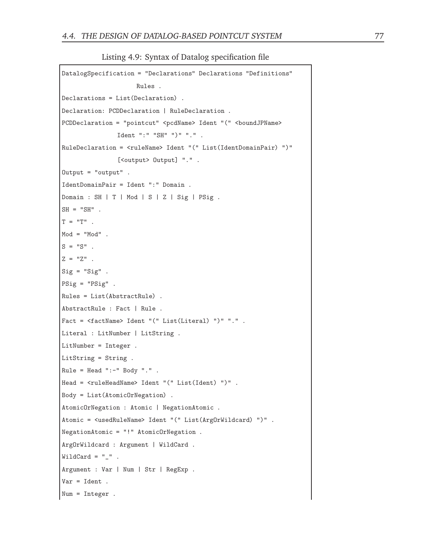Listing 4.9: Syntax of Datalog specification file

```
DatalogSpecification = "Declarations" Declarations "Definitions"
                     Rules .
Declarations = List(Declaration) .
Declaration: PCDDeclaration | RuleDeclaration .
PCDDeclaration = "pointcut" <pcdName> Ident "(" <boundJPName>
               Ident ":" "SH" ")" "." .
RuleDeclaration = <ruleName> Ident "(" List(IdentDomainPair) ")"
               [<output> Output] ".".
Output = "output" .
IdentDomainPair = Ident ":" Domain .
Domain : SH | T | Mod | S | Z | Sig | PSig .
SH = "SH".
T = "T".
Mod = "Mod".
S = "S".
Z = "Z".
Sig = "Sig" .
PSig = "PSig" .
Rules = List(AbstractRule) .
AbstractRule : Fact | Rule .
Fact = <factName> Ident "(" List(Literal) ")" "." .
Literal : LitNumber | LitString .
LitNumber = Integer .
LitString = String .
Rule = Head ":-" Body ".".
Head = <ruleHeadName> Ident "(" List(Ident) ")" .
Body = List(AtomicOrNegation) .
AtomicOrNegation : Atomic | NegationAtomic .
Atomic = <usedRuleName> Ident "(" List(ArgOrWildcard) ")" .
NegationAtomic = "!" AtomicOrNegation .
ArgOrWildcard : Argument | WildCard .
WidthCard = ".
Argument : Var | Num | Str | RegExp .
Var = Ident .
Num = Integer .
```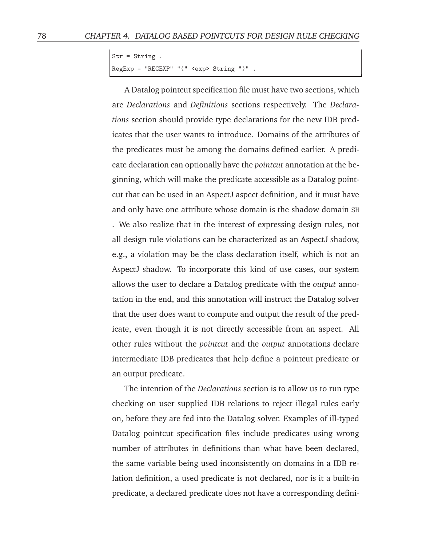```
Str = String .
RegExp = "REGEXP" "(" <exp> String ")" .
```
A Datalog pointcut specification file must have two sections, which are *Declarations* and *Definitions* sections respectively. The *Declarations* section should provide type declarations for the new IDB predicates that the user wants to introduce. Domains of the attributes of the predicates must be among the domains defined earlier. A predicate declaration can optionally have the *pointcut* annotation at the beginning, which will make the predicate accessible as a Datalog pointcut that can be used in an AspectJ aspect definition, and it must have and only have one attribute whose domain is the shadow domain SH

. We also realize that in the interest of expressing design rules, not all design rule violations can be characterized as an AspectJ shadow, e.g., a violation may be the class declaration itself, which is not an AspectJ shadow. To incorporate this kind of use cases, our system allows the user to declare a Datalog predicate with the *output* annotation in the end, and this annotation will instruct the Datalog solver that the user does want to compute and output the result of the predicate, even though it is not directly accessible from an aspect. All other rules without the *pointcut* and the *output* annotations declare intermediate IDB predicates that help define a pointcut predicate or an output predicate.

The intention of the *Declarations* section is to allow us to run type checking on user supplied IDB relations to reject illegal rules early on, before they are fed into the Datalog solver. Examples of ill-typed Datalog pointcut specification files include predicates using wrong number of attributes in definitions than what have been declared, the same variable being used inconsistently on domains in a IDB relation definition, a used predicate is not declared, nor is it a built-in predicate, a declared predicate does not have a corresponding defini-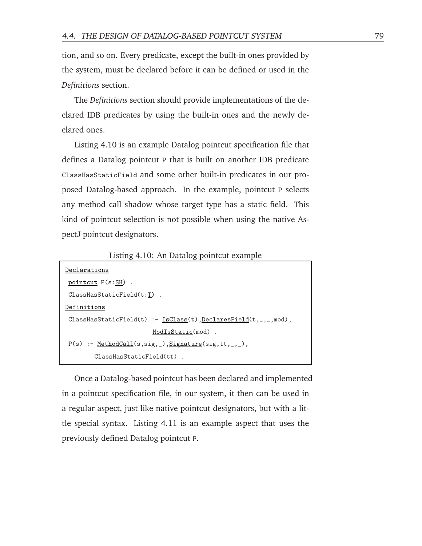tion, and so on. Every predicate, except the built-in ones provided by the system, must be declared before it can be defined or used in the *Definitions* section.

The *Definitions* section should provide implementations of the declared IDB predicates by using the built-in ones and the newly declared ones.

Listing 4.10 is an example Datalog pointcut specification file that defines a Datalog pointcut P that is built on another IDB predicate ClassHasStaticField and some other built-in predicates in our proposed Datalog-based approach. In the example, pointcut P selects any method call shadow whose target type has a static field. This kind of pointcut selection is not possible when using the native AspectJ pointcut designators.

Listing 4.10: An Datalog pointcut example

| Declarations                                                         |
|----------------------------------------------------------------------|
| pointcut $P(s:SH)$ .                                                 |
| $ClassHasStaticField(t:T)$ .                                         |
| Definitions                                                          |
| ClassHasStaticField(t) :- $IsClass(t)$ , $DeclaresField(t, , mod)$ , |
| ModIsStatic(mod).                                                    |
| $P(s)$ : - MethodCall(s,sig, ), Signature(sig,tt, _, _),             |
| $ClassHasStaticField(tt)$ .                                          |

Once a Datalog-based pointcut has been declared and implemented in a pointcut specification file, in our system, it then can be used in a regular aspect, just like native pointcut designators, but with a little special syntax. Listing 4.11 is an example aspect that uses the previously defined Datalog pointcut P.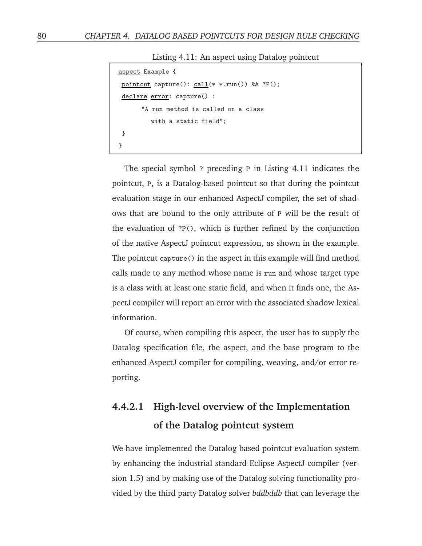Listing 4.11: An aspect using Datalog pointcut

```
aspect Example {
pointcut capture(): call(* *.run()) && ?P();
declare error: capture() :
      "A run method is called on a class
         with a static field";
}
}
```
The special symbol ? preceding P in Listing 4.11 indicates the pointcut, P, is a Datalog-based pointcut so that during the pointcut evaluation stage in our enhanced AspectJ compiler, the set of shadows that are bound to the only attribute of P will be the result of the evaluation of ?P(), which is further refined by the conjunction of the native AspectJ pointcut expression, as shown in the example. The pointcut capture() in the aspect in this example will find method calls made to any method whose name is run and whose target type is a class with at least one static field, and when it finds one, the AspectJ compiler will report an error with the associated shadow lexical information.

Of course, when compiling this aspect, the user has to supply the Datalog specification file, the aspect, and the base program to the enhanced AspectJ compiler for compiling, weaving, and/or error reporting.

### **4.4.2.1 High-level overview of the Implementation of the Datalog pointcut system**

We have implemented the Datalog based pointcut evaluation system by enhancing the industrial standard Eclipse AspectJ compiler (version 1.5) and by making use of the Datalog solving functionality provided by the third party Datalog solver *bddbddb* that can leverage the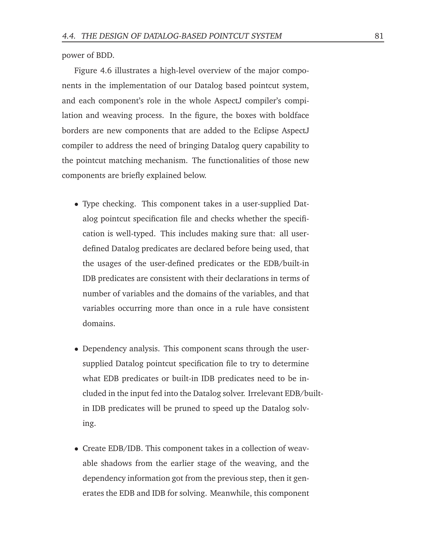power of BDD.

Figure 4.6 illustrates a high-level overview of the major components in the implementation of our Datalog based pointcut system, and each component's role in the whole AspectJ compiler's compilation and weaving process. In the figure, the boxes with boldface borders are new components that are added to the Eclipse AspectJ compiler to address the need of bringing Datalog query capability to the pointcut matching mechanism. The functionalities of those new components are briefly explained below.

- Type checking. This component takes in a user-supplied Datalog pointcut specification file and checks whether the specification is well-typed. This includes making sure that: all userdefined Datalog predicates are declared before being used, that the usages of the user-defined predicates or the EDB/built-in IDB predicates are consistent with their declarations in terms of number of variables and the domains of the variables, and that variables occurring more than once in a rule have consistent domains.
- Dependency analysis. This component scans through the usersupplied Datalog pointcut specification file to try to determine what EDB predicates or built-in IDB predicates need to be included in the input fed into the Datalog solver. Irrelevant EDB/builtin IDB predicates will be pruned to speed up the Datalog solving.
- Create EDB/IDB. This component takes in a collection of weavable shadows from the earlier stage of the weaving, and the dependency information got from the previous step, then it generates the EDB and IDB for solving. Meanwhile, this component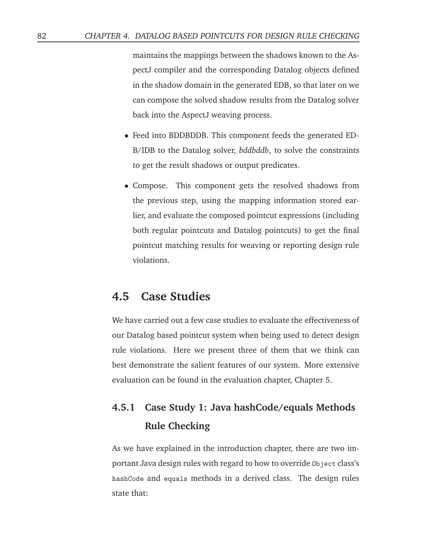maintains the mappings between the shadows known to the AspectJ compiler and the corresponding Datalog objects defined in the shadow domain in the generated EDB, so that later on we can compose the solved shadow results from the Datalog solver back into the AspectJ weaving process.

- Feed into BDDBDDB. This component feeds the generated ED-B/IDB to the Datalog solver, *bddbddb*, to solve the constraints to get the result shadows or output predicates.
- Compose. This component gets the resolved shadows from the previous step, using the mapping information stored earlier, and evaluate the composed pointcut expressions (including both regular pointcuts and Datalog pointcuts) to get the final pointcut matching results for weaving or reporting design rule violations.

### **4.5 Case Studies**

We have carried out a few case studies to evaluate the effectiveness of our Datalog based pointcut system when being used to detect design rule violations. Here we present three of them that we think can best demonstrate the salient features of our system. More extensive evaluation can be found in the evaluation chapter, Chapter 5.

## **4.5.1 Case Study 1: Java hashCode/equals Methods Rule Checking**

As we have explained in the introduction chapter, there are two important Java design rules with regard to how to override Object class's hashCode and equals methods in a derived class. The design rules state that: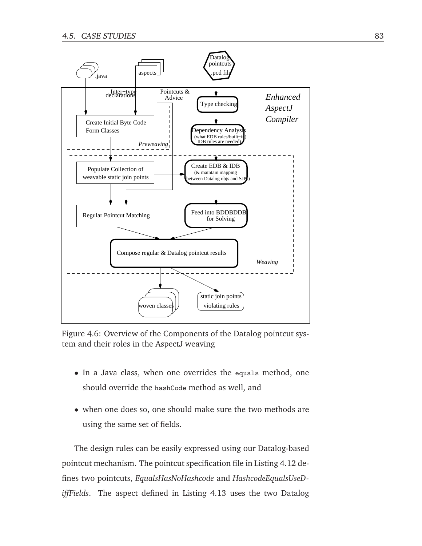

Figure 4.6: Overview of the Components of the Datalog pointcut system and their roles in the AspectJ weaving

- In a Java class, when one overrides the equals method, one should override the hashCode method as well, and
- when one does so, one should make sure the two methods are using the same set of fields.

The design rules can be easily expressed using our Datalog-based pointcut mechanism. The pointcut specification file in Listing 4.12 defines two pointcuts, *EqualsHasNoHashcode* and *HashcodeEqualsUseDiffFields*. The aspect defined in Listing 4.13 uses the two Datalog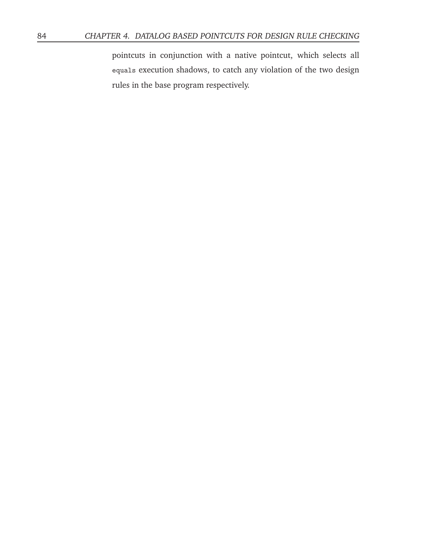pointcuts in conjunction with a native pointcut, which selects all equals execution shadows, to catch any violation of the two design rules in the base program respectively.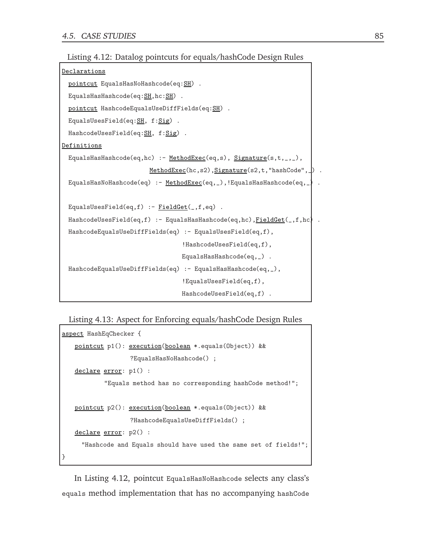```
Declarations
 pointcut EqualsHasNoHashcode(eq: SH).
 EqualsHasHashcode(eq: SH, hc: SH).
 pointcut HashcodeEqualsUseDiffFields(eq:SH) .
 EqualsUsesField(eq:SH, f:Sig).
 HashcodeUsesField(eq:SH, f:Sig).
Definitions
 EqualsHasHashcode(eq,hc) :- MethodExec(eq,s), Signature(s,t,_,_),
                         MethodExec(hc,s2), Signature(s2,t, "hashCode", \Box).
 EqualsHasNoHashcode(eq) :- <u>MethodExec</u>(eq, _), !EqualsHashcode(eq, _).</u>
 EqualsUsesField(eq,f) :- <u>FieldGet(</u>, f, eq).</u>
 HashcodeUsesField(eq,f) :- EqualsHasHashcode(eq,hc), FieldGet(_,f,hc) .
 HashcodeEqualsUseDiffFields(eq) :- EqualsUsesField(eq,f),
                                   !HashcodeUsesField(eq,f),
                                   EqualsHasHashcode(eq, _) .
 HashcodeEqualsUseDiffFields(eq) :- EqualsHasHashcode(eq,_),
                                   !EqualsUsesField(eq,f),
                                   HashcodeUsesField(eq,f) .
```
#### Listing 4.13: Aspect for Enforcing equals/hashCode Design Rules

```
aspect HashEqChecker {
   pointcut p1(): execution(boolean *.equals(Object)) &&
                   ?EqualsHasNoHashcode() ;
   declare error: p1() :
           "Equals method has no corresponding hashCode method!";
   pointcut p2(): execution(boolean *.equals(Object)) &&
                   ?HashcodeEqualsUseDiffFields() ;
   declare error: p2() :
     "Hashcode and Equals should have used the same set of fields!";
}
```
In Listing 4.12, pointcut EqualsHasNoHashcode selects any class's equals method implementation that has no accompanying hashCode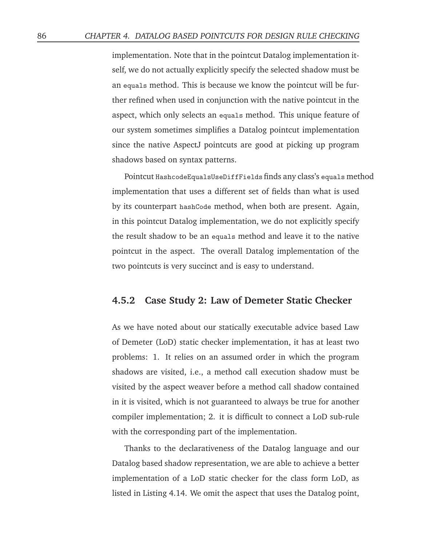implementation. Note that in the pointcut Datalog implementation itself, we do not actually explicitly specify the selected shadow must be an equals method. This is because we know the pointcut will be further refined when used in conjunction with the native pointcut in the aspect, which only selects an equals method. This unique feature of our system sometimes simplifies a Datalog pointcut implementation since the native AspectJ pointcuts are good at picking up program shadows based on syntax patterns.

Pointcut HashcodeEqualsUseDiffFields finds any class's equals method implementation that uses a different set of fields than what is used by its counterpart hashCode method, when both are present. Again, in this pointcut Datalog implementation, we do not explicitly specify the result shadow to be an equals method and leave it to the native pointcut in the aspect. The overall Datalog implementation of the two pointcuts is very succinct and is easy to understand.

#### **4.5.2 Case Study 2: Law of Demeter Static Checker**

As we have noted about our statically executable advice based Law of Demeter (LoD) static checker implementation, it has at least two problems: 1. It relies on an assumed order in which the program shadows are visited, i.e., a method call execution shadow must be visited by the aspect weaver before a method call shadow contained in it is visited, which is not guaranteed to always be true for another compiler implementation; 2. it is difficult to connect a LoD sub-rule with the corresponding part of the implementation.

Thanks to the declarativeness of the Datalog language and our Datalog based shadow representation, we are able to achieve a better implementation of a LoD static checker for the class form LoD, as listed in Listing 4.14. We omit the aspect that uses the Datalog point,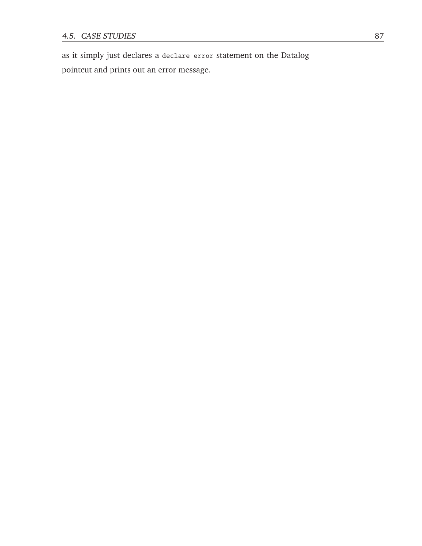as it simply just declares a declare error statement on the Datalog pointcut and prints out an error message.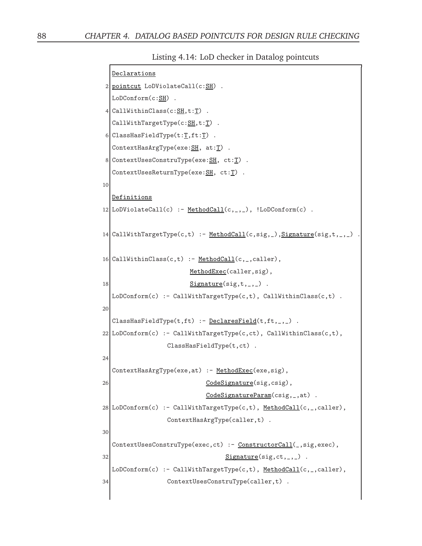Listing 4.14: LoD checker in Datalog pointcuts

```
Declarations
2 pointcut LoDViolateCall(c:\frac{SH}{CH}).
  LoDConform(c:SH) .
4 CallWithinClass(c: S H, t: T).
  CallWithTargetType(c:SH,t:T).
6 ClassHasFieldType(t:\underline{T},ft:\underline{T}).
  ContextHasArgType(exe: SH, at: T).
8 ContextUsesConstruType(exe: SH, ct: T).
  ContextUsesReturnType(exe: SH, ct: T).
10
  Definitions
12 LoDViolateCall(c) :- MethodCall(c, \ldots), !LoDConform(c).
14 CallWithTargetType(c,t) :- <u>MethodCall</u>(c,sig,_), Signature(sig,t,_,_)
16 CallWithinClass(c, t) :- MethodCall(c, z, ccaller),
                       MethodExec(caller,sig),
18 Signature(sig, t, ...,).
  LoDConform(c) :- CallWithTargetType(c,t), CallWithinClass(c,t) .
20
  ClassHasFieldType(t,ft) :- DeclaresField(t,ft,_,_) .
22| LoDConform(c) :- CallWithTargetType(c,ct), CallWithinClass(c,t),
                 ClassHasFieldType(t,ct) .
24
  ContextHasArgType(exe, at) :- MethodExec(exe, sig),
26 CodeSignature(sig, csig),
                            CodeSignatureParam(csig,_,at) .
28 | LoDConform(c) :- CallWithTargetType(c,t), MethodCall(c, _, caller),
                 ContextHasArgType(caller,t) .
30
  ContextUsesConstruType(exec,ct) :- ConstructorCall(_,sig,exec),
32 Signature(sig, ct, _, _).
  LoDConform(c) :- CallWithTargetType(c,t), MethodCall(c,_,caller),
34 ContextUsesConstruType(caller,t) .
```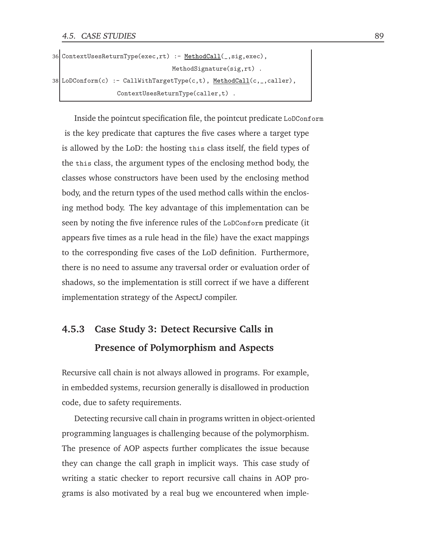```
36 ContextUsesReturnType(exec,rt) :- MethodCall(_,sig,exec),
                                  MethodSignature(sig,rt) .
38 LoDConform(c) :- CallWithTargetType(c,t), MethodCall(c, _, caller),
                  ContextUsesReturnType(caller,t) .
```
Inside the pointcut specification file, the pointcut predicate LoDConform is the key predicate that captures the five cases where a target type is allowed by the LoD: the hosting this class itself, the field types of the this class, the argument types of the enclosing method body, the classes whose constructors have been used by the enclosing method body, and the return types of the used method calls within the enclosing method body. The key advantage of this implementation can be seen by noting the five inference rules of the LoDConform predicate (it appears five times as a rule head in the file) have the exact mappings to the corresponding five cases of the LoD definition. Furthermore, there is no need to assume any traversal order or evaluation order of shadows, so the implementation is still correct if we have a different implementation strategy of the AspectJ compiler.

### **4.5.3 Case Study 3: Detect Recursive Calls in Presence of Polymorphism and Aspects**

Recursive call chain is not always allowed in programs. For example, in embedded systems, recursion generally is disallowed in production code, due to safety requirements.

Detecting recursive call chain in programs written in object-oriented programming languages is challenging because of the polymorphism. The presence of AOP aspects further complicates the issue because they can change the call graph in implicit ways. This case study of writing a static checker to report recursive call chains in AOP programs is also motivated by a real bug we encountered when imple-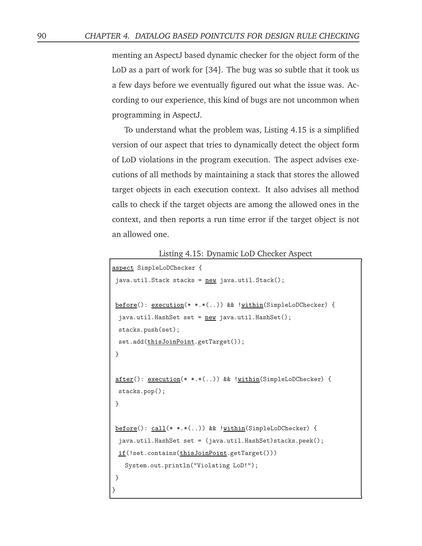menting an AspectJ based dynamic checker for the object form of the LoD as a part of work for [34]. The bug was so subtle that it took us a few days before we eventually figured out what the issue was. According to our experience, this kind of bugs are not uncommon when programming in AspectJ.

To understand what the problem was, Listing 4.15 is a simplified version of our aspect that tries to dynamically detect the object form of LoD violations in the program execution. The aspect advises executions of all methods by maintaining a stack that stores the allowed target objects in each execution context. It also advises all method calls to check if the target objects are among the allowed ones in the context, and then reports a run time error if the target object is not an allowed one.

Listing 4.15: Dynamic LoD Checker Aspect

```
aspect SimpleLoDChecker {
 java.util.Stack stacks = new java.util.Stack();
 before(): execution(* *.*(..)) && !within(SimpleLoDChecker) {
 java.util.HashSet set = new java.util.HashSet();stacks.push(set);
 set.add(thisJoinPoint.getTarget());
 }
 after(): execution(* *.*(..)) && !within(SimpleLoDChecker) {
 stacks.pop();
 }
 before(): call(* *.*(..)) && !within(SimpleLoDChecker) {
 java.util.HashSet set = (java.util.HashSet)stacks.peek();
 if(!set.contains(thisJoinPoint.getTarget()))
   System.out.println("Violating LoD!");
}
}
```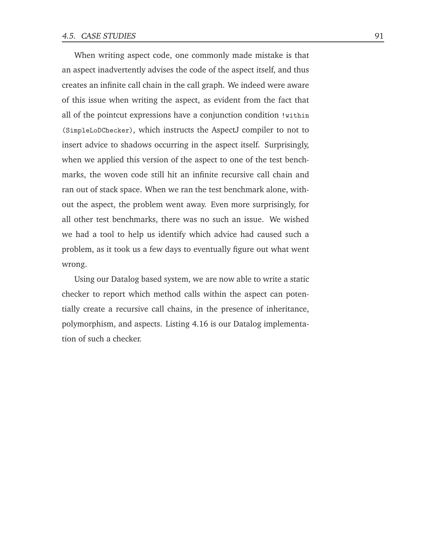When writing aspect code, one commonly made mistake is that an aspect inadvertently advises the code of the aspect itself, and thus creates an infinite call chain in the call graph. We indeed were aware of this issue when writing the aspect, as evident from the fact that all of the pointcut expressions have a conjunction condition !within (SimpleLoDChecker), which instructs the AspectJ compiler to not to insert advice to shadows occurring in the aspect itself. Surprisingly, when we applied this version of the aspect to one of the test benchmarks, the woven code still hit an infinite recursive call chain and ran out of stack space. When we ran the test benchmark alone, without the aspect, the problem went away. Even more surprisingly, for all other test benchmarks, there was no such an issue. We wished we had a tool to help us identify which advice had caused such a problem, as it took us a few days to eventually figure out what went wrong.

Using our Datalog based system, we are now able to write a static checker to report which method calls within the aspect can potentially create a recursive call chains, in the presence of inheritance, polymorphism, and aspects. Listing 4.16 is our Datalog implementation of such a checker.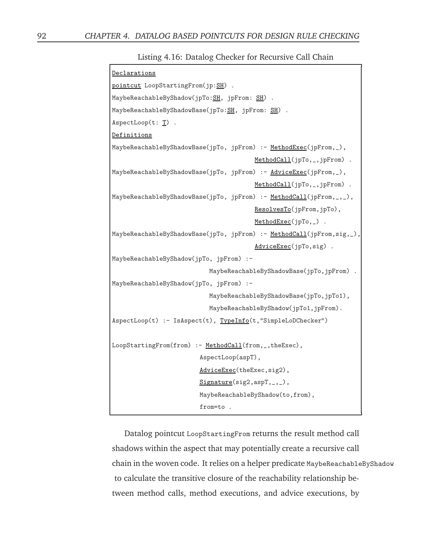Listing 4.16: Datalog Checker for Recursive Call Chain

| Declarations                                                          |  |  |
|-----------------------------------------------------------------------|--|--|
| pointcut LoopStartingFrom(jp:SH).                                     |  |  |
| MaybeReachableByShadow(jpTo:SH, jpFrom: SH).                          |  |  |
| MaybeReachableByShadowBase(jpTo:SH, jpFrom: SH) .                     |  |  |
| $AspectLoop(t: T)$ .                                                  |  |  |
| Definitions                                                           |  |  |
| MaybeReachableByShadowBase(jpTo, jpFrom) :- MethodExec(jpFrom,_),     |  |  |
| MethodCall(jpTo,_,jpFrom) .                                           |  |  |
| MaybeReachableByShadowBase(jpTo, jpFrom) :- AdviceExec(jpFrom,_),     |  |  |
| MethodCall(jpTo,_,jpFrom).                                            |  |  |
| MaybeReachableByShadowBase(jpTo, jpFrom) :- MethodCall(jpFrom,_,_),   |  |  |
| ResolvesTo(jpFrom,jpTo),                                              |  |  |
| $MethodExec(jpTo, _)$ .                                               |  |  |
| MaybeReachableByShadowBase(jpTo, jpFrom) :- MethodCall(jpFrom,sig,_), |  |  |
| AdviceExec(jpTo,sig).                                                 |  |  |
| MaybeReachableByShadow(jpTo, jpFrom) :-                               |  |  |
| MaybeReachableByShadowBase(jpTo,jpFrom).                              |  |  |
| MaybeReachableByShadow(jpTo, jpFrom) :-                               |  |  |
| MaybeReachableByShadowBase(jpTo,jpTo1),                               |  |  |
| MaybeReachableByShadow(jpTo1,jpFrom).                                 |  |  |
| AspectLoop(t) :- IsAspect(t), TypeInfo(t, "SimpleLoDChecker")         |  |  |
|                                                                       |  |  |
| LoopStartingFrom(from) :- MethodCall(from,_,theExec),                 |  |  |
| AspectLoop(aspT),                                                     |  |  |
| AdviceExec(theExec, sig2),                                            |  |  |
| $Signature(sig2, aspT, _{-}, _{-})$ ,                                 |  |  |
| MaybeReachableByShadow(to, from),                                     |  |  |
| from=to.                                                              |  |  |

Datalog pointcut LoopStartingFrom returns the result method call shadows within the aspect that may potentially create a recursive call chain in the woven code. It relies on a helper predicate MaybeReachableByShadow to calculate the transitive closure of the reachability relationship between method calls, method executions, and advice executions, by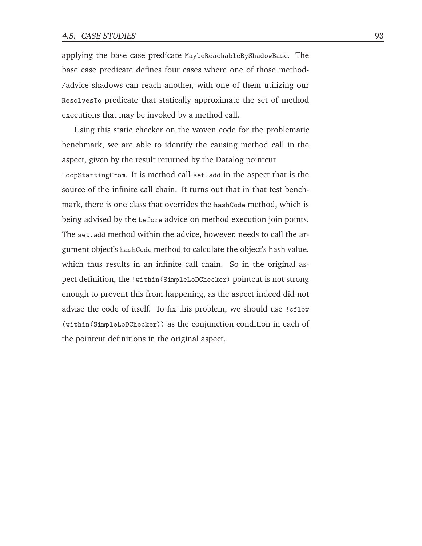applying the base case predicate MaybeReachableByShadowBase. The base case predicate defines four cases where one of those method- /advice shadows can reach another, with one of them utilizing our ResolvesTo predicate that statically approximate the set of method executions that may be invoked by a method call.

Using this static checker on the woven code for the problematic benchmark, we are able to identify the causing method call in the aspect, given by the result returned by the Datalog pointcut

LoopStartingFrom. It is method call set.add in the aspect that is the source of the infinite call chain. It turns out that in that test benchmark, there is one class that overrides the hashCode method, which is being advised by the before advice on method execution join points. The set.add method within the advice, however, needs to call the argument object's hashCode method to calculate the object's hash value, which thus results in an infinite call chain. So in the original aspect definition, the !within(SimpleLoDChecker) pointcut is not strong enough to prevent this from happening, as the aspect indeed did not advise the code of itself. To fix this problem, we should use !cflow (within(SimpleLoDChecker)) as the conjunction condition in each of the pointcut definitions in the original aspect.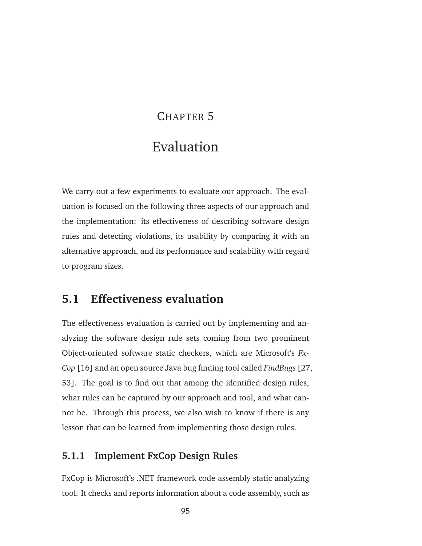## CHAPTER 5

# Evaluation

We carry out a few experiments to evaluate our approach. The evaluation is focused on the following three aspects of our approach and the implementation: its effectiveness of describing software design rules and detecting violations, its usability by comparing it with an alternative approach, and its performance and scalability with regard to program sizes.

## **5.1 Effectiveness evaluation**

The effectiveness evaluation is carried out by implementing and analyzing the software design rule sets coming from two prominent Object-oriented software static checkers, which are Microsoft's *Fx-Cop* [16] and an open source Java bug finding tool called *FindBugs* [27, 53]. The goal is to find out that among the identified design rules, what rules can be captured by our approach and tool, and what cannot be. Through this process, we also wish to know if there is any lesson that can be learned from implementing those design rules.

### **5.1.1 Implement FxCop Design Rules**

FxCop is Microsoft's .NET framework code assembly static analyzing tool. It checks and reports information about a code assembly, such as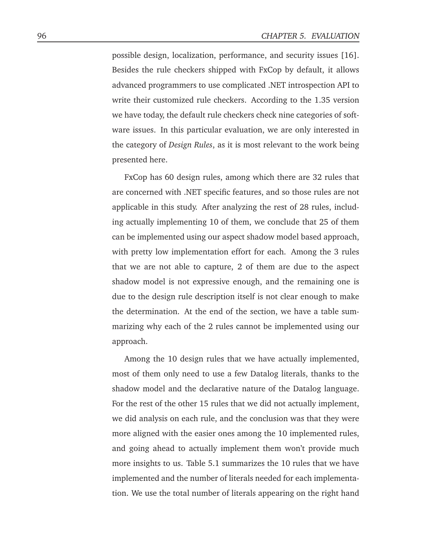possible design, localization, performance, and security issues [16]. Besides the rule checkers shipped with FxCop by default, it allows advanced programmers to use complicated .NET introspection API to write their customized rule checkers. According to the 1.35 version we have today, the default rule checkers check nine categories of software issues. In this particular evaluation, we are only interested in the category of *Design Rules*, as it is most relevant to the work being presented here.

FxCop has 60 design rules, among which there are 32 rules that are concerned with .NET specific features, and so those rules are not applicable in this study. After analyzing the rest of 28 rules, including actually implementing 10 of them, we conclude that 25 of them can be implemented using our aspect shadow model based approach, with pretty low implementation effort for each. Among the 3 rules that we are not able to capture, 2 of them are due to the aspect shadow model is not expressive enough, and the remaining one is due to the design rule description itself is not clear enough to make the determination. At the end of the section, we have a table summarizing why each of the 2 rules cannot be implemented using our approach.

Among the 10 design rules that we have actually implemented, most of them only need to use a few Datalog literals, thanks to the shadow model and the declarative nature of the Datalog language. For the rest of the other 15 rules that we did not actually implement, we did analysis on each rule, and the conclusion was that they were more aligned with the easier ones among the 10 implemented rules, and going ahead to actually implement them won't provide much more insights to us. Table 5.1 summarizes the 10 rules that we have implemented and the number of literals needed for each implementation. We use the total number of literals appearing on the right hand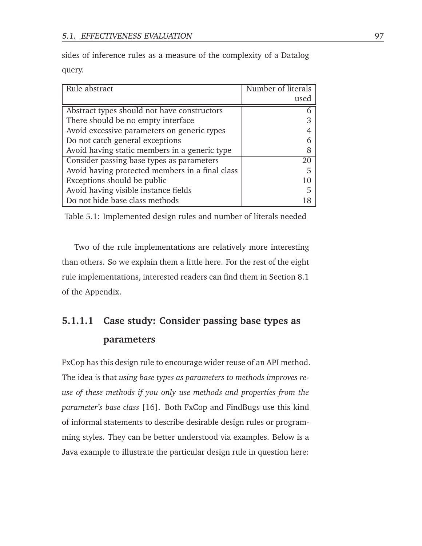sides of inference rules as a measure of the complexity of a Datalog

query.

| Rule abstract                                   | Number of literals |
|-------------------------------------------------|--------------------|
|                                                 | used               |
| Abstract types should not have constructors     |                    |
| There should be no empty interface              |                    |
| Avoid excessive parameters on generic types     |                    |
| Do not catch general exceptions                 |                    |
| Avoid having static members in a generic type   |                    |
| Consider passing base types as parameters       | 20                 |
| Avoid having protected members in a final class |                    |
| Exceptions should be public                     | 10                 |
| Avoid having visible instance fields            | 5                  |
| Do not hide base class methods                  |                    |

Table 5.1: Implemented design rules and number of literals needed

Two of the rule implementations are relatively more interesting than others. So we explain them a little here. For the rest of the eight rule implementations, interested readers can find them in Section 8.1 of the Appendix.

# **5.1.1.1 Case study: Consider passing base types as parameters**

FxCop has this design rule to encourage wider reuse of an API method. The idea is that *using base types as parameters to methods improves reuse of these methods if you only use methods and properties from the parameter's base class* [16]. Both FxCop and FindBugs use this kind of informal statements to describe desirable design rules or programming styles. They can be better understood via examples. Below is a Java example to illustrate the particular design rule in question here: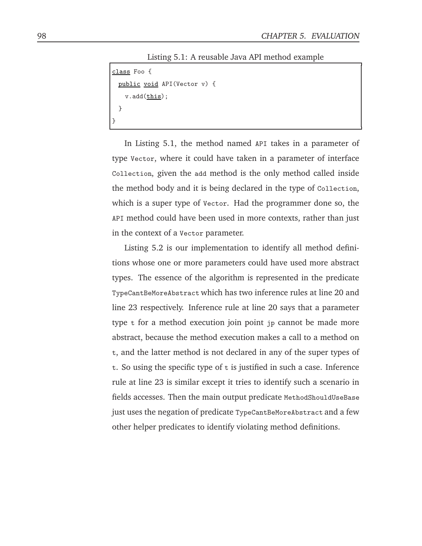Listing 5.1: A reusable Java API method example

```
class Foo {
 public void API(Vector v) {
   v.add(this);
 }
}
```
In Listing 5.1, the method named API takes in a parameter of type Vector, where it could have taken in a parameter of interface Collection, given the add method is the only method called inside the method body and it is being declared in the type of Collection, which is a super type of Vector. Had the programmer done so, the API method could have been used in more contexts, rather than just in the context of a Vector parameter.

Listing 5.2 is our implementation to identify all method definitions whose one or more parameters could have used more abstract types. The essence of the algorithm is represented in the predicate TypeCantBeMoreAbstract which has two inference rules at line 20 and line 23 respectively. Inference rule at line 20 says that a parameter type t for a method execution join point jp cannot be made more abstract, because the method execution makes a call to a method on t, and the latter method is not declared in any of the super types of t. So using the specific type of t is justified in such a case. Inference rule at line 23 is similar except it tries to identify such a scenario in fields accesses. Then the main output predicate MethodShouldUseBase just uses the negation of predicate TypeCantBeMoreAbstract and a few other helper predicates to identify violating method definitions.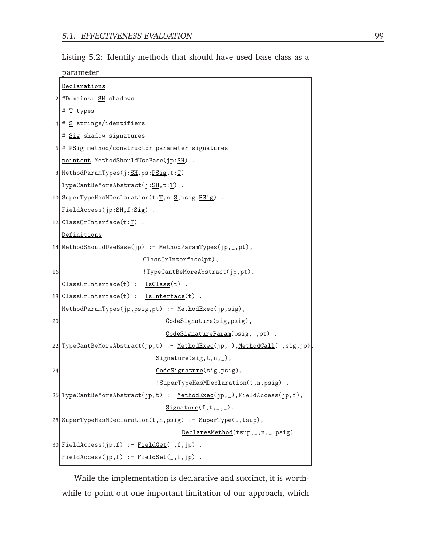Listing 5.2: Identify methods that should have used base class as a

| parameter |
|-----------|
|           |

|    | Declarations                                                             |  |  |  |  |  |  |
|----|--------------------------------------------------------------------------|--|--|--|--|--|--|
|    | 2 #Domains: <b>SH</b> shadows                                            |  |  |  |  |  |  |
|    | # T types                                                                |  |  |  |  |  |  |
|    | $4 \mid # \leq$ strings/identifiers                                      |  |  |  |  |  |  |
|    | # Sig shadow signatures                                                  |  |  |  |  |  |  |
|    | $6$ # PSig method/constructor parameter signatures                       |  |  |  |  |  |  |
|    | pointcut MethodShouldUseBase(jp:SH).                                     |  |  |  |  |  |  |
|    | 8 MethodParamTypes( $j:SH$ , ps: PSig, t: T).                            |  |  |  |  |  |  |
|    | $Type CantBeMoreAbstract(j: SH, t: T)$ .                                 |  |  |  |  |  |  |
|    | 10 SuperTypeHasMDeclaration(t:T,n:S,psig:PSig)                           |  |  |  |  |  |  |
|    | FieldAccess(jp:SH,f:Sig).                                                |  |  |  |  |  |  |
|    | 12 $\text{ClassOrInterface}(\text{t}:\underline{\text{T}})$ .            |  |  |  |  |  |  |
|    | <u>Definitions</u>                                                       |  |  |  |  |  |  |
|    | 14 MethodShouldUseBase(jp) :- MethodParamTypes(jp,_,pt),                 |  |  |  |  |  |  |
|    | ClassOrInterface(pt),                                                    |  |  |  |  |  |  |
| 16 | !TypeCantBeMoreAbstract(jp,pt).                                          |  |  |  |  |  |  |
|    | $ClassOrInterface(t) :- ISClass(t).$                                     |  |  |  |  |  |  |
|    | 18 ClassOrInterface(t) :- IsInterface(t) .                               |  |  |  |  |  |  |
|    | MethodParamTypes(jp,psig,pt) :- MethodExec(jp,sig),                      |  |  |  |  |  |  |
| 20 | CodeSignature(sig, psig),                                                |  |  |  |  |  |  |
|    | CodeSignatureParam(psig, _,pt) .                                         |  |  |  |  |  |  |
|    | 22 TypeCantBeMoreAbstract(jp,t) :- MethodExec(jp,_),MethodCall(_,sig,jp) |  |  |  |  |  |  |
|    | $Signature(sig,t,n, _),$                                                 |  |  |  |  |  |  |
| 24 | CodeSignature(sig, psig),                                                |  |  |  |  |  |  |
|    | !SuperTypeHasMDeclaration(t,n,psig) .                                    |  |  |  |  |  |  |
|    | 26 TypeCantBeMoreAbstract(jp,t) :- MethodExec(jp,_),FieldAccess(jp,f),   |  |  |  |  |  |  |
|    | $Signature(f,t,_,\_).$                                                   |  |  |  |  |  |  |
|    | 28 SuperTypeHasMDeclaration(t,n,psig) : - SuperType(t,tsup),             |  |  |  |  |  |  |
|    | $DeclaresMethod(tsup, , n, , psig)$ .                                    |  |  |  |  |  |  |
|    | 30 FieldAccess(jp,f) :- $FieldGet(, f, jp)$ .                            |  |  |  |  |  |  |
|    | $FieldAccess(jp, f) :- FieldSet(_, f, jp)$ .                             |  |  |  |  |  |  |

While the implementation is declarative and succinct, it is worthwhile to point out one important limitation of our approach, which

٦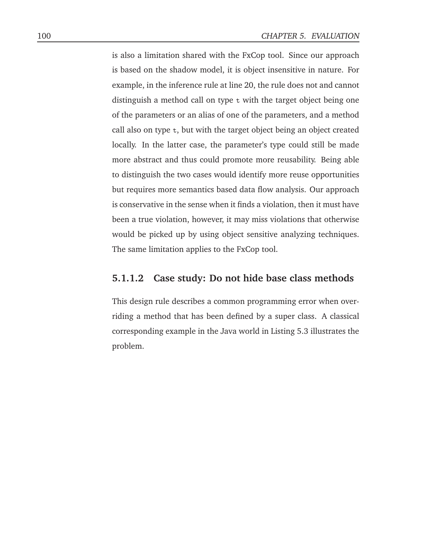is also a limitation shared with the FxCop tool. Since our approach is based on the shadow model, it is object insensitive in nature. For example, in the inference rule at line 20, the rule does not and cannot distinguish a method call on type t with the target object being one of the parameters or an alias of one of the parameters, and a method call also on type t, but with the target object being an object created locally. In the latter case, the parameter's type could still be made more abstract and thus could promote more reusability. Being able to distinguish the two cases would identify more reuse opportunities but requires more semantics based data flow analysis. Our approach is conservative in the sense when it finds a violation, then it must have been a true violation, however, it may miss violations that otherwise would be picked up by using object sensitive analyzing techniques. The same limitation applies to the FxCop tool.

### **5.1.1.2 Case study: Do not hide base class methods**

This design rule describes a common programming error when overriding a method that has been defined by a super class. A classical corresponding example in the Java world in Listing 5.3 illustrates the problem.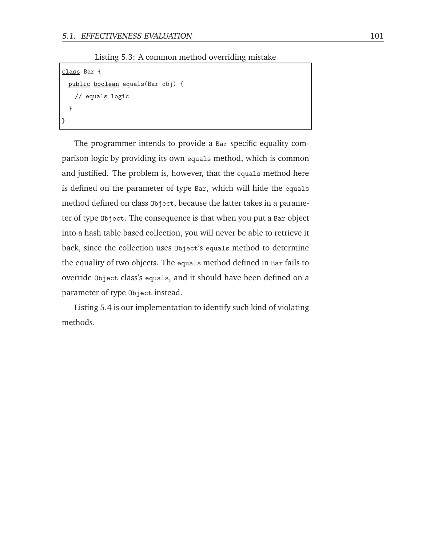Listing 5.3: A common method overriding mistake

```
class Bar {
 public boolean equals(Bar obj) {
   // equals logic
 }
}
```
The programmer intends to provide a Bar specific equality comparison logic by providing its own equals method, which is common and justified. The problem is, however, that the equals method here is defined on the parameter of type Bar, which will hide the equals method defined on class Object, because the latter takes in a parameter of type Object. The consequence is that when you put a Bar object into a hash table based collection, you will never be able to retrieve it back, since the collection uses Object's equals method to determine the equality of two objects. The equals method defined in Bar fails to override Object class's equals, and it should have been defined on a parameter of type Object instead.

Listing 5.4 is our implementation to identify such kind of violating methods.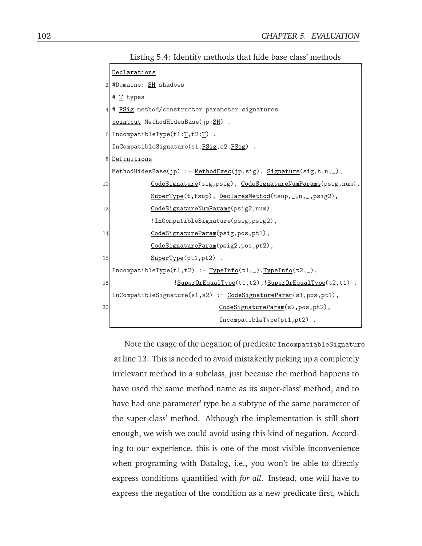Listing 5.4: Identify methods that hide base class' methods

|                | Declarations                                                           |  |  |  |  |  |  |  |
|----------------|------------------------------------------------------------------------|--|--|--|--|--|--|--|
|                | $2$ #Domains: $SH$ shadows                                             |  |  |  |  |  |  |  |
|                | # T types                                                              |  |  |  |  |  |  |  |
| 4 <sup>1</sup> | # PSig method/constructor parameter signatures                         |  |  |  |  |  |  |  |
|                | pointcut MethodHidesBase(jp:SH).                                       |  |  |  |  |  |  |  |
|                | 6 IncompatibleType $(t1:\underline{T},t2:\underline{T})$ .             |  |  |  |  |  |  |  |
|                | InCompatibleSignature(s1:PSig,s2:PSig).                                |  |  |  |  |  |  |  |
|                | 8 Definitions                                                          |  |  |  |  |  |  |  |
|                | MethodHidesBase(jp) :- MethodExec(jp,sig), Signature(sig,t,n,_),       |  |  |  |  |  |  |  |
| 10             | CodeSignature(sig, psig), CodeSignatureNumParams(psig, num),           |  |  |  |  |  |  |  |
|                | SuperType(t,tsup), DeclaresMethod(tsup,_,n,_,psig2),                   |  |  |  |  |  |  |  |
| 12             | CodeSignatureNumParams(psig2,num),                                     |  |  |  |  |  |  |  |
|                | !InCompatibleSignature(psig, psig2),                                   |  |  |  |  |  |  |  |
| 14             | CodeSignatureParam(psig,pos,pt1),                                      |  |  |  |  |  |  |  |
|                | CodeSignatureParam(psig2,pos,pt2),                                     |  |  |  |  |  |  |  |
| 16             | $SuperType(pt1, pt2)$ .                                                |  |  |  |  |  |  |  |
|                | $IncompatibleType(t1,t2) :- TypeInfo(t1, _),TypeInfo(t2, _),$          |  |  |  |  |  |  |  |
| 18             | !SuperOrEqualType(t1,t2), !SuperOrEqualType(t2,t1).                    |  |  |  |  |  |  |  |
|                | $InCompactible Signature(s1, s2) :- CodeSignatureParam(s1, pos, pt1),$ |  |  |  |  |  |  |  |
| 20             | CodeSignatureParam(s2,pos,pt2),                                        |  |  |  |  |  |  |  |
|                | $IncompatibleType(pt1, pt2)$ .                                         |  |  |  |  |  |  |  |

Note the usage of the negation of predicate IncompatiableSignature at line 13. This is needed to avoid mistakenly picking up a completely irrelevant method in a subclass, just because the method happens to have used the same method name as its super-class' method, and to have had one parameter' type be a subtype of the same parameter of the super-class' method. Although the implementation is still short enough, we wish we could avoid using this kind of negation. According to our experience, this is one of the most visible inconvenience when programing with Datalog, i.e., you won't be able to directly express conditions quantified with *for all*. Instead, one will have to express the negation of the condition as a new predicate first, which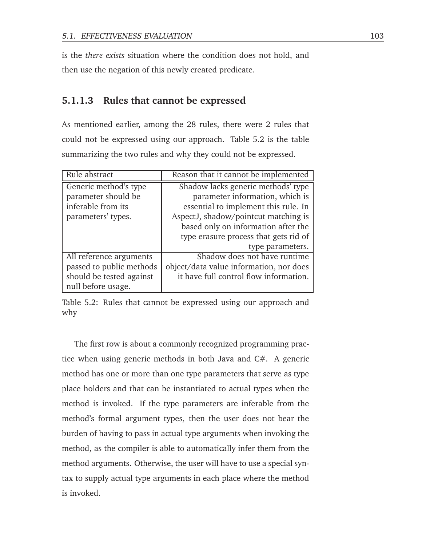is the *there exists* situation where the condition does not hold, and then use the negation of this newly created predicate.

### **5.1.1.3 Rules that cannot be expressed**

As mentioned earlier, among the 28 rules, there were 2 rules that could not be expressed using our approach. Table 5.2 is the table summarizing the two rules and why they could not be expressed.

| Rule abstract            | Reason that it cannot be implemented    |
|--------------------------|-----------------------------------------|
| Generic method's type    | Shadow lacks generic methods' type      |
| parameter should be      | parameter information, which is         |
| inferable from its       | essential to implement this rule. In    |
| parameters' types.       | AspectJ, shadow/pointcut matching is    |
|                          | based only on information after the     |
|                          | type erasure process that gets rid of   |
|                          | type parameters.                        |
| All reference arguments  | Shadow does not have runtime            |
| passed to public methods | object/data value information, nor does |
| should be tested against | it have full control flow information.  |
| null before usage.       |                                         |

Table 5.2: Rules that cannot be expressed using our approach and why

The first row is about a commonly recognized programming practice when using generic methods in both Java and C#. A generic method has one or more than one type parameters that serve as type place holders and that can be instantiated to actual types when the method is invoked. If the type parameters are inferable from the method's formal argument types, then the user does not bear the burden of having to pass in actual type arguments when invoking the method, as the compiler is able to automatically infer them from the method arguments. Otherwise, the user will have to use a special syntax to supply actual type arguments in each place where the method is invoked.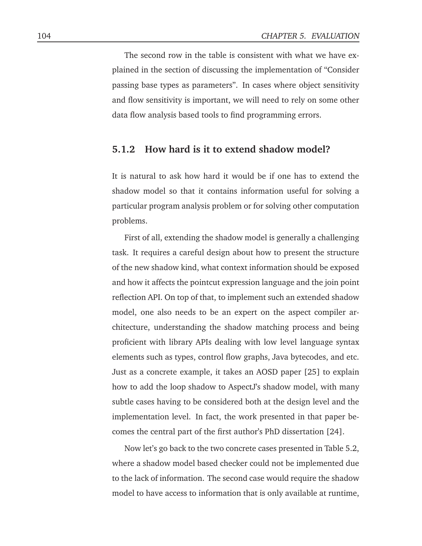The second row in the table is consistent with what we have explained in the section of discussing the implementation of "Consider passing base types as parameters". In cases where object sensitivity and flow sensitivity is important, we will need to rely on some other data flow analysis based tools to find programming errors.

### **5.1.2 How hard is it to extend shadow model?**

It is natural to ask how hard it would be if one has to extend the shadow model so that it contains information useful for solving a particular program analysis problem or for solving other computation problems.

First of all, extending the shadow model is generally a challenging task. It requires a careful design about how to present the structure of the new shadow kind, what context information should be exposed and how it affects the pointcut expression language and the join point reflection API. On top of that, to implement such an extended shadow model, one also needs to be an expert on the aspect compiler architecture, understanding the shadow matching process and being proficient with library APIs dealing with low level language syntax elements such as types, control flow graphs, Java bytecodes, and etc. Just as a concrete example, it takes an AOSD paper [25] to explain how to add the loop shadow to AspectJ's shadow model, with many subtle cases having to be considered both at the design level and the implementation level. In fact, the work presented in that paper becomes the central part of the first author's PhD dissertation [24].

Now let's go back to the two concrete cases presented in Table 5.2, where a shadow model based checker could not be implemented due to the lack of information. The second case would require the shadow model to have access to information that is only available at runtime,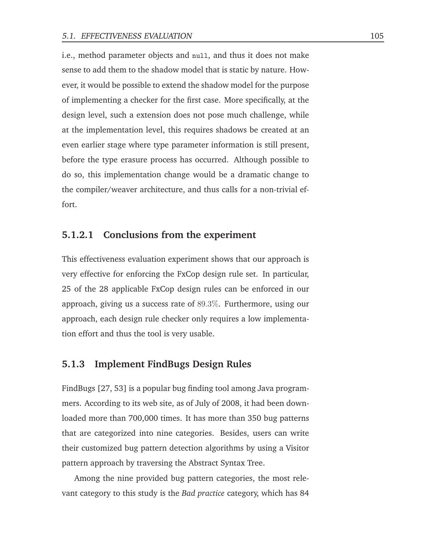i.e., method parameter objects and null, and thus it does not make sense to add them to the shadow model that is static by nature. However, it would be possible to extend the shadow model for the purpose of implementing a checker for the first case. More specifically, at the design level, such a extension does not pose much challenge, while at the implementation level, this requires shadows be created at an even earlier stage where type parameter information is still present, before the type erasure process has occurred. Although possible to do so, this implementation change would be a dramatic change to the compiler/weaver architecture, and thus calls for a non-trivial effort.

#### **5.1.2.1 Conclusions from the experiment**

This effectiveness evaluation experiment shows that our approach is very effective for enforcing the FxCop design rule set. In particular, 25 of the 28 applicable FxCop design rules can be enforced in our approach, giving us a success rate of 89.3%. Furthermore, using our approach, each design rule checker only requires a low implementation effort and thus the tool is very usable.

### **5.1.3 Implement FindBugs Design Rules**

FindBugs [27, 53] is a popular bug finding tool among Java programmers. According to its web site, as of July of 2008, it had been downloaded more than 700,000 times. It has more than 350 bug patterns that are categorized into nine categories. Besides, users can write their customized bug pattern detection algorithms by using a Visitor pattern approach by traversing the Abstract Syntax Tree.

Among the nine provided bug pattern categories, the most relevant category to this study is the *Bad practice* category, which has 84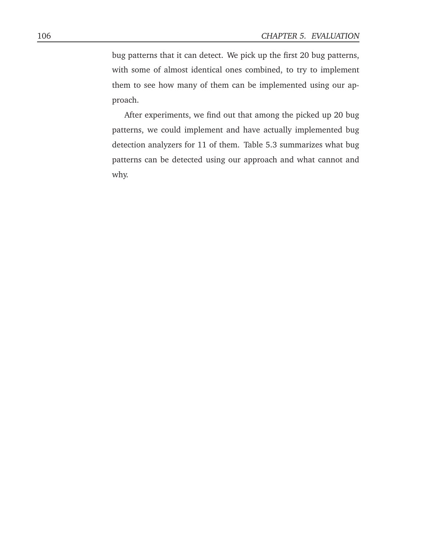bug patterns that it can detect. We pick up the first 20 bug patterns, with some of almost identical ones combined, to try to implement them to see how many of them can be implemented using our approach.

After experiments, we find out that among the picked up 20 bug patterns, we could implement and have actually implemented bug detection analyzers for 11 of them. Table 5.3 summarizes what bug patterns can be detected using our approach and what cannot and why.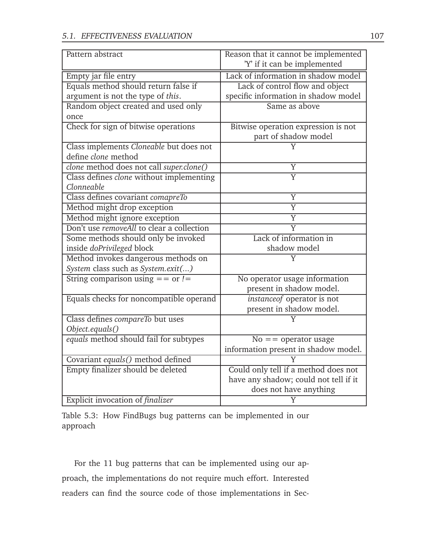| Pattern abstract                          | Reason that it cannot be implemented  |
|-------------------------------------------|---------------------------------------|
|                                           | 'Y' if it can be implemented          |
| Empty jar file entry                      | Lack of information in shadow model   |
| Equals method should return false if      | Lack of control flow and object       |
| argument is not the type of this.         | specific information in shadow model  |
| Random object created and used only       | Same as above                         |
| once                                      |                                       |
| Check for sign of bitwise operations      | Bitwise operation expression is not   |
|                                           | part of shadow model                  |
| Class implements Cloneable but does not   |                                       |
| define clone method                       |                                       |
| clone method does not call super.clone()  | Y                                     |
| Class defines clone without implementing  | $\overline{\rm Y}$                    |
| Clonneable                                |                                       |
| Class defines covariant comapreTo         | Y                                     |
| Method might drop exception               | $\overline{Y}$                        |
| Method might ignore exception             | $\overline{\text{Y}}$                 |
| Don't use removeAll to clear a collection | $\overline{\text{Y}}$                 |
| Some methods should only be invoked       | Lack of information in                |
| inside doPrivileged block                 | shadow model                          |
| Method invokes dangerous methods on       | Y                                     |
| System class such as System.exit()        |                                       |
| String comparison using $==$ or $!=$      | No operator usage information         |
|                                           | present in shadow model.              |
| Equals checks for noncompatible operand   | instanceof operator is not            |
|                                           | present in shadow model.              |
| Class defines compareTo but uses          |                                       |
| Object.equals()                           |                                       |
| equals method should fail for subtypes    | $No =$ = operator usage               |
|                                           | information present in shadow model.  |
| Covariant equals() method defined         | V                                     |
| Empty finalizer should be deleted         | Could only tell if a method does not  |
|                                           | have any shadow; could not tell if it |
|                                           | does not have anything                |
| Explicit invocation of finalizer          | Y                                     |

Table 5.3: How FindBugs bug patterns can be implemented in our approach

For the 11 bug patterns that can be implemented using our approach, the implementations do not require much effort. Interested readers can find the source code of those implementations in Sec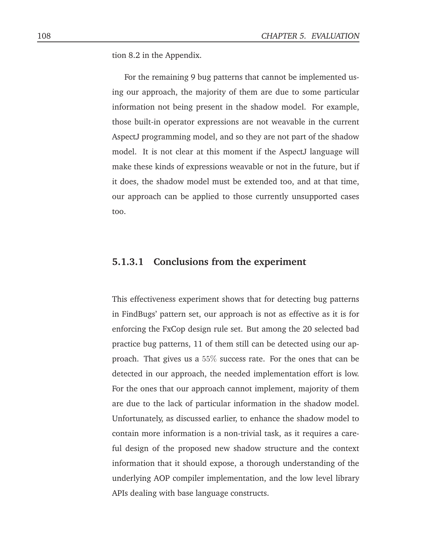tion 8.2 in the Appendix.

For the remaining 9 bug patterns that cannot be implemented using our approach, the majority of them are due to some particular information not being present in the shadow model. For example, those built-in operator expressions are not weavable in the current AspectJ programming model, and so they are not part of the shadow model. It is not clear at this moment if the AspectJ language will make these kinds of expressions weavable or not in the future, but if it does, the shadow model must be extended too, and at that time, our approach can be applied to those currently unsupported cases too.

### **5.1.3.1 Conclusions from the experiment**

This effectiveness experiment shows that for detecting bug patterns in FindBugs' pattern set, our approach is not as effective as it is for enforcing the FxCop design rule set. But among the 20 selected bad practice bug patterns, 11 of them still can be detected using our approach. That gives us a 55% success rate. For the ones that can be detected in our approach, the needed implementation effort is low. For the ones that our approach cannot implement, majority of them are due to the lack of particular information in the shadow model. Unfortunately, as discussed earlier, to enhance the shadow model to contain more information is a non-trivial task, as it requires a careful design of the proposed new shadow structure and the context information that it should expose, a thorough understanding of the underlying AOP compiler implementation, and the low level library APIs dealing with base language constructs.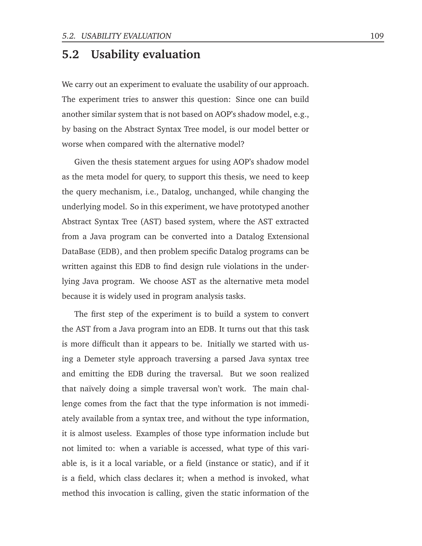## **5.2 Usability evaluation**

We carry out an experiment to evaluate the usability of our approach. The experiment tries to answer this question: Since one can build another similar system that is not based on AOP's shadow model, e.g., by basing on the Abstract Syntax Tree model, is our model better or worse when compared with the alternative model?

Given the thesis statement argues for using AOP's shadow model as the meta model for query, to support this thesis, we need to keep the query mechanism, i.e., Datalog, unchanged, while changing the underlying model. So in this experiment, we have prototyped another Abstract Syntax Tree (AST) based system, where the AST extracted from a Java program can be converted into a Datalog Extensional DataBase (EDB), and then problem specific Datalog programs can be written against this EDB to find design rule violations in the underlying Java program. We choose AST as the alternative meta model because it is widely used in program analysis tasks.

The first step of the experiment is to build a system to convert the AST from a Java program into an EDB. It turns out that this task is more difficult than it appears to be. Initially we started with using a Demeter style approach traversing a parsed Java syntax tree and emitting the EDB during the traversal. But we soon realized that naïvely doing a simple traversal won't work. The main challenge comes from the fact that the type information is not immediately available from a syntax tree, and without the type information, it is almost useless. Examples of those type information include but not limited to: when a variable is accessed, what type of this variable is, is it a local variable, or a field (instance or static), and if it is a field, which class declares it; when a method is invoked, what method this invocation is calling, given the static information of the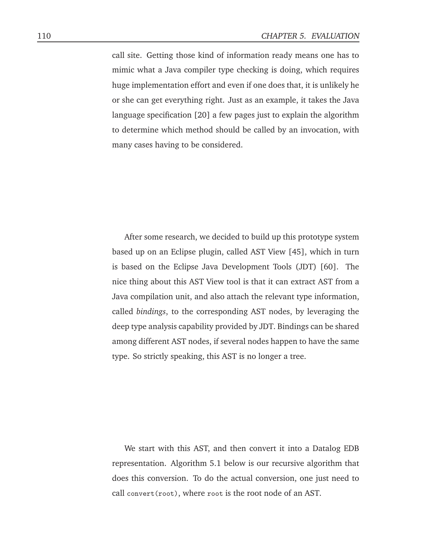call site. Getting those kind of information ready means one has to mimic what a Java compiler type checking is doing, which requires huge implementation effort and even if one does that, it is unlikely he or she can get everything right. Just as an example, it takes the Java language specification [20] a few pages just to explain the algorithm to determine which method should be called by an invocation, with many cases having to be considered.

After some research, we decided to build up this prototype system based up on an Eclipse plugin, called AST View [45], which in turn is based on the Eclipse Java Development Tools (JDT) [60]. The nice thing about this AST View tool is that it can extract AST from a Java compilation unit, and also attach the relevant type information, called *bindings*, to the corresponding AST nodes, by leveraging the deep type analysis capability provided by JDT. Bindings can be shared among different AST nodes, if several nodes happen to have the same type. So strictly speaking, this AST is no longer a tree.

We start with this AST, and then convert it into a Datalog EDB representation. Algorithm 5.1 below is our recursive algorithm that does this conversion. To do the actual conversion, one just need to call convert(root), where root is the root node of an AST.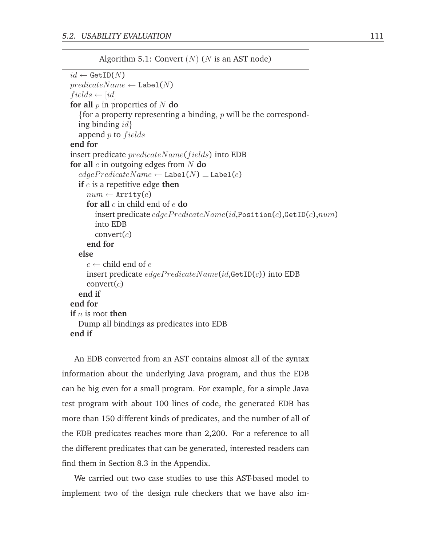```
Algorithm 5.1: Convert (N) (N is an AST node)
id \leftarrow \texttt{GetID}(N)predicateName \leftarrow \texttt{Label}(N)fields \leftarrow [id]for all p in properties of N do
  {for a property representing a binding, p will be the correspond-
  ing binding idappend p to fieldsend for
insert predicate predicateName(fields) into EDB
for all e in outgoing edges from N do
  edgePredicted\leftarrow Label(N) _ Label(e)if e is a repetitive edge then
    num \leftarrow Arrity(e)for all c in child end of e do
       insert predicate edgePredictiveName(id, Position(c), GetID(c), num)into EDB
       convert(c)end for
  else
     c \leftarrow child end of e
    insert predicate edgePredictedName(id, \text{GetID}(c)) into EDB
    convert(c)end if
end for
if n is root then
  Dump all bindings as predicates into EDB
end if
```
An EDB converted from an AST contains almost all of the syntax information about the underlying Java program, and thus the EDB can be big even for a small program. For example, for a simple Java test program with about 100 lines of code, the generated EDB has more than 150 different kinds of predicates, and the number of all of the EDB predicates reaches more than 2,200. For a reference to all the different predicates that can be generated, interested readers can find them in Section 8.3 in the Appendix.

We carried out two case studies to use this AST-based model to implement two of the design rule checkers that we have also im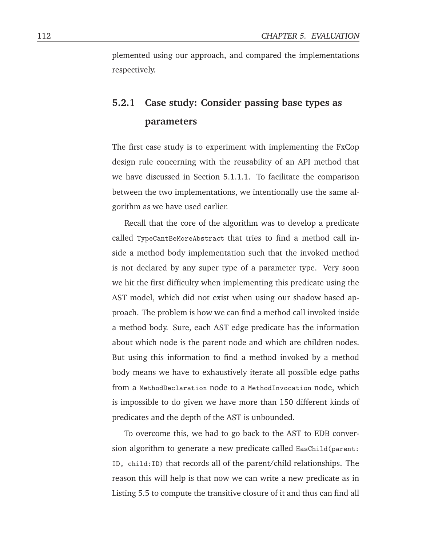plemented using our approach, and compared the implementations respectively.

# **5.2.1 Case study: Consider passing base types as parameters**

The first case study is to experiment with implementing the FxCop design rule concerning with the reusability of an API method that we have discussed in Section 5.1.1.1. To facilitate the comparison between the two implementations, we intentionally use the same algorithm as we have used earlier.

Recall that the core of the algorithm was to develop a predicate called TypeCantBeMoreAbstract that tries to find a method call inside a method body implementation such that the invoked method is not declared by any super type of a parameter type. Very soon we hit the first difficulty when implementing this predicate using the AST model, which did not exist when using our shadow based approach. The problem is how we can find a method call invoked inside a method body. Sure, each AST edge predicate has the information about which node is the parent node and which are children nodes. But using this information to find a method invoked by a method body means we have to exhaustively iterate all possible edge paths from a MethodDeclaration node to a MethodInvocation node, which is impossible to do given we have more than 150 different kinds of predicates and the depth of the AST is unbounded.

To overcome this, we had to go back to the AST to EDB conversion algorithm to generate a new predicate called HasChild(parent: ID, child:ID) that records all of the parent/child relationships. The reason this will help is that now we can write a new predicate as in Listing 5.5 to compute the transitive closure of it and thus can find all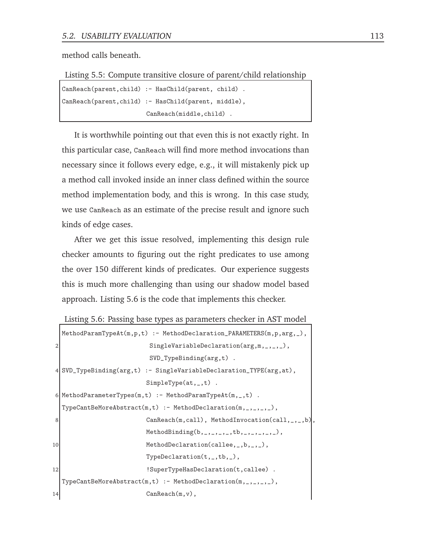method calls beneath.

Listing 5.5: Compute transitive closure of parent/child relationship

| CanReach(parent, child) :- HasChild(parent, child) . |                         |  |
|------------------------------------------------------|-------------------------|--|
| CanReach(parent, child) :- HasChild(parent, middle), |                         |  |
|                                                      | CanReach(middle.child). |  |

It is worthwhile pointing out that even this is not exactly right. In this particular case, CanReach will find more method invocations than necessary since it follows every edge, e.g., it will mistakenly pick up a method call invoked inside an inner class defined within the source method implementation body, and this is wrong. In this case study, we use CanReach as an estimate of the precise result and ignore such kinds of edge cases.

After we get this issue resolved, implementing this design rule checker amounts to figuring out the right predicates to use among the over 150 different kinds of predicates. Our experience suggests this is much more challenging than using our shadow model based approach. Listing 5.6 is the code that implements this checker.

```
Listing 5.6: Passing base types as parameters checker in AST model
```

```
MethodParamTypeAt(m,p,t) :- MethodDeclaration_PARAMETERS(m,p,arg,_),
2 SingleVariableDeclaration(arg,m,_,_,_),
                       SVD_TypeBinding(arg,t) .
4 SVD_TypeBinding(arg,t) :- SingleVariableDeclaration_TYPE(arg,at),
                       SimpleType(at,_,t) .
6 MethodParameterTypes(m,t) :- MethodParamTypeAt(m,_,t).
  Type CantBeMoreAbstract(m,t) :- MethodDeclaration(m,_,_,_,\_),8 CanReach(m,call), MethodInvocation(call,_,_,b),
                       MethodBinding(b, \_,\_,\_,\,tb,\_,\_,\_,\),
10 MethodDeclaration(callee, b, b, b, b, b, b, b, b, c),
                       TypeDeclaration(t,_,tb,_),
12 SuperTypeHasDeclaration(t,callee).
  Type CantBeMoreAbstract(m,t) :- MethodDeclaration(m,_,_,\_),14 CanReach(m, v),
```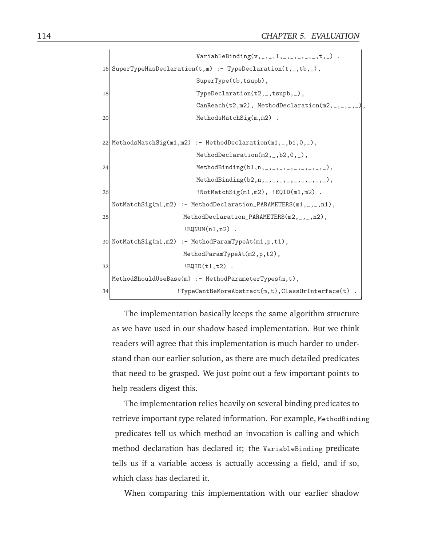```
Variable Binding(v, ..., 1, ..., 1, ..., ..., t, ...).
16 SuperTypeHasDeclaration(t,m) :- TypeDeclaration(t,_,tb,_),
                               SuperType(tb,tsupb),
18 TypeDeclaration(t2,_,tsupb,_),
                               CanReach(t2,m2), MethodDeclaration(m2,_,_,_,_),
20 MethodsMatchSig(m,m2).
22 \mid \text{MethodsMatchSig(m1,m2)} := \text{MethodDeclaration(m1,_,b1,0,_,)}MethodDeclaration(m2,_,b2,0,_),
24 MethodBinding(b1,n,_,_,_,_,_,_,_,_,_),
                               MethodBinding(b2,n,_,\_,-,-,-,-,-,-,-),
26 | NotMatchSig(m1,m2), !EQID(m1,m2) .
  \texttt{NotMatchSig(m1,m2)} := \texttt{MethodDeclaration\_PARAMETERS(m1,_,n1)},28 MethodDeclaration_PARAMETERS(m2,_,_,n2),
                           ! EQNUM(n1, n2).
30 NotMatchSig(m1,m2) :- MethodParamTypeAt(m1,p,t1),
                           MethodParamTypeAt(m2,p,t2),
32 \qquad \qquad \qquad \qquad \qquad \qquad \qquad \qquad \qquad \qquad \qquad \qquad \qquad \qquad \qquad \qquad \qquad \qquad \qquad \qquad \qquad \qquad \qquad \qquad \qquad \qquad \qquad \qquad \qquad \qquad \qquad \qquad \qquad \qquad \qquad \qquad \qquad \qquad \qquad \qquad \qquad \qquad 
  MethodShouldUseBase(m) :- MethodParameterTypes(m,t),
34 TypeCantBeMoreAbstract(m,t),ClassOrInterface(t).
```
The implementation basically keeps the same algorithm structure as we have used in our shadow based implementation. But we think readers will agree that this implementation is much harder to understand than our earlier solution, as there are much detailed predicates that need to be grasped. We just point out a few important points to help readers digest this.

The implementation relies heavily on several binding predicates to retrieve important type related information. For example, MethodBinding predicates tell us which method an invocation is calling and which method declaration has declared it; the VariableBinding predicate tells us if a variable access is actually accessing a field, and if so, which class has declared it.

When comparing this implementation with our earlier shadow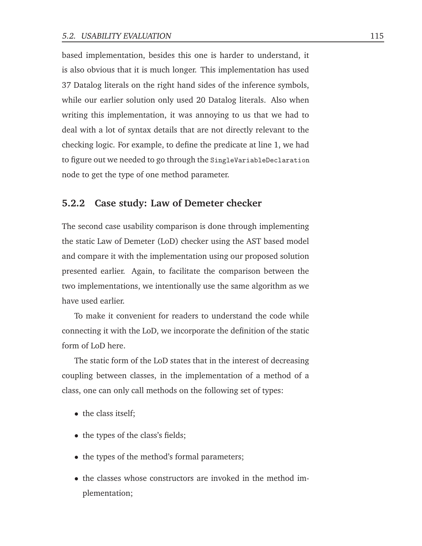based implementation, besides this one is harder to understand, it is also obvious that it is much longer. This implementation has used 37 Datalog literals on the right hand sides of the inference symbols, while our earlier solution only used 20 Datalog literals. Also when writing this implementation, it was annoying to us that we had to deal with a lot of syntax details that are not directly relevant to the checking logic. For example, to define the predicate at line 1, we had to figure out we needed to go through the SingleVariableDeclaration node to get the type of one method parameter.

#### **5.2.2 Case study: Law of Demeter checker**

The second case usability comparison is done through implementing the static Law of Demeter (LoD) checker using the AST based model and compare it with the implementation using our proposed solution presented earlier. Again, to facilitate the comparison between the two implementations, we intentionally use the same algorithm as we have used earlier.

To make it convenient for readers to understand the code while connecting it with the LoD, we incorporate the definition of the static form of LoD here.

The static form of the LoD states that in the interest of decreasing coupling between classes, in the implementation of a method of a class, one can only call methods on the following set of types:

- the class itself;
- the types of the class's fields;
- the types of the method's formal parameters;
- the classes whose constructors are invoked in the method implementation;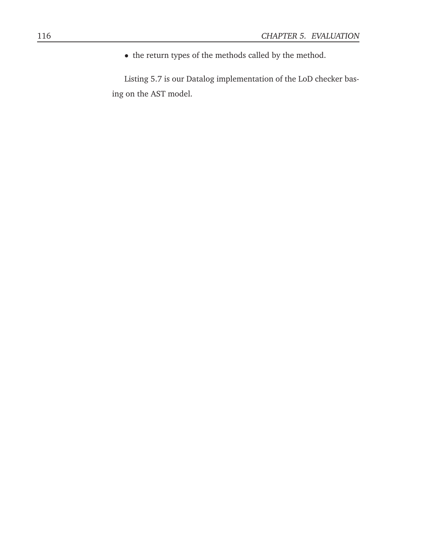• the return types of the methods called by the method.

Listing 5.7 is our Datalog implementation of the LoD checker basing on the AST model.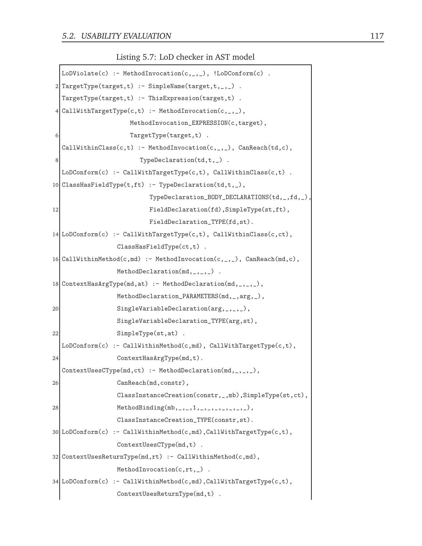Listing 5.7: LoD checker in AST model

```
LoDivolate(c) :- MethodInvocation(c,_,_), !LoDConform(c).
2 TargetType(target,t) :- SimpleName(target,t, _,_).
  TargetType(target,t) :- ThisExpression(target,t) .
4 CallWithTargetType(c,t) :- MethodInvocation(c,_,_),
                    MethodInvocation_EXPRESSION(c,target),
                    TargetType(target,t) .
  CallWithinClass(c,t) :- MethodInvocation(c,...), CanReach(td,c),
8 TypeDeclaration(td,t, 2) .
  LoDConform(c) :- CallWithTargetType(c,t), CallWithinClass(c,t).
10 ClassHasFieldType(t,ft) :- TypeDeclaration(td,t,_),
                         TypeDeclaration_BODY_DECLARATIONS(td,_,fd,_),
12 FieldDeclaration(fd), SimpleType(st,ft),
                          FieldDeclaration_TYPE(fd,st).
14 LoDConform(c) :- CallWithTargetType(c,t), CallWithinClass(c,ct),
                 ClassHasFieldType(ct,t) .
16 CallWithinMethod(c,md) :- MethodInvocation(c,_,_), CanReach(md,c),
                 MethodDeclaration(md, _{-}, _{-}).
18 ContextHasArgType(md, at) : - MethodDeclaration(md, _, _, _),
                 MethodDeclaration_PARAMETERS(md,_,arg,_),
20 SingleVariableDeclaration(arg, _, _, _),
                 SingleVariableDeclaration_TYPE(arg,st),
22 SimpleType(st, at).
  LoDConform(c) :- CallWithinMethod(c,md), CallWithTargetType(c,t),
24 ContextHasArgType(md,t).
  ContextUse sCType(md, ct) :- MethodDeclaration(md, _{-}, _{-}, _{-}),
26 CanReach(md, constr),
                 ClassInstanceCreation(constr,_,mb),SimpleType(st,ct),
28 MethodBinding(mb, _, _, 1, _, _, _, _, _, _, _),
                 ClassInstanceCreation_TYPE(constr,st).
30 LoDConform(c) :- CallWithinMethod(c,md),CallWithTargetType(c,t),
                 ContextUsesCType(md,t) .
32 ContextUsesReturnType(md,rt) :- CallWithinMethod(c,md),
                 MethodInvocation(c,rt,_).
34 LoDConform(c) :- CallWithinMethod(c,md),CallWithTargetType(c,t),
                 ContextUsesReturnType(md,t) .
```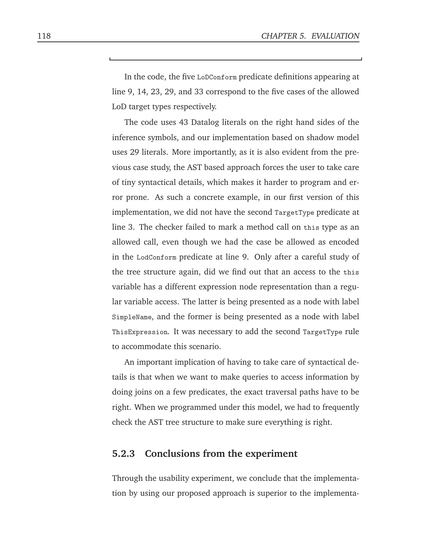In the code, the five LoDConform predicate definitions appearing at line 9, 14, 23, 29, and 33 correspond to the five cases of the allowed LoD target types respectively.

The code uses 43 Datalog literals on the right hand sides of the inference symbols, and our implementation based on shadow model uses 29 literals. More importantly, as it is also evident from the previous case study, the AST based approach forces the user to take care of tiny syntactical details, which makes it harder to program and error prone. As such a concrete example, in our first version of this implementation, we did not have the second TargetType predicate at line 3. The checker failed to mark a method call on this type as an allowed call, even though we had the case be allowed as encoded in the LodConform predicate at line 9. Only after a careful study of the tree structure again, did we find out that an access to the this variable has a different expression node representation than a regular variable access. The latter is being presented as a node with label SimpleName, and the former is being presented as a node with label ThisExpression. It was necessary to add the second TargetType rule to accommodate this scenario.

An important implication of having to take care of syntactical details is that when we want to make queries to access information by doing joins on a few predicates, the exact traversal paths have to be right. When we programmed under this model, we had to frequently check the AST tree structure to make sure everything is right.

#### **5.2.3 Conclusions from the experiment**

Through the usability experiment, we conclude that the implementation by using our proposed approach is superior to the implementa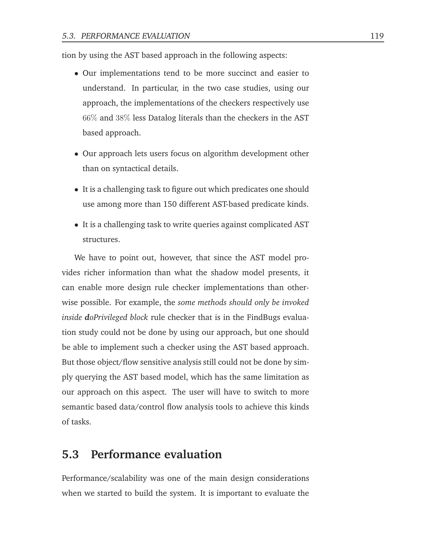tion by using the AST based approach in the following aspects:

- Our implementations tend to be more succinct and easier to understand. In particular, in the two case studies, using our approach, the implementations of the checkers respectively use 66% and 38% less Datalog literals than the checkers in the AST based approach.
- Our approach lets users focus on algorithm development other than on syntactical details.
- It is a challenging task to figure out which predicates one should use among more than 150 different AST-based predicate kinds.
- It is a challenging task to write queries against complicated AST structures.

We have to point out, however, that since the AST model provides richer information than what the shadow model presents, it can enable more design rule checker implementations than otherwise possible. For example, the *some methods should only be invoked inside doPrivileged block* rule checker that is in the FindBugs evaluation study could not be done by using our approach, but one should be able to implement such a checker using the AST based approach. But those object/flow sensitive analysis still could not be done by simply querying the AST based model, which has the same limitation as our approach on this aspect. The user will have to switch to more semantic based data/control flow analysis tools to achieve this kinds of tasks.

## **5.3 Performance evaluation**

Performance/scalability was one of the main design considerations when we started to build the system. It is important to evaluate the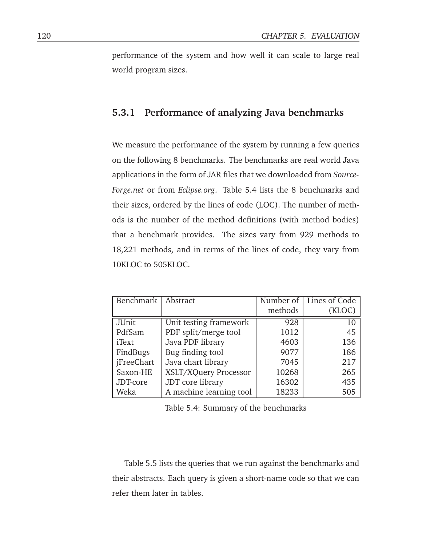performance of the system and how well it can scale to large real world program sizes.

### **5.3.1 Performance of analyzing Java benchmarks**

We measure the performance of the system by running a few queries on the following 8 benchmarks. The benchmarks are real world Java applications in the form of JAR files that we downloaded from *Source-Forge.net* or from *Eclipse.org*. Table 5.4 lists the 8 benchmarks and their sizes, ordered by the lines of code (LOC). The number of methods is the number of the method definitions (with method bodies) that a benchmark provides. The sizes vary from 929 methods to 18,221 methods, and in terms of the lines of code, they vary from 10KLOC to 505KLOC.

| Benchmark         | Abstract                | Number of $\overline{\phantom{a}}$ | Lines of Code |
|-------------------|-------------------------|------------------------------------|---------------|
|                   |                         | methods                            | (KLOC)        |
| JUnit             | Unit testing framework  | 928                                | 10            |
| PdfSam            | PDF split/merge tool    | 1012                               | 45            |
| iText             | Java PDF library        | 4603                               | 136           |
| FindBugs          | Bug finding tool        | 9077                               | 186           |
| <i>iFreeChart</i> | Java chart library      | 7045                               | 217           |
| Saxon-HE          | XSLT/XQuery Processor   | 10268                              | 265           |
| JDT-core          | JDT core library        | 16302                              | 435           |
| Weka              | A machine learning tool | 18233                              | 505           |

Table 5.4: Summary of the benchmarks

Table 5.5 lists the queries that we run against the benchmarks and their abstracts. Each query is given a short-name code so that we can refer them later in tables.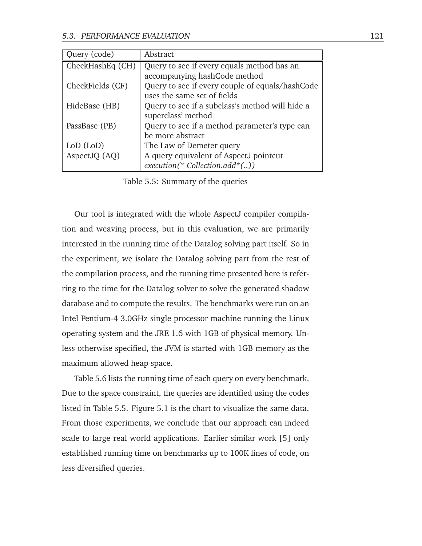| Query (code)     | Abstract                                        |
|------------------|-------------------------------------------------|
| CheckHashEq (CH) | Query to see if every equals method has an      |
|                  | accompanying hashCode method                    |
| CheckFields (CF) | Query to see if every couple of equals/hashCode |
|                  | uses the same set of fields                     |
| HideBase (HB)    | Query to see if a subclass's method will hide a |
|                  | superclass' method                              |
| PassBase (PB)    | Query to see if a method parameter's type can   |
|                  | be more abstract                                |
| LoD (LoD)        | The Law of Demeter query                        |
| AspectJQ (AQ)    | A query equivalent of AspectJ pointcut          |
|                  | $execution(* Collection.add*()$                 |

Table 5.5: Summary of the queries

Our tool is integrated with the whole AspectJ compiler compilation and weaving process, but in this evaluation, we are primarily interested in the running time of the Datalog solving part itself. So in the experiment, we isolate the Datalog solving part from the rest of the compilation process, and the running time presented here is referring to the time for the Datalog solver to solve the generated shadow database and to compute the results. The benchmarks were run on an Intel Pentium-4 3.0GHz single processor machine running the Linux operating system and the JRE 1.6 with 1GB of physical memory. Unless otherwise specified, the JVM is started with 1GB memory as the maximum allowed heap space.

Table 5.6 lists the running time of each query on every benchmark. Due to the space constraint, the queries are identified using the codes listed in Table 5.5. Figure 5.1 is the chart to visualize the same data. From those experiments, we conclude that our approach can indeed scale to large real world applications. Earlier similar work [5] only established running time on benchmarks up to 100K lines of code, on less diversified queries.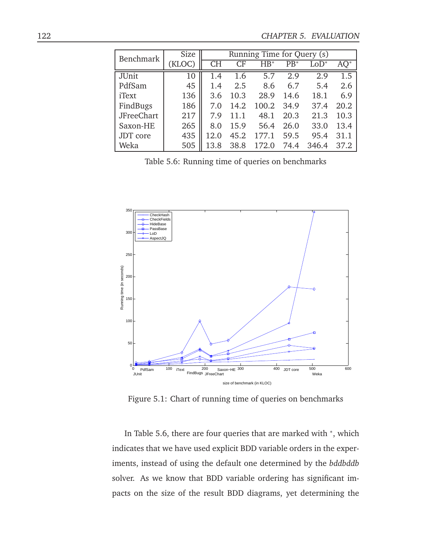| Benchmark         | Size   | Running Time for Query (s) |      |        |       |                  |      |
|-------------------|--------|----------------------------|------|--------|-------|------------------|------|
|                   | (KLOC) | <b>CH</b>                  | CF   | $HB^*$ | $PB*$ | $\mathrm{LOD}^*$ |      |
| JUnit             | 10     | 1.4                        | 1.6  | 5.7    | 2.9   | 2.9              | 1.5  |
| PdfSam            | 45     | 1.4                        | 2.5  | 8.6    | 6.7   | 5.4              | 2.6  |
| iText             | 136    | 3.6                        | 10.3 | 28.9   | 14.6  | 18.1             | 6.9  |
| FindBugs          | 186    | 7.0                        | 14.2 | 100.2  | 34.9  | 37.4             | 20.2 |
| <b>JFreeChart</b> | 217    | 7.9                        | 11.1 | 48.1   | 20.3  | 21.3             | 10.3 |
| Saxon-HE          | 265    | 8.0                        | 15.9 | 56.4   | 26.0  | 33.0             | 13.4 |
| JDT core          | 435    | 12.0                       | 45.2 | 177.1  | 59.5  | 95.4             | 31.1 |
| Weka              | 505    | 13.8                       | 38.8 |        | 74.4  | 346.4            | 37.2 |

Table 5.6: Running time of queries on benchmarks



Figure 5.1: Chart of running time of queries on benchmarks

In Table 5.6, there are four queries that are marked with <sup>\*</sup>, which indicates that we have used explicit BDD variable orders in the experiments, instead of using the default one determined by the *bddbddb* solver. As we know that BDD variable ordering has significant impacts on the size of the result BDD diagrams, yet determining the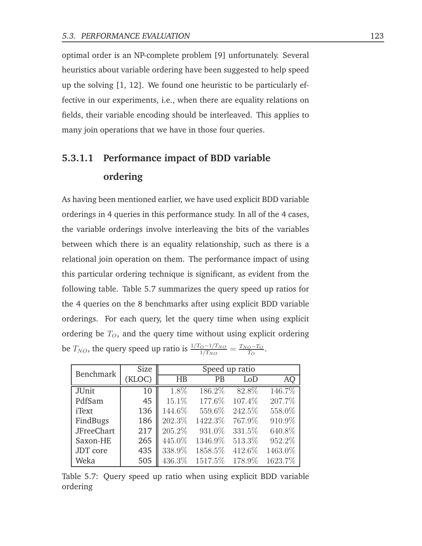optimal order is an NP-complete problem [9] unfortunately. Several heuristics about variable ordering have been suggested to help speed up the solving [1, 12]. We found one heuristic to be particularly effective in our experiments, i.e., when there are equality relations on fields, their variable encoding should be interleaved. This applies to many join operations that we have in those four queries.

# **5.3.1.1 Performance impact of BDD variable ordering**

As having been mentioned earlier, we have used explicit BDD variable orderings in 4 queries in this performance study. In all of the 4 cases, the variable orderings involve interleaving the bits of the variables between which there is an equality relationship, such as there is a relational join operation on them. The performance impact of using this particular ordering technique is significant, as evident from the following table. Table 5.7 summarizes the query speed up ratios for the 4 queries on the 8 benchmarks after using explicit BDD variable orderings. For each query, let the query time when using explicit ordering be  $T<sub>O</sub>$ , and the query time without using explicit ordering be  $T_{NO}$ , the query speed up ratio is  $\frac{1/T_O - 1/T_{NO}}{1/T_{NO}} = \frac{T_{NO} - T_O}{T_O}$  $\frac{o- T_O}{T_O}$  .

| <b>Benchmark</b>  | Size   |        | Speed up ratio |        |         |  |  |  |
|-------------------|--------|--------|----------------|--------|---------|--|--|--|
|                   | (KLOC) | HB     | PB             | LoD    | AQ      |  |  |  |
| <b>JUnit</b>      | 10     | 1.8%   | 186.2%         | 82.8%  | 146.7%  |  |  |  |
| PdfSam            | 45     | 15.1%  | 177.6%         | 107.4% | 207.7%  |  |  |  |
| <i>i</i> Text     | 136    | 144.6% | 559.6%         | 242.5% | 558.0%  |  |  |  |
| FindBugs          | 186    | 202.3% | 1422.3%        | 767.9% | 910.9%  |  |  |  |
| <b>JFreeChart</b> | 217    | 205.2% | 931.0%         | 331.5% | 640.8%  |  |  |  |
| Saxon-HE          | 265    | 445.0% | 1346.9%        | 513.3% | 952.2%  |  |  |  |
| JDT core          | 435    | 338.9% | 1858.5%        | 412.6% | 1463.0% |  |  |  |
| Weka              | 505    | 436.3% | 1517.5%        | 178.9% | 1623.7% |  |  |  |

Table 5.7: Query speed up ratio when using explicit BDD variable ordering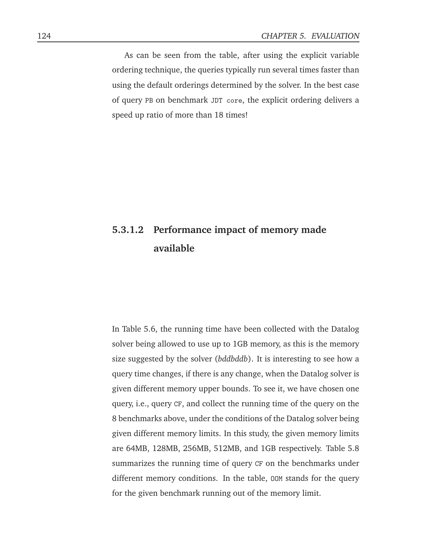As can be seen from the table, after using the explicit variable ordering technique, the queries typically run several times faster than using the default orderings determined by the solver. In the best case of query PB on benchmark JDT core, the explicit ordering delivers a speed up ratio of more than 18 times!

# **5.3.1.2 Performance impact of memory made available**

In Table 5.6, the running time have been collected with the Datalog solver being allowed to use up to 1GB memory, as this is the memory size suggested by the solver (*bddbddb*). It is interesting to see how a query time changes, if there is any change, when the Datalog solver is given different memory upper bounds. To see it, we have chosen one query, i.e., query CF, and collect the running time of the query on the 8 benchmarks above, under the conditions of the Datalog solver being given different memory limits. In this study, the given memory limits are 64MB, 128MB, 256MB, 512MB, and 1GB respectively. Table 5.8 summarizes the running time of query CF on the benchmarks under different memory conditions. In the table, OOM stands for the query for the given benchmark running out of the memory limit.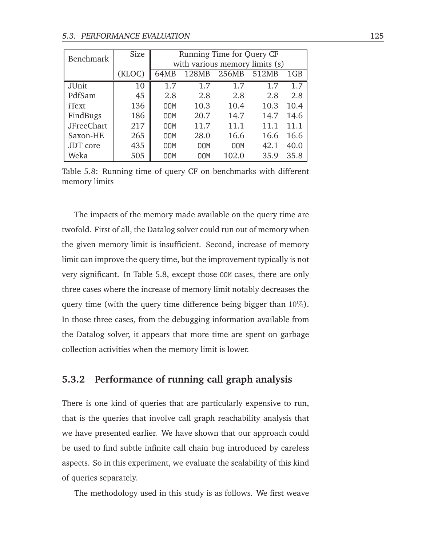| Benchmark         | Size   | Running Time for Query CF |                                |            |       |      |  |  |  |  |  |  |
|-------------------|--------|---------------------------|--------------------------------|------------|-------|------|--|--|--|--|--|--|
|                   |        |                           | with various memory limits (s) |            |       |      |  |  |  |  |  |  |
|                   | (KLOC) | 64MB                      | 128MB                          | 256MB      | 512MB | 1GB  |  |  |  |  |  |  |
| <b>JUnit</b>      | 10     | 1.7                       | 1.7                            | 1.7        | 1.7   | 1.7  |  |  |  |  |  |  |
| PdfSam            | 45     | 2.8                       | 2.8                            | 2.8        | 2.8   | 2.8  |  |  |  |  |  |  |
| iText             | 136    | <b>OOM</b>                | 10.3                           | 10.4       | 10.3  | 10.4 |  |  |  |  |  |  |
| FindBugs          | 186    | <b>OOM</b>                | 20.7                           | 14.7       | 14.7  | 14.6 |  |  |  |  |  |  |
| <b>JFreeChart</b> | 217    | <b>OOM</b>                | 11.7                           | 11.1       | 11.1  | 11.1 |  |  |  |  |  |  |
| Saxon-HE          | 265    | <b>OOM</b>                | 28.0                           | 16.6       | 16.6  | 16.6 |  |  |  |  |  |  |
| JDT core          | 435    | <b>OOM</b>                | <b>OOM</b>                     | <b>OOM</b> | 42.1  | 40.0 |  |  |  |  |  |  |
| Weka              | 505    | <b>DOM</b>                | OOM                            | 102.0      | 35.9  | 35.8 |  |  |  |  |  |  |

Table 5.8: Running time of query CF on benchmarks with different memory limits

The impacts of the memory made available on the query time are twofold. First of all, the Datalog solver could run out of memory when the given memory limit is insufficient. Second, increase of memory limit can improve the query time, but the improvement typically is not very significant. In Table 5.8, except those OOM cases, there are only three cases where the increase of memory limit notably decreases the query time (with the query time difference being bigger than  $10\%$ ). In those three cases, from the debugging information available from the Datalog solver, it appears that more time are spent on garbage collection activities when the memory limit is lower.

### **5.3.2 Performance of running call graph analysis**

There is one kind of queries that are particularly expensive to run, that is the queries that involve call graph reachability analysis that we have presented earlier. We have shown that our approach could be used to find subtle infinite call chain bug introduced by careless aspects. So in this experiment, we evaluate the scalability of this kind of queries separately.

The methodology used in this study is as follows. We first weave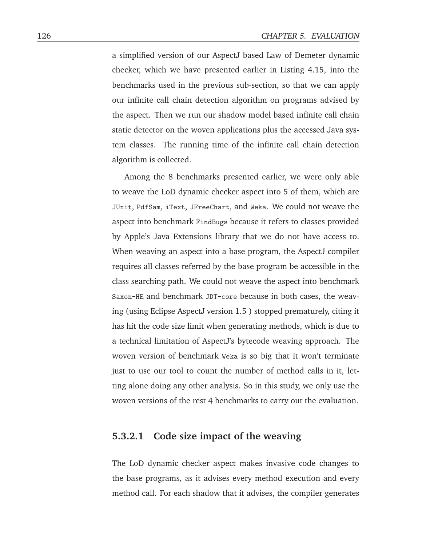a simplified version of our AspectJ based Law of Demeter dynamic checker, which we have presented earlier in Listing 4.15, into the benchmarks used in the previous sub-section, so that we can apply our infinite call chain detection algorithm on programs advised by the aspect. Then we run our shadow model based infinite call chain static detector on the woven applications plus the accessed Java system classes. The running time of the infinite call chain detection algorithm is collected.

Among the 8 benchmarks presented earlier, we were only able to weave the LoD dynamic checker aspect into 5 of them, which are JUnit, PdfSam, iText, JFreeChart, and Weka. We could not weave the aspect into benchmark FindBugs because it refers to classes provided by Apple's Java Extensions library that we do not have access to. When weaving an aspect into a base program, the AspectJ compiler requires all classes referred by the base program be accessible in the class searching path. We could not weave the aspect into benchmark Saxon-HE and benchmark JDT-core because in both cases, the weaving (using Eclipse AspectJ version 1.5 ) stopped prematurely, citing it has hit the code size limit when generating methods, which is due to a technical limitation of AspectJ's bytecode weaving approach. The woven version of benchmark Weka is so big that it won't terminate just to use our tool to count the number of method calls in it, letting alone doing any other analysis. So in this study, we only use the woven versions of the rest 4 benchmarks to carry out the evaluation.

#### **5.3.2.1 Code size impact of the weaving**

The LoD dynamic checker aspect makes invasive code changes to the base programs, as it advises every method execution and every method call. For each shadow that it advises, the compiler generates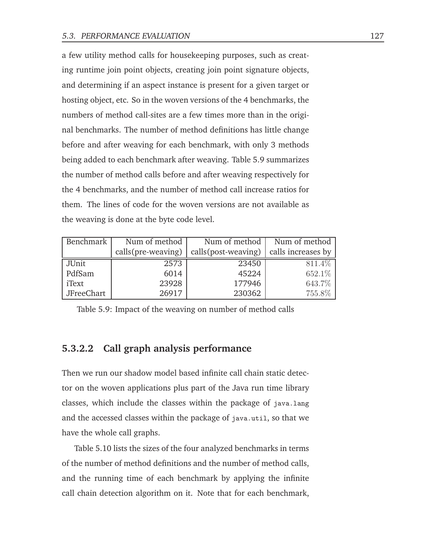a few utility method calls for housekeeping purposes, such as creating runtime join point objects, creating join point signature objects, and determining if an aspect instance is present for a given target or hosting object, etc. So in the woven versions of the 4 benchmarks, the numbers of method call-sites are a few times more than in the original benchmarks. The number of method definitions has little change before and after weaving for each benchmark, with only 3 methods being added to each benchmark after weaving. Table 5.9 summarizes the number of method calls before and after weaving respectively for the 4 benchmarks, and the number of method call increase ratios for them. The lines of code for the woven versions are not available as the weaving is done at the byte code level.

| Benchmark         | Num of method      | Num of method        | Num of method      |
|-------------------|--------------------|----------------------|--------------------|
|                   | calls(pre-weaving) | calls (post-weaving) | calls increases by |
| JUnit             | 2573               | 23450                | 811.4%             |
| PdfSam            | 6014               | 45224                | 652.1%             |
| iText             | 23928              | 177946               | 643.7%             |
| <b>JFreeChart</b> | 26917              | 230362               | 755.8%             |

Table 5.9: Impact of the weaving on number of method calls

#### **5.3.2.2 Call graph analysis performance**

Then we run our shadow model based infinite call chain static detector on the woven applications plus part of the Java run time library classes, which include the classes within the package of java.lang and the accessed classes within the package of java.util, so that we have the whole call graphs.

Table 5.10 lists the sizes of the four analyzed benchmarks in terms of the number of method definitions and the number of method calls, and the running time of each benchmark by applying the infinite call chain detection algorithm on it. Note that for each benchmark,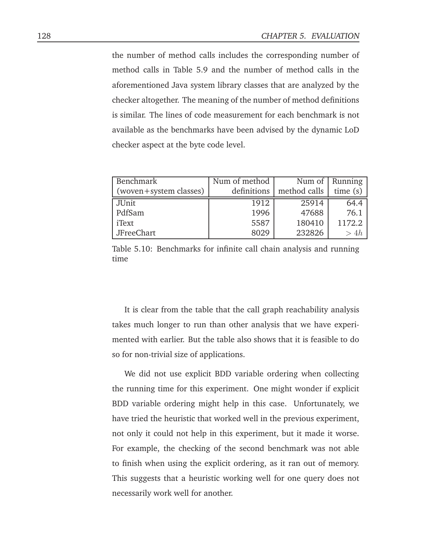the number of method calls includes the corresponding number of method calls in Table 5.9 and the number of method calls in the aforementioned Java system library classes that are analyzed by the checker altogether. The meaning of the number of method definitions is similar. The lines of code measurement for each benchmark is not available as the benchmarks have been advised by the dynamic LoD checker aspect at the byte code level.

| Benchmark              | Num of method |              | Num of $\vert$ Running |
|------------------------|---------------|--------------|------------------------|
| (woven+system classes) | definitions   | method calls | time(s)                |
| JUnit                  | 1912          | 25914        | 64.4                   |
| PdfSam                 | 1996          | 47688        | 76.1                   |
| iText                  | 5587          | 180410       | 1172.2                 |
| JFreeChart             | 8029          | 232826       | > 4h                   |

Table 5.10: Benchmarks for infinite call chain analysis and running time

It is clear from the table that the call graph reachability analysis takes much longer to run than other analysis that we have experimented with earlier. But the table also shows that it is feasible to do so for non-trivial size of applications.

We did not use explicit BDD variable ordering when collecting the running time for this experiment. One might wonder if explicit BDD variable ordering might help in this case. Unfortunately, we have tried the heuristic that worked well in the previous experiment, not only it could not help in this experiment, but it made it worse. For example, the checking of the second benchmark was not able to finish when using the explicit ordering, as it ran out of memory. This suggests that a heuristic working well for one query does not necessarily work well for another.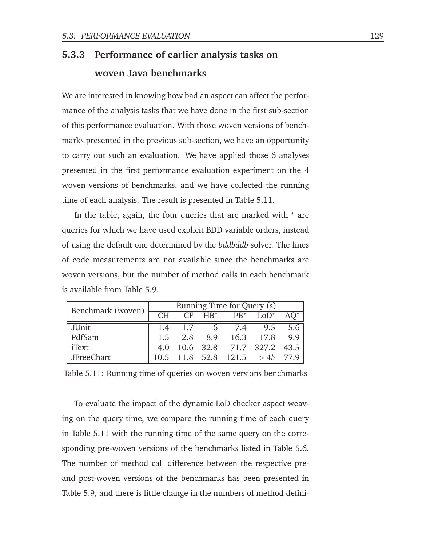## **5.3.3 Performance of earlier analysis tasks on woven Java benchmarks**

We are interested in knowing how bad an aspect can affect the performance of the analysis tasks that we have done in the first sub-section of this performance evaluation. With those woven versions of benchmarks presented in the previous sub-section, we have an opportunity to carry out such an evaluation. We have applied those 6 analyses presented in the first performance evaluation experiment on the 4 woven versions of benchmarks, and we have collected the running time of each analysis. The result is presented in Table 5.11.

In the table, again, the four queries that are marked with <sup>∗</sup> are queries for which we have used explicit BDD variable orders, instead of using the default one determined by the *bddbddb* solver. The lines of code measurements are not available since the benchmarks are woven versions, but the number of method calls in each benchmark is available from Table 5.9.

| Benchmark (woven) | Running Time for Query (s) |                 |             |                       |                                |        |  |
|-------------------|----------------------------|-----------------|-------------|-----------------------|--------------------------------|--------|--|
|                   | CH                         |                 | $CF$ $HB^*$ | $PB^*$                | $LOD^*$                        | $AO^*$ |  |
| JUnit             |                            | $1.4 \quad 1.7$ |             |                       | 6 7.4 9.5 5.6                  |        |  |
| PdfSam            |                            |                 |             | 1.5 2.8 8.9 16.3 17.8 |                                | 9.9    |  |
| iText             | 4.0                        |                 |             |                       | 10.6 32.8 71.7 327.2 43.5      |        |  |
| JFreeChart        |                            |                 |             |                       | 10.5 11.8 52.8 121.5 > 4h 77.9 |        |  |

|  |  |  | Table 5.11: Running time of queries on woven versions benchmarks |
|--|--|--|------------------------------------------------------------------|
|  |  |  |                                                                  |

To evaluate the impact of the dynamic LoD checker aspect weaving on the query time, we compare the running time of each query in Table 5.11 with the running time of the same query on the corresponding pre-woven versions of the benchmarks listed in Table 5.6. The number of method call difference between the respective preand post-woven versions of the benchmarks has been presented in Table 5.9, and there is little change in the numbers of method defini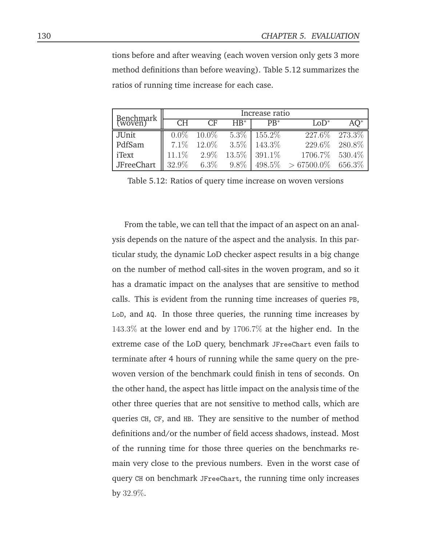tions before and after weaving (each woven version only gets 3 more method definitions than before weaving). Table 5.12 summarizes the ratios of running time increase for each case.

| Benchmark         | Increase ratio |          |         |         |              |         |
|-------------------|----------------|----------|---------|---------|--------------|---------|
| (woven)           | СH             |          | $HB^*$  | $PB^*$  | $LOD^*$      |         |
| JUnit             | $0.0\%$        | $10.0\%$ | 5.3%    | 155.2%  | 227.6%       | 273.3%  |
| PdfSam            | $7.1\%$        | 12.0\%   | 3.5%    | 143.3%  | 229.6%       | 280.8%  |
| iText             | $11.1\%$       | $2.9\%$  | 13.5%   | 391.1\% | 1706.7%      | 530.4\% |
| <b>JFreeChart</b> | 32.9%          | $6.3\%$  | $9.8\%$ | 498.5%  | $>67500.0\%$ | 656.3%  |

Table 5.12: Ratios of query time increase on woven versions

From the table, we can tell that the impact of an aspect on an analysis depends on the nature of the aspect and the analysis. In this particular study, the dynamic LoD checker aspect results in a big change on the number of method call-sites in the woven program, and so it has a dramatic impact on the analyses that are sensitive to method calls. This is evident from the running time increases of queries PB, LoD, and AQ. In those three queries, the running time increases by 143.3% at the lower end and by 1706.7% at the higher end. In the extreme case of the LoD query, benchmark JFreeChart even fails to terminate after 4 hours of running while the same query on the prewoven version of the benchmark could finish in tens of seconds. On the other hand, the aspect has little impact on the analysis time of the other three queries that are not sensitive to method calls, which are queries CH, CF, and HB. They are sensitive to the number of method definitions and/or the number of field access shadows, instead. Most of the running time for those three queries on the benchmarks remain very close to the previous numbers. Even in the worst case of query CH on benchmark JFreeChart, the running time only increases by 32.9%.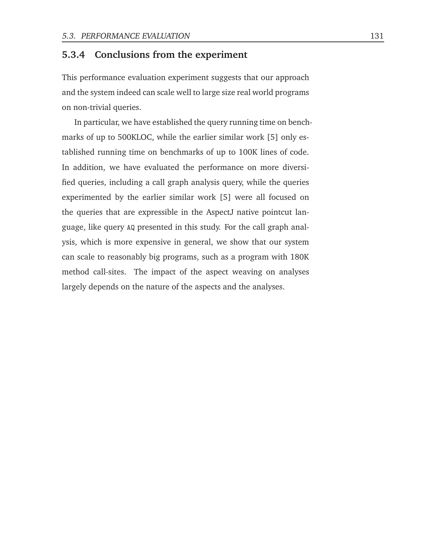#### **5.3.4 Conclusions from the experiment**

This performance evaluation experiment suggests that our approach and the system indeed can scale well to large size real world programs on non-trivial queries.

In particular, we have established the query running time on benchmarks of up to 500KLOC, while the earlier similar work [5] only established running time on benchmarks of up to 100K lines of code. In addition, we have evaluated the performance on more diversified queries, including a call graph analysis query, while the queries experimented by the earlier similar work [5] were all focused on the queries that are expressible in the AspectJ native pointcut language, like query AQ presented in this study. For the call graph analysis, which is more expensive in general, we show that our system can scale to reasonably big programs, such as a program with 180K method call-sites. The impact of the aspect weaving on analyses largely depends on the nature of the aspects and the analyses.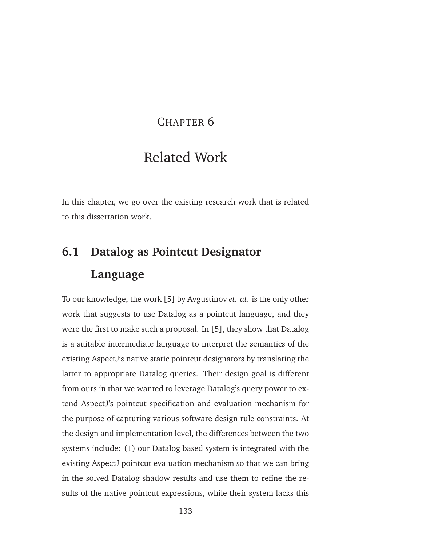### CHAPTER 6

## Related Work

In this chapter, we go over the existing research work that is related to this dissertation work.

# **6.1 Datalog as Pointcut Designator Language**

To our knowledge, the work [5] by Avgustinov *et. al.* is the only other work that suggests to use Datalog as a pointcut language, and they were the first to make such a proposal. In [5], they show that Datalog is a suitable intermediate language to interpret the semantics of the existing AspectJ's native static pointcut designators by translating the latter to appropriate Datalog queries. Their design goal is different from ours in that we wanted to leverage Datalog's query power to extend AspectJ's pointcut specification and evaluation mechanism for the purpose of capturing various software design rule constraints. At the design and implementation level, the differences between the two systems include: (1) our Datalog based system is integrated with the existing AspectJ pointcut evaluation mechanism so that we can bring in the solved Datalog shadow results and use them to refine the results of the native pointcut expressions, while their system lacks this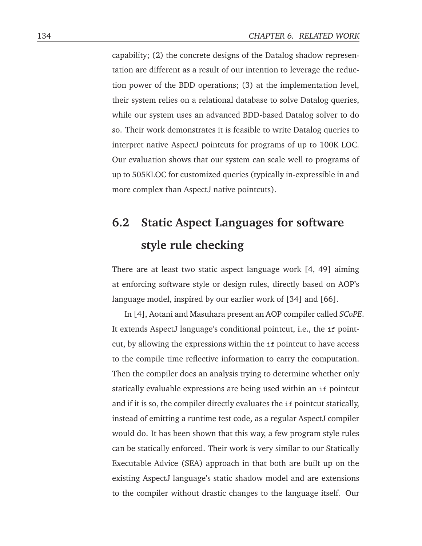capability; (2) the concrete designs of the Datalog shadow representation are different as a result of our intention to leverage the reduction power of the BDD operations; (3) at the implementation level, their system relies on a relational database to solve Datalog queries, while our system uses an advanced BDD-based Datalog solver to do so. Their work demonstrates it is feasible to write Datalog queries to interpret native AspectJ pointcuts for programs of up to 100K LOC. Our evaluation shows that our system can scale well to programs of up to 505KLOC for customized queries (typically in-expressible in and more complex than AspectJ native pointcuts).

# **6.2 Static Aspect Languages for software style rule checking**

There are at least two static aspect language work [4, 49] aiming at enforcing software style or design rules, directly based on AOP's language model, inspired by our earlier work of [34] and [66].

In [4], Aotani and Masuhara present an AOP compiler called *SCoPE*. It extends AspectJ language's conditional pointcut, i.e., the if pointcut, by allowing the expressions within the if pointcut to have access to the compile time reflective information to carry the computation. Then the compiler does an analysis trying to determine whether only statically evaluable expressions are being used within an if pointcut and if it is so, the compiler directly evaluates the if pointcut statically, instead of emitting a runtime test code, as a regular AspectJ compiler would do. It has been shown that this way, a few program style rules can be statically enforced. Their work is very similar to our Statically Executable Advice (SEA) approach in that both are built up on the existing AspectJ language's static shadow model and are extensions to the compiler without drastic changes to the language itself. Our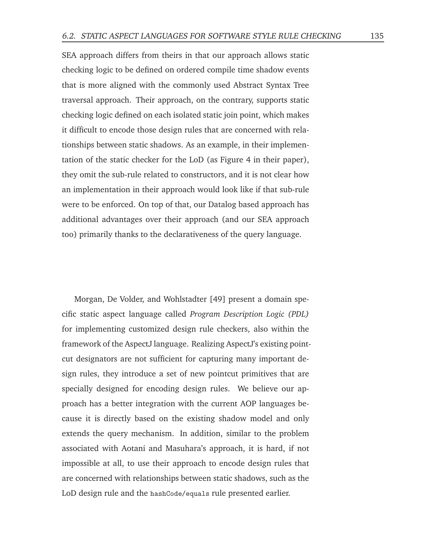SEA approach differs from theirs in that our approach allows static checking logic to be defined on ordered compile time shadow events that is more aligned with the commonly used Abstract Syntax Tree traversal approach. Their approach, on the contrary, supports static checking logic defined on each isolated static join point, which makes it difficult to encode those design rules that are concerned with relationships between static shadows. As an example, in their implementation of the static checker for the LoD (as Figure 4 in their paper), they omit the sub-rule related to constructors, and it is not clear how an implementation in their approach would look like if that sub-rule were to be enforced. On top of that, our Datalog based approach has additional advantages over their approach (and our SEA approach too) primarily thanks to the declarativeness of the query language.

Morgan, De Volder, and Wohlstadter [49] present a domain specific static aspect language called *Program Description Logic (PDL)* for implementing customized design rule checkers, also within the framework of the AspectJ language. Realizing AspectJ's existing pointcut designators are not sufficient for capturing many important design rules, they introduce a set of new pointcut primitives that are specially designed for encoding design rules. We believe our approach has a better integration with the current AOP languages because it is directly based on the existing shadow model and only extends the query mechanism. In addition, similar to the problem associated with Aotani and Masuhara's approach, it is hard, if not impossible at all, to use their approach to encode design rules that are concerned with relationships between static shadows, such as the LoD design rule and the hashCode/equals rule presented earlier.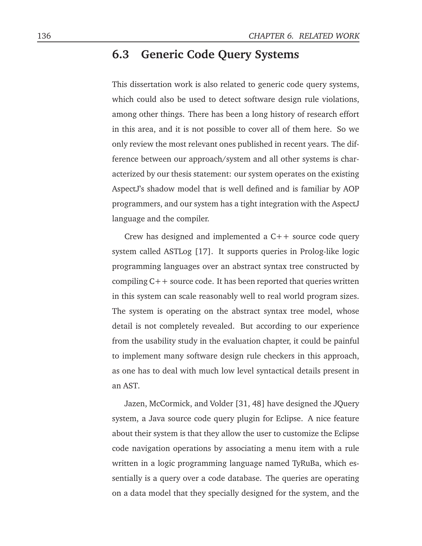### **6.3 Generic Code Query Systems**

This dissertation work is also related to generic code query systems, which could also be used to detect software design rule violations, among other things. There has been a long history of research effort in this area, and it is not possible to cover all of them here. So we only review the most relevant ones published in recent years. The difference between our approach/system and all other systems is characterized by our thesis statement: our system operates on the existing AspectJ's shadow model that is well defined and is familiar by AOP programmers, and our system has a tight integration with the AspectJ language and the compiler.

Crew has designed and implemented a  $C++$  source code query system called ASTLog [17]. It supports queries in Prolog-like logic programming languages over an abstract syntax tree constructed by compiling  $C++$  source code. It has been reported that queries written in this system can scale reasonably well to real world program sizes. The system is operating on the abstract syntax tree model, whose detail is not completely revealed. But according to our experience from the usability study in the evaluation chapter, it could be painful to implement many software design rule checkers in this approach, as one has to deal with much low level syntactical details present in an AST.

Jazen, McCormick, and Volder [31, 48] have designed the JQuery system, a Java source code query plugin for Eclipse. A nice feature about their system is that they allow the user to customize the Eclipse code navigation operations by associating a menu item with a rule written in a logic programming language named TyRuBa, which essentially is a query over a code database. The queries are operating on a data model that they specially designed for the system, and the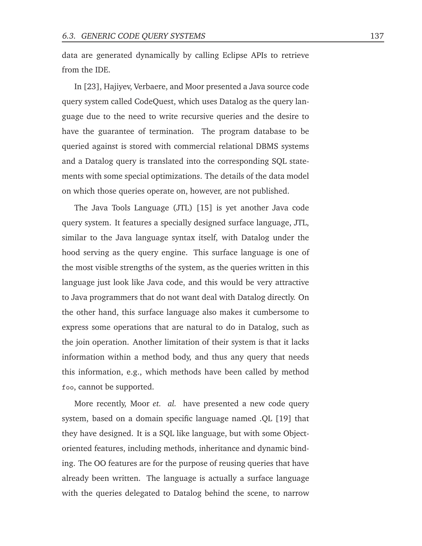data are generated dynamically by calling Eclipse APIs to retrieve from the IDE.

In [23], Hajiyev, Verbaere, and Moor presented a Java source code query system called CodeQuest, which uses Datalog as the query language due to the need to write recursive queries and the desire to have the guarantee of termination. The program database to be queried against is stored with commercial relational DBMS systems and a Datalog query is translated into the corresponding SQL statements with some special optimizations. The details of the data model on which those queries operate on, however, are not published.

The Java Tools Language (JTL) [15] is yet another Java code query system. It features a specially designed surface language, JTL, similar to the Java language syntax itself, with Datalog under the hood serving as the query engine. This surface language is one of the most visible strengths of the system, as the queries written in this language just look like Java code, and this would be very attractive to Java programmers that do not want deal with Datalog directly. On the other hand, this surface language also makes it cumbersome to express some operations that are natural to do in Datalog, such as the join operation. Another limitation of their system is that it lacks information within a method body, and thus any query that needs this information, e.g., which methods have been called by method foo, cannot be supported.

More recently, Moor *et. al.* have presented a new code query system, based on a domain specific language named .QL [19] that they have designed. It is a SQL like language, but with some Objectoriented features, including methods, inheritance and dynamic binding. The OO features are for the purpose of reusing queries that have already been written. The language is actually a surface language with the queries delegated to Datalog behind the scene, to narrow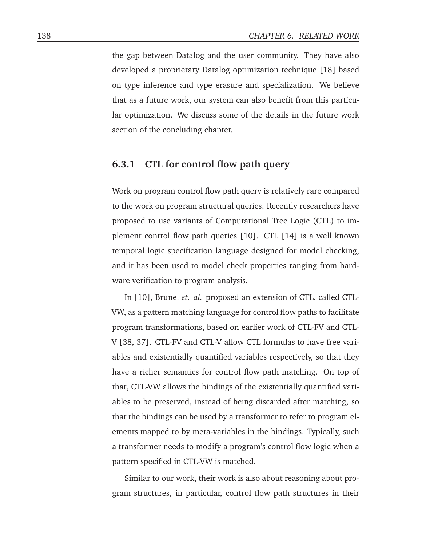the gap between Datalog and the user community. They have also developed a proprietary Datalog optimization technique [18] based on type inference and type erasure and specialization. We believe that as a future work, our system can also benefit from this particular optimization. We discuss some of the details in the future work section of the concluding chapter.

#### **6.3.1 CTL for control flow path query**

Work on program control flow path query is relatively rare compared to the work on program structural queries. Recently researchers have proposed to use variants of Computational Tree Logic (CTL) to implement control flow path queries [10]. CTL [14] is a well known temporal logic specification language designed for model checking, and it has been used to model check properties ranging from hardware verification to program analysis.

In [10], Brunel *et. al.* proposed an extension of CTL, called CTL-VW, as a pattern matching language for control flow paths to facilitate program transformations, based on earlier work of CTL-FV and CTL-V [38, 37]. CTL-FV and CTL-V allow CTL formulas to have free variables and existentially quantified variables respectively, so that they have a richer semantics for control flow path matching. On top of that, CTL-VW allows the bindings of the existentially quantified variables to be preserved, instead of being discarded after matching, so that the bindings can be used by a transformer to refer to program elements mapped to by meta-variables in the bindings. Typically, such a transformer needs to modify a program's control flow logic when a pattern specified in CTL-VW is matched.

Similar to our work, their work is also about reasoning about program structures, in particular, control flow path structures in their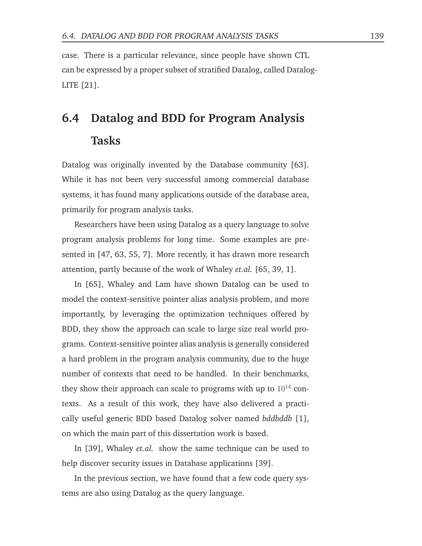case. There is a particular relevance, since people have shown CTL can be expressed by a proper subset of stratified Datalog, called Datalog-LITE [21].

# **6.4 Datalog and BDD for Program Analysis Tasks**

Datalog was originally invented by the Database community [63]. While it has not been very successful among commercial database systems, it has found many applications outside of the database area, primarily for program analysis tasks.

Researchers have been using Datalog as a query language to solve program analysis problems for long time. Some examples are presented in [47, 63, 55, 7]. More recently, it has drawn more research attention, partly because of the work of Whaley *et.al.* [65, 39, 1].

In [65], Whaley and Lam have shown Datalog can be used to model the context-sensitive pointer alias analysis problem, and more importantly, by leveraging the optimization techniques offered by BDD, they show the approach can scale to large size real world programs. Context-sensitive pointer alias analysis is generally considered a hard problem in the program analysis community, due to the huge number of contexts that need to be handled. In their benchmarks, they show their approach can scale to programs with up to  $10^{14}$  contexts. As a result of this work, they have also delivered a practically useful generic BDD based Datalog solver named *bddbddb* [1], on which the main part of this dissertation work is based.

In [39], Whaley *et.al.* show the same technique can be used to help discover security issues in Database applications [39].

In the previous section, we have found that a few code query systems are also using Datalog as the query language.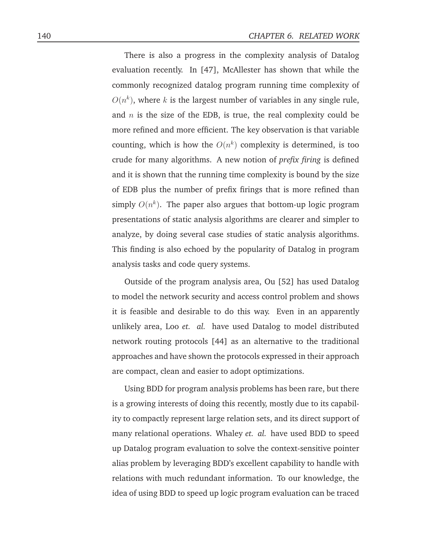There is also a progress in the complexity analysis of Datalog evaluation recently. In [47], McAllester has shown that while the commonly recognized datalog program running time complexity of  $O(n^k)$ , where k is the largest number of variables in any single rule, and  $n$  is the size of the EDB, is true, the real complexity could be more refined and more efficient. The key observation is that variable counting, which is how the  $O(n^k)$  complexity is determined, is too crude for many algorithms. A new notion of *prefix firing* is defined and it is shown that the running time complexity is bound by the size of EDB plus the number of prefix firings that is more refined than simply  $O(n^k)$ . The paper also argues that bottom-up logic program presentations of static analysis algorithms are clearer and simpler to analyze, by doing several case studies of static analysis algorithms. This finding is also echoed by the popularity of Datalog in program analysis tasks and code query systems.

Outside of the program analysis area, Ou [52] has used Datalog to model the network security and access control problem and shows it is feasible and desirable to do this way. Even in an apparently unlikely area, Loo *et. al.* have used Datalog to model distributed network routing protocols [44] as an alternative to the traditional approaches and have shown the protocols expressed in their approach are compact, clean and easier to adopt optimizations.

Using BDD for program analysis problems has been rare, but there is a growing interests of doing this recently, mostly due to its capability to compactly represent large relation sets, and its direct support of many relational operations. Whaley *et. al.* have used BDD to speed up Datalog program evaluation to solve the context-sensitive pointer alias problem by leveraging BDD's excellent capability to handle with relations with much redundant information. To our knowledge, the idea of using BDD to speed up logic program evaluation can be traced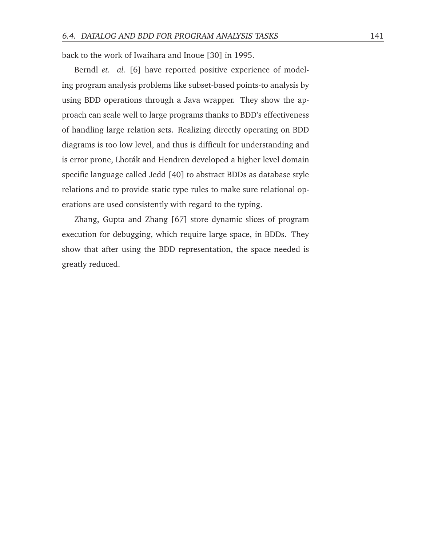back to the work of Iwaihara and Inoue [30] in 1995.

Berndl *et. al.* [6] have reported positive experience of modeling program analysis problems like subset-based points-to analysis by using BDD operations through a Java wrapper. They show the approach can scale well to large programs thanks to BDD's effectiveness of handling large relation sets. Realizing directly operating on BDD diagrams is too low level, and thus is difficult for understanding and is error prone, Lhoták and Hendren developed a higher level domain specific language called Jedd [40] to abstract BDDs as database style relations and to provide static type rules to make sure relational operations are used consistently with regard to the typing.

Zhang, Gupta and Zhang [67] store dynamic slices of program execution for debugging, which require large space, in BDDs. They show that after using the BDD representation, the space needed is greatly reduced.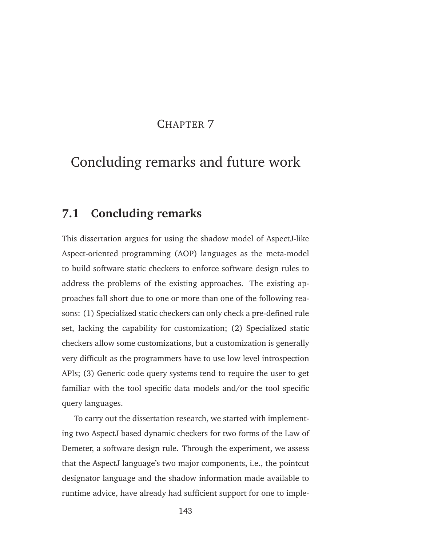#### CHAPTER<sub>7</sub>

## Concluding remarks and future work

### **7.1 Concluding remarks**

This dissertation argues for using the shadow model of AspectJ-like Aspect-oriented programming (AOP) languages as the meta-model to build software static checkers to enforce software design rules to address the problems of the existing approaches. The existing approaches fall short due to one or more than one of the following reasons: (1) Specialized static checkers can only check a pre-defined rule set, lacking the capability for customization; (2) Specialized static checkers allow some customizations, but a customization is generally very difficult as the programmers have to use low level introspection APIs; (3) Generic code query systems tend to require the user to get familiar with the tool specific data models and/or the tool specific query languages.

To carry out the dissertation research, we started with implementing two AspectJ based dynamic checkers for two forms of the Law of Demeter, a software design rule. Through the experiment, we assess that the AspectJ language's two major components, i.e., the pointcut designator language and the shadow information made available to runtime advice, have already had sufficient support for one to imple-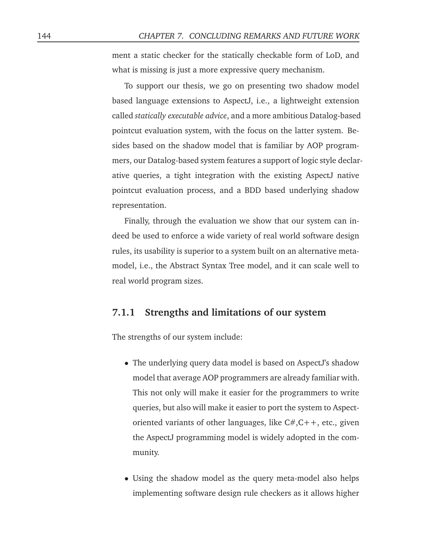ment a static checker for the statically checkable form of LoD, and what is missing is just a more expressive query mechanism.

To support our thesis, we go on presenting two shadow model based language extensions to AspectJ, i.e., a lightweight extension called *statically executable advice*, and a more ambitious Datalog-based pointcut evaluation system, with the focus on the latter system. Besides based on the shadow model that is familiar by AOP programmers, our Datalog-based system features a support of logic style declarative queries, a tight integration with the existing AspectJ native pointcut evaluation process, and a BDD based underlying shadow representation.

Finally, through the evaluation we show that our system can indeed be used to enforce a wide variety of real world software design rules, its usability is superior to a system built on an alternative metamodel, i.e., the Abstract Syntax Tree model, and it can scale well to real world program sizes.

#### **7.1.1 Strengths and limitations of our system**

The strengths of our system include:

- The underlying query data model is based on AspectJ's shadow model that average AOP programmers are already familiar with. This not only will make it easier for the programmers to write queries, but also will make it easier to port the system to Aspectoriented variants of other languages, like C#,C++, etc., given the AspectJ programming model is widely adopted in the community.
- Using the shadow model as the query meta-model also helps implementing software design rule checkers as it allows higher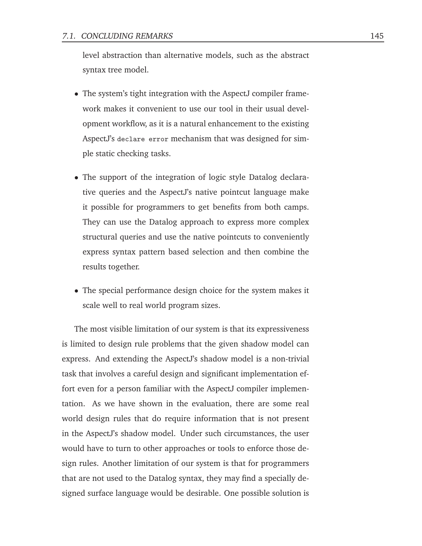level abstraction than alternative models, such as the abstract syntax tree model.

- The system's tight integration with the AspectJ compiler framework makes it convenient to use our tool in their usual development workflow, as it is a natural enhancement to the existing AspectJ's declare error mechanism that was designed for simple static checking tasks.
- The support of the integration of logic style Datalog declarative queries and the AspectJ's native pointcut language make it possible for programmers to get benefits from both camps. They can use the Datalog approach to express more complex structural queries and use the native pointcuts to conveniently express syntax pattern based selection and then combine the results together.
- The special performance design choice for the system makes it scale well to real world program sizes.

The most visible limitation of our system is that its expressiveness is limited to design rule problems that the given shadow model can express. And extending the AspectJ's shadow model is a non-trivial task that involves a careful design and significant implementation effort even for a person familiar with the AspectJ compiler implementation. As we have shown in the evaluation, there are some real world design rules that do require information that is not present in the AspectJ's shadow model. Under such circumstances, the user would have to turn to other approaches or tools to enforce those design rules. Another limitation of our system is that for programmers that are not used to the Datalog syntax, they may find a specially designed surface language would be desirable. One possible solution is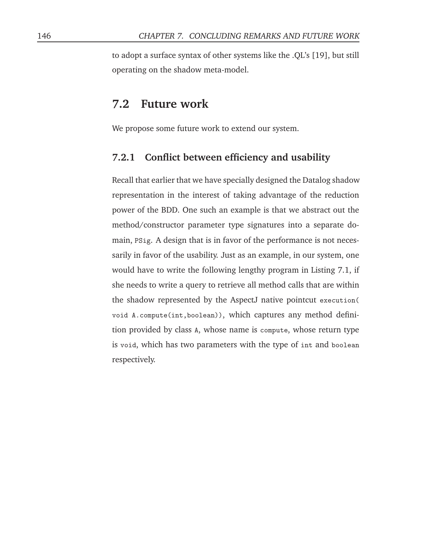to adopt a surface syntax of other systems like the .QL's [19], but still operating on the shadow meta-model.

### **7.2 Future work**

We propose some future work to extend our system.

#### **7.2.1 Conflict between efficiency and usability**

Recall that earlier that we have specially designed the Datalog shadow representation in the interest of taking advantage of the reduction power of the BDD. One such an example is that we abstract out the method/constructor parameter type signatures into a separate domain, PSig. A design that is in favor of the performance is not necessarily in favor of the usability. Just as an example, in our system, one would have to write the following lengthy program in Listing 7.1, if she needs to write a query to retrieve all method calls that are within the shadow represented by the AspectJ native pointcut execution( void A.compute(int,boolean)), which captures any method definition provided by class A, whose name is compute, whose return type is void, which has two parameters with the type of int and boolean respectively.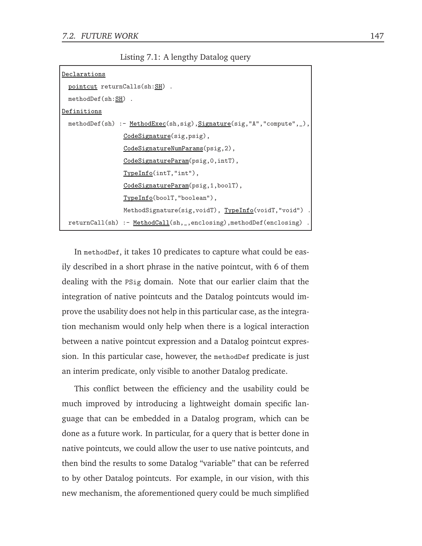Listing 7.1: A lengthy Datalog query

| Declarations                                                            |
|-------------------------------------------------------------------------|
| pointcut returnCalls(sh:SH).                                            |
| $methodDef(sh:SH)$ .                                                    |
| Definitions                                                             |
| methodDef(sh) :- MethodExec(sh,sig), Signature(sig, "A", "compute", _), |
| CodeSignature(sig, psig),                                               |
| CodeSignatureNumParams(psig,2),                                         |
| $CodeSignatureParam(psig, 0, intT)$ ,                                   |
| $TypeInfo(intT,"int")$ ,                                                |
| CodeSignatureParam(psig,1,boolT),                                       |
| TypeInfo(boolT,"boolean"),                                              |
| MethodSignature(sig, voidT), TypeInfo(voidT, "void").                   |
| returnCall(sh) :- MethodCall(sh, _, enclosing), methodDef(enclosing) .  |

In methodDef, it takes 10 predicates to capture what could be easily described in a short phrase in the native pointcut, with 6 of them dealing with the PSig domain. Note that our earlier claim that the integration of native pointcuts and the Datalog pointcuts would improve the usability does not help in this particular case, as the integration mechanism would only help when there is a logical interaction between a native pointcut expression and a Datalog pointcut expression. In this particular case, however, the methodDef predicate is just an interim predicate, only visible to another Datalog predicate.

This conflict between the efficiency and the usability could be much improved by introducing a lightweight domain specific language that can be embedded in a Datalog program, which can be done as a future work. In particular, for a query that is better done in native pointcuts, we could allow the user to use native pointcuts, and then bind the results to some Datalog "variable" that can be referred to by other Datalog pointcuts. For example, in our vision, with this new mechanism, the aforementioned query could be much simplified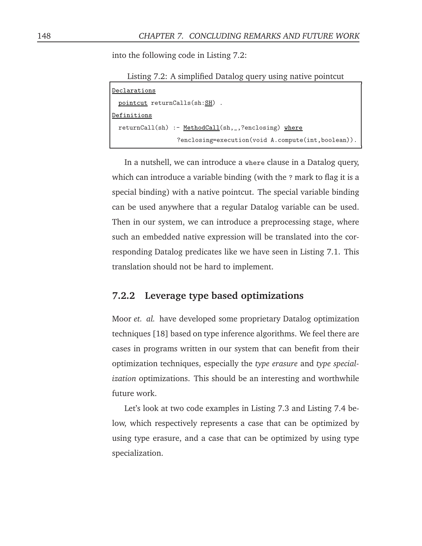into the following code in Listing 7.2:

Listing 7.2: A simplified Datalog query using native pointcut

| Declarations                                        |
|-----------------------------------------------------|
| pointcut returnCalls(sh:SH).                        |
| Definitions                                         |
| returnCall(sh) :- MethodCall(sh,_,?enclosing) where |
| ?enclosing=execution(void A.compute(int,boolean)).  |

In a nutshell, we can introduce a where clause in a Datalog query, which can introduce a variable binding (with the ? mark to flag it is a special binding) with a native pointcut. The special variable binding can be used anywhere that a regular Datalog variable can be used. Then in our system, we can introduce a preprocessing stage, where such an embedded native expression will be translated into the corresponding Datalog predicates like we have seen in Listing 7.1. This translation should not be hard to implement.

#### **7.2.2 Leverage type based optimizations**

Moor *et. al.* have developed some proprietary Datalog optimization techniques [18] based on type inference algorithms. We feel there are cases in programs written in our system that can benefit from their optimization techniques, especially the *type erasure* and *type specialization* optimizations. This should be an interesting and worthwhile future work.

Let's look at two code examples in Listing 7.3 and Listing 7.4 below, which respectively represents a case that can be optimized by using type erasure, and a case that can be optimized by using type specialization.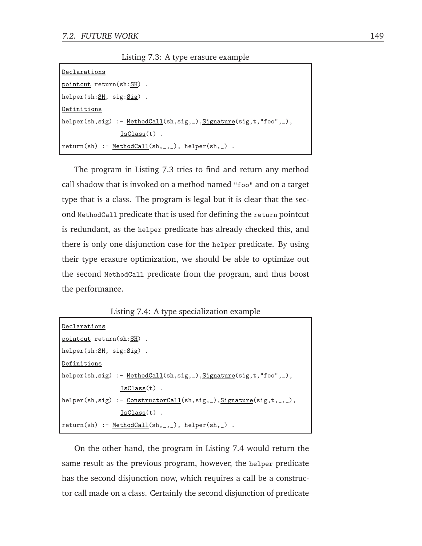Listing 7.3: A type erasure example

| lDeclarations                                                              |
|----------------------------------------------------------------------------|
| pointcut return(sh:SH).                                                    |
| $helper(sh: SH, sig: Sig)$ .                                               |
| lDefinitions                                                               |
| $\vert$ helper(sh,sig) :- MethodCall(sh,sig, ), Signature(sig,t,"foo", _), |
| $IsClass(t)$ .                                                             |
| $ return(sh) :- MethodCall(sh, _{}, _")$ , helper(sh, $_$ ).               |

The program in Listing 7.3 tries to find and return any method call shadow that is invoked on a method named "foo" and on a target type that is a class. The program is legal but it is clear that the second MethodCall predicate that is used for defining the return pointcut is redundant, as the helper predicate has already checked this, and there is only one disjunction case for the helper predicate. By using their type erasure optimization, we should be able to optimize out the second MethodCall predicate from the program, and thus boost the performance.

Listing 7.4: A type specialization example

| Declarations                                                         |
|----------------------------------------------------------------------|
| pointcut return(sh:SH).                                              |
| helper(sh: $SH$ , sig: $Sig$ ).                                      |
| Definitions                                                          |
| helper(sh,sig) :- MethodCall(sh,sig, _), Signature(sig,t, "foo", _), |
| $IsClass(t)$ .                                                       |
| helper(sh,sig) :- $ConstructorCall(sh,sig, _),Signature(sig,t, _-),$ |
| $IsClass(t)$ .                                                       |
| $ return(sh) :- MethodCall(sh, _{-}, _{-})$ , helper(sh, _).         |

On the other hand, the program in Listing 7.4 would return the same result as the previous program, however, the helper predicate has the second disjunction now, which requires a call be a constructor call made on a class. Certainly the second disjunction of predicate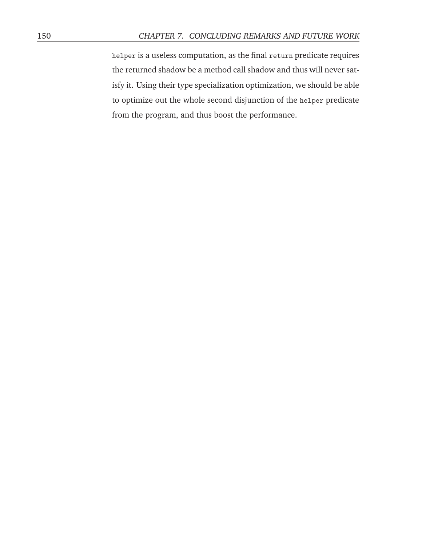helper is a useless computation, as the final return predicate requires the returned shadow be a method call shadow and thus will never satisfy it. Using their type specialization optimization, we should be able to optimize out the whole second disjunction of the helper predicate from the program, and thus boost the performance.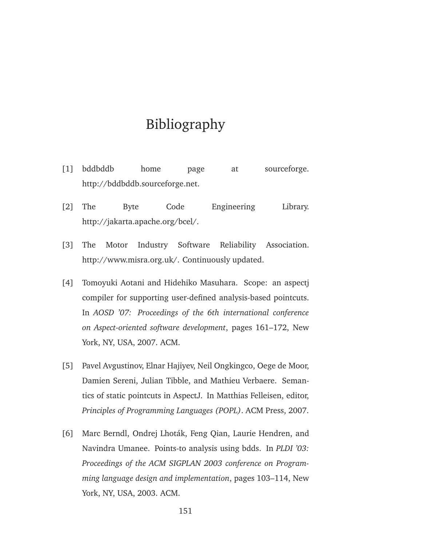## Bibliography

- [1] bddbddb home page at sourceforge. http://bddbddb.sourceforge.net.
- [2] The Byte Code Engineering Library. http://jakarta.apache.org/bcel/.
- [3] The Motor Industry Software Reliability Association. http://www.misra.org.uk/. Continuously updated.
- [4] Tomoyuki Aotani and Hidehiko Masuhara. Scope: an aspectj compiler for supporting user-defined analysis-based pointcuts. In *AOSD '07: Proceedings of the 6th international conference on Aspect-oriented software development*, pages 161–172, New York, NY, USA, 2007. ACM.
- [5] Pavel Avgustinov, Elnar Hajiyev, Neil Ongkingco, Oege de Moor, Damien Sereni, Julian Tibble, and Mathieu Verbaere. Semantics of static pointcuts in AspectJ. In Matthias Felleisen, editor, *Principles of Programming Languages (POPL)*. ACM Press, 2007.
- [6] Marc Berndl, Ondrej Lhoták, Feng Qian, Laurie Hendren, and Navindra Umanee. Points-to analysis using bdds. In *PLDI '03: Proceedings of the ACM SIGPLAN 2003 conference on Programming language design and implementation*, pages 103–114, New York, NY, USA, 2003. ACM.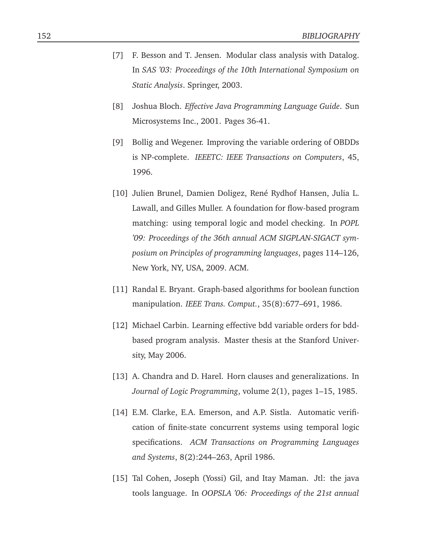- [7] F. Besson and T. Jensen. Modular class analysis with Datalog. In *SAS '03: Proceedings of the 10th International Symposium on Static Analysis*. Springer, 2003.
- [8] Joshua Bloch. *Effective Java Programming Language Guide*. Sun Microsystems Inc., 2001. Pages 36-41.
- [9] Bollig and Wegener. Improving the variable ordering of OBDDs is NP-complete. *IEEETC: IEEE Transactions on Computers*, 45, 1996.
- [10] Julien Brunel, Damien Doligez, René Rydhof Hansen, Julia L. Lawall, and Gilles Muller. A foundation for flow-based program matching: using temporal logic and model checking. In *POPL '09: Proceedings of the 36th annual ACM SIGPLAN-SIGACT symposium on Principles of programming languages*, pages 114–126, New York, NY, USA, 2009. ACM.
- [11] Randal E. Bryant. Graph-based algorithms for boolean function manipulation. *IEEE Trans. Comput.*, 35(8):677–691, 1986.
- [12] Michael Carbin. Learning effective bdd variable orders for bddbased program analysis. Master thesis at the Stanford University, May 2006.
- [13] A. Chandra and D. Harel. Horn clauses and generalizations. In *Journal of Logic Programming*, volume 2(1), pages 1–15, 1985.
- [14] E.M. Clarke, E.A. Emerson, and A.P. Sistla. Automatic verification of finite-state concurrent systems using temporal logic specifications. *ACM Transactions on Programming Languages and Systems*, 8(2):244–263, April 1986.
- [15] Tal Cohen, Joseph (Yossi) Gil, and Itay Maman. Jtl: the java tools language. In *OOPSLA '06: Proceedings of the 21st annual*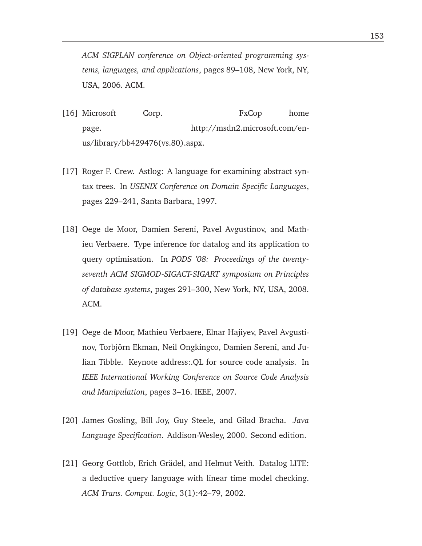*ACM SIGPLAN conference on Object-oriented programming systems, languages, and applications*, pages 89–108, New York, NY, USA, 2006. ACM.

- [16] Microsoft Corp. FxCop home page. http://msdn2.microsoft.com/enus/library/bb429476(vs.80).aspx.
- [17] Roger F. Crew. Astlog: A language for examining abstract syntax trees. In *USENIX Conference on Domain Specific Languages*, pages 229–241, Santa Barbara, 1997.
- [18] Oege de Moor, Damien Sereni, Pavel Avgustinov, and Mathieu Verbaere. Type inference for datalog and its application to query optimisation. In *PODS '08: Proceedings of the twentyseventh ACM SIGMOD-SIGACT-SIGART symposium on Principles of database systems*, pages 291–300, New York, NY, USA, 2008. ACM.
- [19] Oege de Moor, Mathieu Verbaere, Elnar Hajiyev, Pavel Avgustinov, Torbjörn Ekman, Neil Ongkingco, Damien Sereni, and Julian Tibble. Keynote address:.QL for source code analysis. In *IEEE International Working Conference on Source Code Analysis and Manipulation*, pages 3–16. IEEE, 2007.
- [20] James Gosling, Bill Joy, Guy Steele, and Gilad Bracha. *Java Language Specification*. Addison-Wesley, 2000. Second edition.
- [21] Georg Gottlob, Erich Grädel, and Helmut Veith. Datalog LITE: a deductive query language with linear time model checking. *ACM Trans. Comput. Logic*, 3(1):42–79, 2002.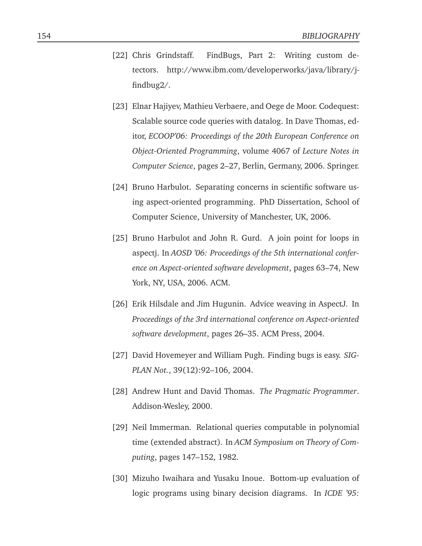- [22] Chris Grindstaff. FindBugs, Part 2: Writing custom detectors. http://www.ibm.com/developerworks/java/library/jfindbug2/.
- [23] Elnar Hajiyev, Mathieu Verbaere, and Oege de Moor. Codequest: Scalable source code queries with datalog. In Dave Thomas, editor, *ECOOP'06: Proceedings of the 20th European Conference on Object-Oriented Programming*, volume 4067 of *Lecture Notes in Computer Science*, pages 2–27, Berlin, Germany, 2006. Springer.
- [24] Bruno Harbulot. Separating concerns in scientific software using aspect-oriented programming. PhD Dissertation, School of Computer Science, University of Manchester, UK, 2006.
- [25] Bruno Harbulot and John R. Gurd. A join point for loops in aspectj. In *AOSD '06: Proceedings of the 5th international conference on Aspect-oriented software development*, pages 63–74, New York, NY, USA, 2006. ACM.
- [26] Erik Hilsdale and Jim Hugunin. Advice weaving in AspectJ. In *Proceedings of the 3rd international conference on Aspect-oriented software development*, pages 26–35. ACM Press, 2004.
- [27] David Hovemeyer and William Pugh. Finding bugs is easy. *SIG-PLAN Not.*, 39(12):92–106, 2004.
- [28] Andrew Hunt and David Thomas. *The Pragmatic Programmer*. Addison-Wesley, 2000.
- [29] Neil Immerman. Relational queries computable in polynomial time (extended abstract). In *ACM Symposium on Theory of Computing*, pages 147–152, 1982.
- [30] Mizuho Iwaihara and Yusaku Inoue. Bottom-up evaluation of logic programs using binary decision diagrams. In *ICDE '95:*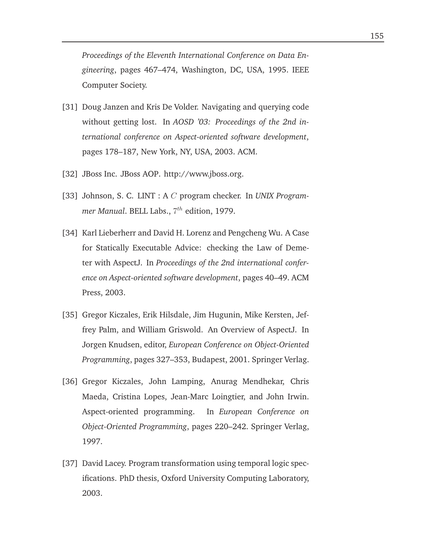*Proceedings of the Eleventh International Conference on Data Engineering*, pages 467–474, Washington, DC, USA, 1995. IEEE Computer Society.

- [31] Doug Janzen and Kris De Volder. Navigating and querying code without getting lost. In *AOSD '03: Proceedings of the 2nd international conference on Aspect-oriented software development*, pages 178–187, New York, NY, USA, 2003. ACM.
- [32] JBoss Inc. JBoss AOP. http://www.jboss.org.
- [33] Johnson, S. C. LINT : A C program checker. In *UNIX Programmer Manual*. BELL Labs., 7 th edition, 1979.
- [34] Karl Lieberherr and David H. Lorenz and Pengcheng Wu. A Case for Statically Executable Advice: checking the Law of Demeter with AspectJ. In *Proceedings of the 2nd international conference on Aspect-oriented software development*, pages 40–49. ACM Press, 2003.
- [35] Gregor Kiczales, Erik Hilsdale, Jim Hugunin, Mike Kersten, Jeffrey Palm, and William Griswold. An Overview of AspectJ. In Jorgen Knudsen, editor, *European Conference on Object-Oriented Programming*, pages 327–353, Budapest, 2001. Springer Verlag.
- [36] Gregor Kiczales, John Lamping, Anurag Mendhekar, Chris Maeda, Cristina Lopes, Jean-Marc Loingtier, and John Irwin. Aspect-oriented programming. In *European Conference on Object-Oriented Programming*, pages 220–242. Springer Verlag, 1997.
- [37] David Lacey. Program transformation using temporal logic specifications. PhD thesis, Oxford University Computing Laboratory, 2003.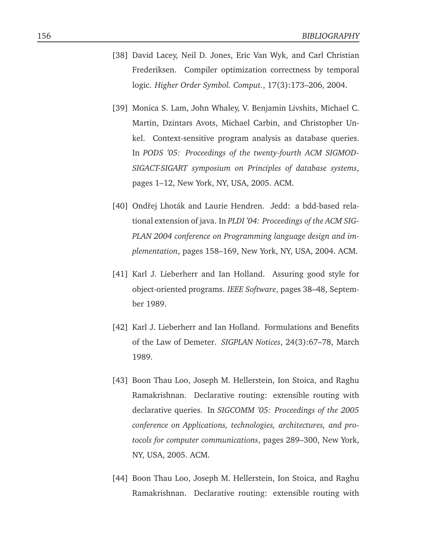- [38] David Lacey, Neil D. Jones, Eric Van Wyk, and Carl Christian Frederiksen. Compiler optimization correctness by temporal logic. *Higher Order Symbol. Comput.*, 17(3):173–206, 2004.
- [39] Monica S. Lam, John Whaley, V. Benjamin Livshits, Michael C. Martin, Dzintars Avots, Michael Carbin, and Christopher Unkel. Context-sensitive program analysis as database queries. In *PODS '05: Proceedings of the twenty-fourth ACM SIGMOD-SIGACT-SIGART symposium on Principles of database systems*, pages 1–12, New York, NY, USA, 2005. ACM.
- [40] Ondřej Lhoták and Laurie Hendren. Jedd: a bdd-based relational extension of java. In *PLDI '04: Proceedings of the ACM SIG-PLAN 2004 conference on Programming language design and implementation*, pages 158–169, New York, NY, USA, 2004. ACM.
- [41] Karl J. Lieberherr and Ian Holland. Assuring good style for object-oriented programs. *IEEE Software*, pages 38–48, September 1989.
- [42] Karl J. Lieberherr and Ian Holland. Formulations and Benefits of the Law of Demeter. *SIGPLAN Notices*, 24(3):67–78, March 1989.
- [43] Boon Thau Loo, Joseph M. Hellerstein, Ion Stoica, and Raghu Ramakrishnan. Declarative routing: extensible routing with declarative queries. In *SIGCOMM '05: Proceedings of the 2005 conference on Applications, technologies, architectures, and protocols for computer communications*, pages 289–300, New York, NY, USA, 2005. ACM.
- [44] Boon Thau Loo, Joseph M. Hellerstein, Ion Stoica, and Raghu Ramakrishnan. Declarative routing: extensible routing with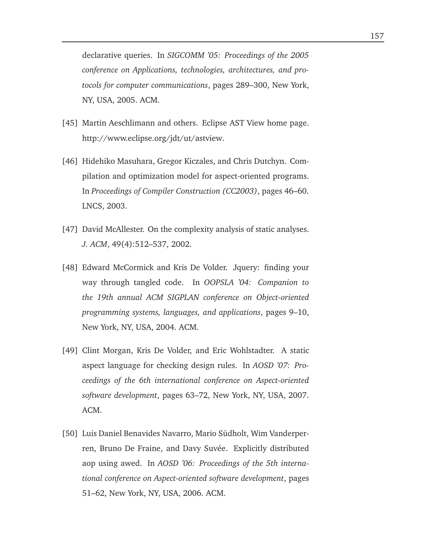declarative queries. In *SIGCOMM '05: Proceedings of the 2005 conference on Applications, technologies, architectures, and protocols for computer communications*, pages 289–300, New York, NY, USA, 2005. ACM.

- [45] Martin Aeschlimann and others. Eclipse AST View home page. http://www.eclipse.org/jdt/ut/astview.
- [46] Hidehiko Masuhara, Gregor Kiczales, and Chris Dutchyn. Compilation and optimization model for aspect-oriented programs. In *Proceedings of Compiler Construction (CC2003)*, pages 46–60. LNCS, 2003.
- [47] David McAllester. On the complexity analysis of static analyses. *J. ACM*, 49(4):512–537, 2002.
- [48] Edward McCormick and Kris De Volder. Jquery: finding your way through tangled code. In *OOPSLA '04: Companion to the 19th annual ACM SIGPLAN conference on Object-oriented programming systems, languages, and applications*, pages 9–10, New York, NY, USA, 2004. ACM.
- [49] Clint Morgan, Kris De Volder, and Eric Wohlstadter. A static aspect language for checking design rules. In *AOSD '07: Proceedings of the 6th international conference on Aspect-oriented software development*, pages 63–72, New York, NY, USA, 2007. ACM.
- [50] Luis Daniel Benavides Navarro, Mario Südholt, Wim Vanderperren, Bruno De Fraine, and Davy Suvée. Explicitly distributed aop using awed. In *AOSD '06: Proceedings of the 5th international conference on Aspect-oriented software development*, pages 51–62, New York, NY, USA, 2006. ACM.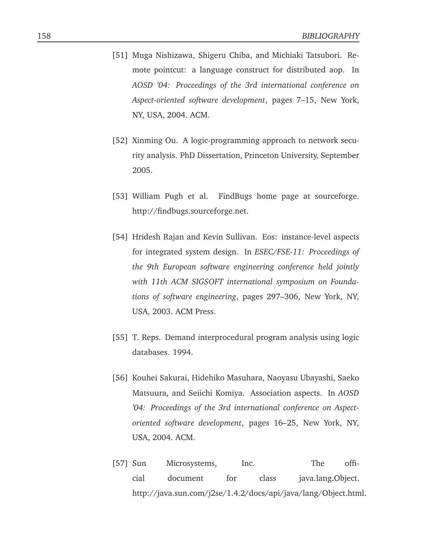- [51] Muga Nishizawa, Shigeru Chiba, and Michiaki Tatsubori. Remote pointcut: a language construct for distributed aop. In *AOSD '04: Proceedings of the 3rd international conference on Aspect-oriented software development*, pages 7–15, New York, NY, USA, 2004. ACM.
- [52] Xinming Ou. A logic-programming approach to network security analysis. PhD Dissertation, Princeton University, September 2005.
- [53] William Pugh et al. FindBugs home page at sourceforge. http://findbugs.sourceforge.net.
- [54] Hridesh Rajan and Kevin Sullivan. Eos: instance-level aspects for integrated system design. In *ESEC/FSE-11: Proceedings of the 9th European software engineering conference held jointly with 11th ACM SIGSOFT international symposium on Foundations of software engineering*, pages 297–306, New York, NY, USA, 2003. ACM Press.
- [55] T. Reps. Demand interprocedural program analysis using logic databases. 1994.
- [56] Kouhei Sakurai, Hidehiko Masuhara, Naoyasu Ubayashi, Saeko Matsuura, and Seiichi Komiya. Association aspects. In *AOSD '04: Proceedings of the 3rd international conference on Aspectoriented software development*, pages 16–25, New York, NY, USA, 2004. ACM.
- [57] Sun Microsystems, Inc. The official document for class java.lang.Object. http://java.sun.com/j2se/1.4.2/docs/api/java/lang/Object.html.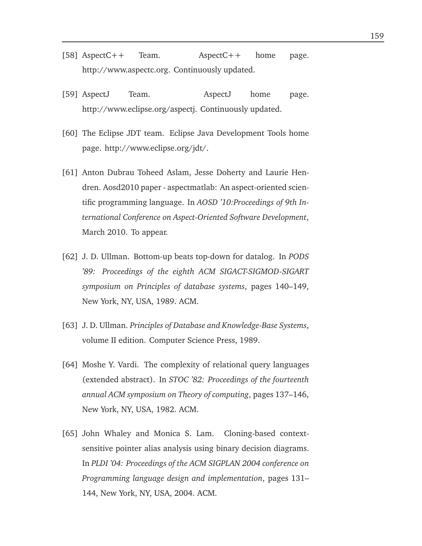- [58] AspectC++ Team. AspectC++ home page. http://www.aspectc.org. Continuously updated.
- [59] AspectJ Team. AspectJ home page. http://www.eclipse.org/aspectj. Continuously updated.
- [60] The Eclipse JDT team. Eclipse Java Development Tools home page. http://www.eclipse.org/jdt/.
- [61] Anton Dubrau Toheed Aslam, Jesse Doherty and Laurie Hendren. Aosd2010 paper - aspectmatlab: An aspect-oriented scientific programming language. In *AOSD '10:Proceedings of 9th International Conference on Aspect-Oriented Software Development*, March 2010. To appear.
- [62] J. D. Ullman. Bottom-up beats top-down for datalog. In *PODS '89: Proceedings of the eighth ACM SIGACT-SIGMOD-SIGART symposium on Principles of database systems*, pages 140–149, New York, NY, USA, 1989. ACM.
- [63] J. D. Ullman. *Principles of Database and Knowledge-Base Systems*, volume II edition. Computer Science Press, 1989.
- [64] Moshe Y. Vardi. The complexity of relational query languages (extended abstract). In *STOC '82: Proceedings of the fourteenth annual ACM symposium on Theory of computing*, pages 137–146, New York, NY, USA, 1982. ACM.
- [65] John Whaley and Monica S. Lam. Cloning-based contextsensitive pointer alias analysis using binary decision diagrams. In *PLDI '04: Proceedings of the ACM SIGPLAN 2004 conference on Programming language design and implementation*, pages 131– 144, New York, NY, USA, 2004. ACM.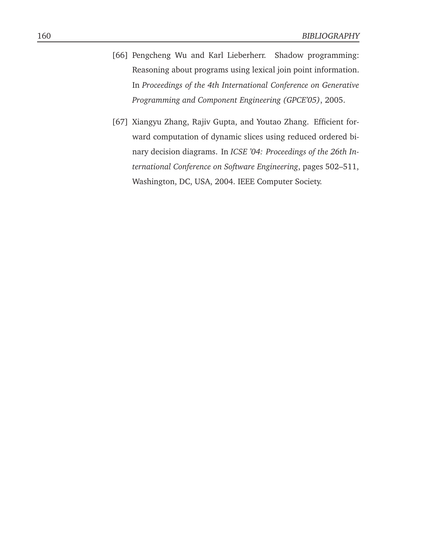- [66] Pengcheng Wu and Karl Lieberherr. Shadow programming: Reasoning about programs using lexical join point information. In *Proceedings of the 4th International Conference on Generative Programming and Component Engineering (GPCE'05)*, 2005.
- [67] Xiangyu Zhang, Rajiv Gupta, and Youtao Zhang. Efficient forward computation of dynamic slices using reduced ordered binary decision diagrams. In *ICSE '04: Proceedings of the 26th International Conference on Software Engineering*, pages 502–511, Washington, DC, USA, 2004. IEEE Computer Society.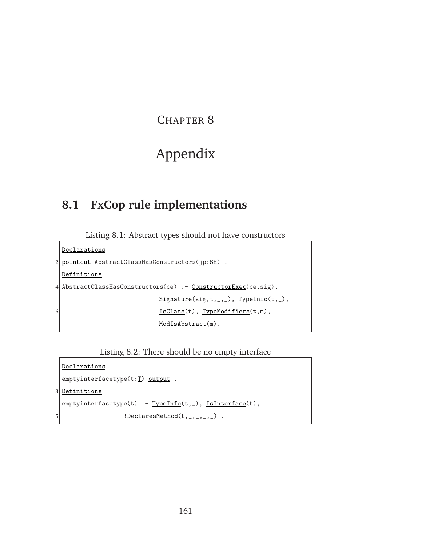## CHAPTER 8

# Appendix

## **8.1 FxCop rule implementations**

Listing 8.1: Abstract types should not have constructors

```
Declarations
2 pointcut AbstractClassHasConstructors(jp:SH).
 Definitions
4 AbstractClassHasConstructors(ce) :- ConstructorExec(ce, sig),
                          Signature(sig,t,_,\_), TypeInfo(t,_,),6 IsClass(t), TypeModifiers(t,m),
                          ModIsAbstract(m).
```
Listing 8.2: There should be no empty interface

```
1 Declarations
     emptyinterfacetype(t:T) output .
3 Definitions
    {\tt empty} \verb"interfacetype(t) :- \underline{Typelnfo}(t, _), \underline{IsInterface}(t),5 \qquad \qquad \qquad \qquad \qquad \qquad \qquad \qquad \qquad \qquad \qquad \qquad \qquad \qquad \qquad \qquad \qquad \qquad \qquad \qquad \qquad \qquad \qquad \qquad \qquad \qquad \qquad \qquad \qquad \qquad \qquad \qquad \qquad \qquad \qquad \qquad \qquad \qquad \qquad \qquad \qquad
```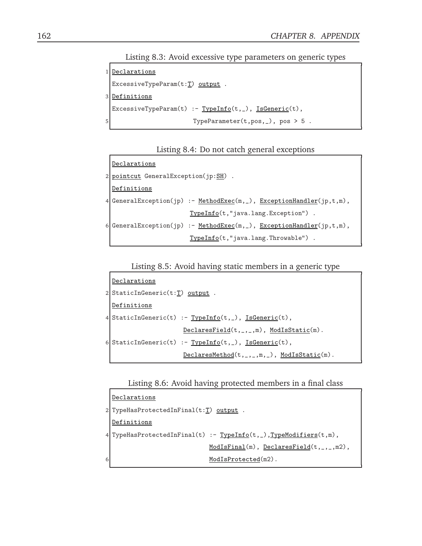Listing 8.3: Avoid excessive type parameters on generic types

```
1 Declarations
 ExcessiveTypeParam(t:T) output .
3 Definitions
 ExcessiveTypeParam(t) :- TypeInfo(t,_), IsGeneric(t),
5 TypeParameter(t,pos, _), pos > 5.
```


```
Declarations
2 pointcut GeneralException(jp:SH).
 Definitions
4 GeneralException(jp) :- MethodExec(m,_), ExceptionHandler(jp,t,m),
                        TypeInfo(t,"java.lang.Exception") .
6 GeneralException(jp) :- <u>MethodExec(m, ...), ExceptionHandler</u>(jp,t,m),
                        TypeInfo(t,"java.lang.Throwable") .
```
Listing 8.5: Avoid having static members in a generic type

```
Declarations
2 StaticInGeneric(t:T) output .
 Definitions
4 StaticInGeneric(t) :- TypeInfo(t,_), IsGeneric(t),
                       DeclaresField(t,_,_,m), ModIsStatic(m).
6 \mid \text{StaticInGeneric}(t) \mid := \text{TypeInfo}(t, \_), IsGeneric(t),
                        DeclaresMethod(t,_,_,m,_), ModIsStatic(m).
```
Listing 8.6: Avoid having protected members in a final class

```
Declarations
2 TypeHasProtectedInFinal(t:T) output.
 Definitions
4 TypeHasProtectedInFinal(t) :- TypeInfo(t,_),TypeModifiers(t,m),
                             ModIsFinal(m), DeclaresField(t,_,_,m2),
                             ModIsProtected(m2).
```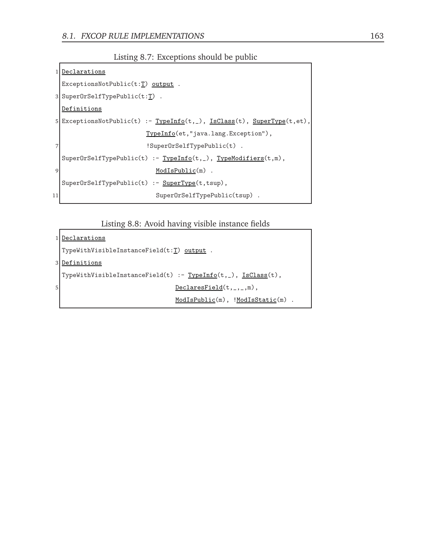Listing 8.7: Exceptions should be public

```
1 Declarations
  ExceptionsNotPublic(t:T) output .
3 SuperOrSelfTypePublic(t:\underline{T}) .
  Definitions
5 \nvert ExceptionsNotPublic(t) :- TypeInfo(t,_), IsClass(t), SuperType(t,et),
                        TypeInfo(et,"java.lang.Exception"),
                        !SuperOrSelfTypePublic(t) .
  SuperOrSelfTypePublic(t) :- TypeInfo(t,_), TypeModifiers(t,m),
9 ModIsPublic(m) .
  SuperOrSelfTypePublic(t) :- SuperType(t,tsup),
11 SuperOrSelfTypePublic(tsup) .
```
Listing 8.8: Avoid having visible instance fields

```
1 Declarations
  TypeWithVisibleInstanceField(t:T) output .
3 Definitions
  \texttt{TypeWithVisualInstanceField(t)} \texttt{ :- } \underline{TypeInfo(t, \_)}, \underline{IsClass(t)},5 DeclaresField(t, _, _,m),
                                   ModIsPublic(m), !ModIsStatic(m).
```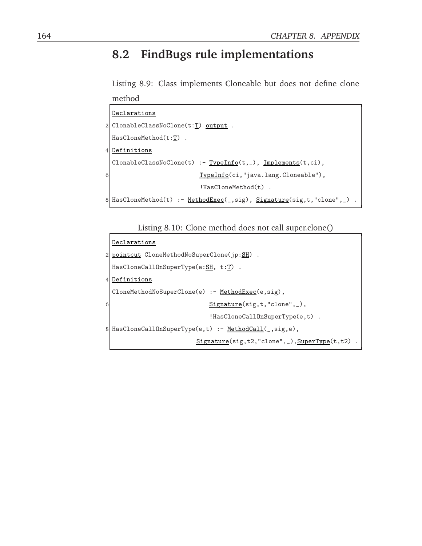# **8.2 FindBugs rule implementations**

Listing 8.9: Class implements Cloneable but does not define clone method

```
Declarations
2 ClonableClassNoClone(t:\underline{T}) output.
 HasCloneMethod(t:T) .
4 Definitions
 \texttt{ClonableClassNoClone}(t) \text{ :- } \underline{TypeInfo}(t,\_), \underline{Implements}(t,\texttt{ci}),6 TypeInfo(ci, "java.lang.Cloneable"),
                              !HasCloneMethod(t) .
8 HasCloneMethod(t) :- MethodExec(_,sig), Signature(sig,t,"clone",_).
```
Listing 8.10: Clone method does not call super.clone()

```
Declarations
2 pointcut CloneMethodNoSuperClone(jp:SH).
 HasCloneCallOnSuperType(e:SH, t:T).
4 Definitions
 CloneMethodNoSuperClone(e) :- MethodExec(e,sig),
6 Signature(sig,t,"clone", _),
                          !HasCloneCallOnSuperType(e,t) .
8 HasCloneCallOnSuperType(e,t) :- MethodCall(_,sig,e),
                       Signature(sig,t2,"clone",_),SuperType(t,t2)
```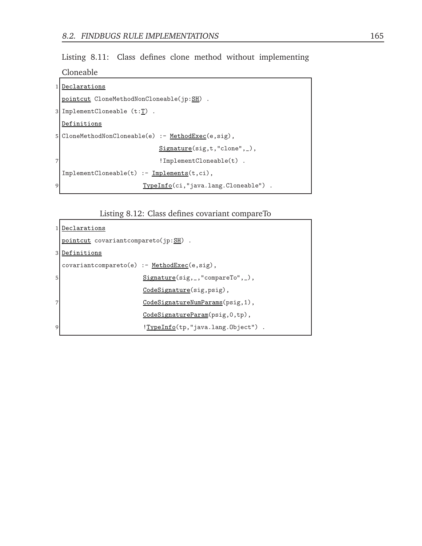Listing 8.11: Class defines clone method without implementing

Cloneable

|   | 1 Declarations                                      |
|---|-----------------------------------------------------|
|   | pointcut CloneMethodNonCloneable(jp:SH) .           |
|   | $3$ ImplementCloneable $(t:\underline{T})$ .        |
|   | Definitions                                         |
|   | 5 CloneMethodNonCloneable(e) :- MethodExec(e, sig), |
|   | $Signature(sig, t, "clone", _),$                    |
|   | $!$ ImplementCloneable $(t)$ .                      |
|   | $ImplementCloneable(t) :- Implements(t, ci),$       |
| 9 | TypeInfo(ci,"java.lang.Cloneable").                 |

Listing 8.12: Class defines covariant compareTo

|   | 1 Declarations                                |
|---|-----------------------------------------------|
|   | pointcut covariantcompareto(jp:SH).           |
|   | 3 Definitions                                 |
|   | $covariant compacto(e) :- MethodExec(e,sig),$ |
| 5 | $Signature(sig,_,\text{''compareTo''},\_),$   |
|   | CodeSignature(sig, psig),                     |
| 7 | CodeSignatureNumParams(psig,1),               |
|   | CodeSignatureParam(psig, 0,tp),               |
| 9 | !TypeInfo(tp,"java.lang.Object").             |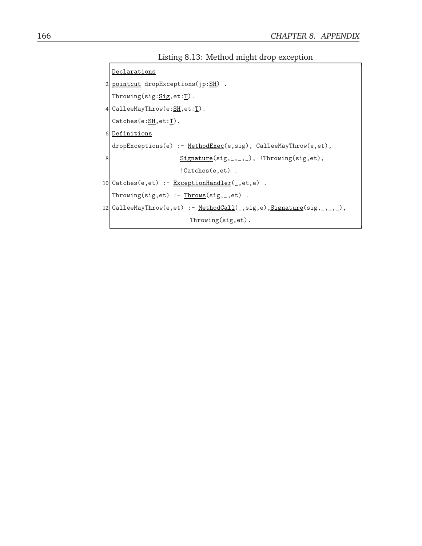Listing 8.13: Method might drop exception

```
Declarations
  2 pointcut dropExceptions(jp:\frac{SH}{ }).
        Throughs: <u>Sig</u>, et: <u>T</u>).
 4 CalleeMayThrow(e:<u>SH</u>, et:<u>T</u>).</u></u>
        Catches(e:\underline{SH},et:T).
 6 Definitions
        dropExceptions(e) :- MethodExec(e,sig), CalleeMayThrow(e,et),
 8 \overline{\text{Signature}(\text{sig},\_,\_,\_)}, \text{!Throughout}(\text{sig},\text{et}),!Catches(e,et) .
10 Catches(e,et) :- ExceptionHandler(_,et,e).
        Through("Through "The image" and "The image" is a function of the image. The image is a function of the image is a function of the image. The image is a function of the image is a function of the image. The image is a function of the image is a function of the image. The image is a function of the image is a function of the image. The image is a function of the image is a function of the image. The image is a function of the image is a function of the image. The image is a function of the image is a function of the image. The image is a function of the image is a function of the image. The image is a function of the image is a function of the image. The image is a function of the image is a function of the image. The image is a function of the image is a function of the image. The image is a function of the image is a function of the image. The image is a function of the image is a function of the image is a function of the image.12 CalleeMayThrow(e,et) :- <u>MethodCall(</u>,sig,e),<u>Signature</u>(sig,..., ),</u>
                                                                              Throwing(sig,et).
```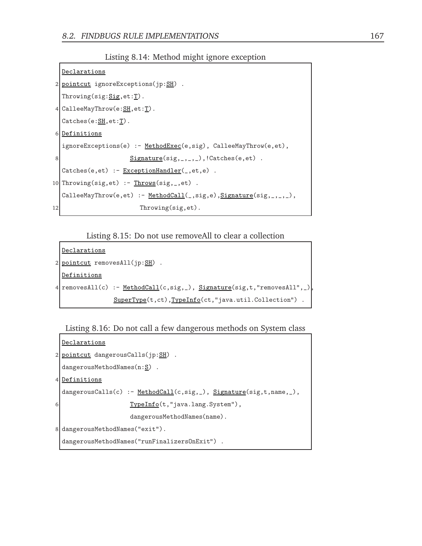Listing 8.14: Method might ignore exception

```
Declarations
 2 pointcut ignoreExceptions(jp:SH).
   Throwing(sig:<u>Sig</u>, et:<u>T</u>).</u></u>
 4 CalleeMayThrow(e:<u>SH</u>, et:<u>T</u>).</u></u>
   Catches(e:\underline{SH},et:\underline{T}).
 6 Definitions
   ignoreExceptions(e) :- MethodExec(e,sig), CalleeMayThrow(e,et),
 8 Signature(sig, _, _, _),!Catches(e,et).
   Catches(e,et) :- ExceptionHandler(_,et,e) .
10 Throwing(sig, et) :- Throws(sig, _, et) .
   CalleeMayThrow(e,et) :- MethodCall(_,sig,e),Signature(sig,_,_,_),
12 Throwing(sig, et).
```
Listing 8.15: Do not use removeAll to clear a collection

```
Declarations
2 pointcut removesAll(jp:SH).
 Definitions
4 | removesAll(c) :- MethodCall(c,sig,_), Signature(sig,t,"removesAll",_)
                SuperType(t,ct),TypeInfo(ct,"java.util.Collection").
```
Listing 8.16: Do not call a few dangerous methods on System class

```
Declarations
2 pointcut dangerousCalls(jp:SH).
 dangerousMethodNames(n: S).
4 Definitions
 dangerousCalls(c) :- MethodCall(c,sig,_), Signature(sig,t,name,_),
6 TypeInfo(t,"java.lang.System"),
                   dangerousMethodNames(name).
8 dangerousMethodNames("exit").
 dangerousMethodNames("runFinalizersOnExit") .
```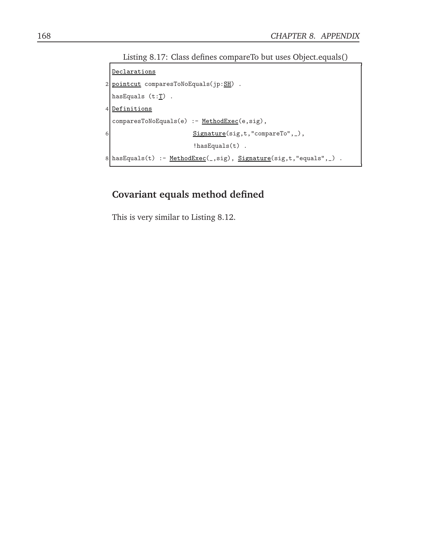Listing 8.17: Class defines compareTo but uses Object.equals()

```
Declarations
2 pointcut comparesToNoEquals(jp:\underline{SH}).
  hasEquals (t:\underline{T}).
4 Definitions
  comparesToNoEquals(e) :- MethodExec(e,sig),
6 Signature(sig,t,"compareTo", _),
                                  !hasEquals(t) .
8 \Big| \texttt{hasEquals(t)} \texttt{ :- } \underline{\texttt{MethodExec}}(\_,\texttt{sig}), \; \underline{\texttt{Signature}}(\texttt{sig}, t, "equals", \_) \enspace .
```
## **Covariant equals method defined**

This is very similar to Listing 8.12.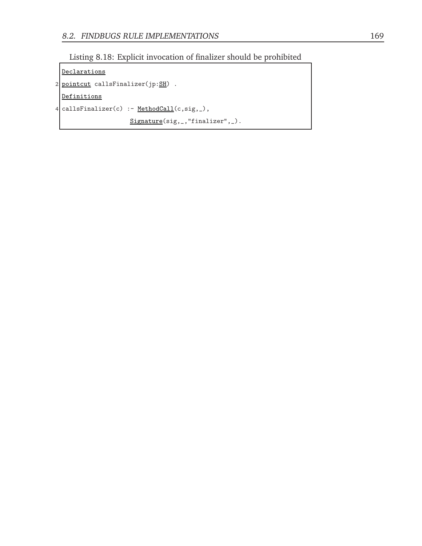

```
Declarations
2 pointcut callsFinalizer(jp:\underline{SH}).
  Definitions
4 callsFinalizer(c) :- <u>MethodCall</u>(c,sig,_),</u>
                       Signature(sig,_,"finalizer",_).
```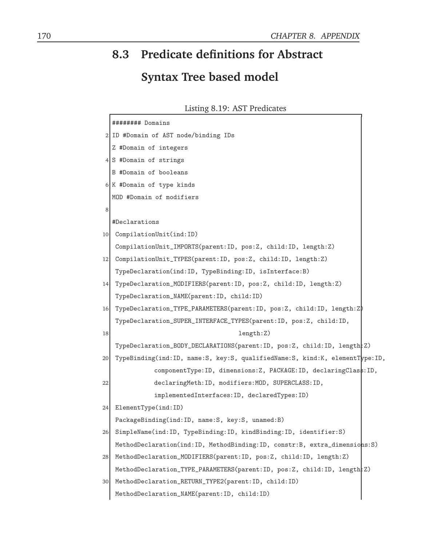## **8.3 Predicate definitions for Abstract Syntax Tree based model**

Listing 8.19: AST Predicates

|      | ######## Domains                                                            |  |
|------|-----------------------------------------------------------------------------|--|
|      | 2 ID #Domain of AST node/binding IDs                                        |  |
|      | Z #Domain of integers                                                       |  |
|      | 4 S #Domain of strings                                                      |  |
|      | B #Domain of booleans                                                       |  |
|      | 6 K #Domain of type kinds                                                   |  |
|      | MOD #Domain of modifiers                                                    |  |
| 8    |                                                                             |  |
|      | #Declarations                                                               |  |
| 10   | CompilationUnit(ind:ID)                                                     |  |
|      | CompilationUnit_IMPORTS(parent: ID, pos: Z, child: ID, length: Z)           |  |
| 12   | CompilationUnit_TYPES(parent:ID, pos:Z, child:ID, length:Z)                 |  |
|      | TypeDeclaration(ind: ID, TypeBinding: ID, isInterface: B)                   |  |
| 14 I | TypeDeclaration_MODIFIERS(parent: ID, pos: Z, child: ID, length: Z)         |  |
|      | TypeDeclaration_NAME(parent: ID, child: ID)                                 |  |
| 16   | TypeDeclaration_TYPE_PARAMETERS(parent: ID, pos: Z, child: ID, length: Z)   |  |
|      | TypeDeclaration_SUPER_INTERFACE_TYPES(parent: ID, pos: Z, child: ID,        |  |
| 18   | length:Z)                                                                   |  |
|      | TypeDeclaration_BODY_DECLARATIONS(parent:ID, pos:Z, child:ID, length:Z)     |  |
| 20   | TypeBinding(ind:ID, name:S, key:S, qualifiedName:S, kind:K, elementType:ID, |  |
|      | componentType: ID, dimensions: Z, PACKAGE: ID, declaringClass: ID,          |  |
| 22   | declaringMeth: ID, modifiers: MOD, SUPERCLASS: ID,                          |  |
|      | implementedInterfaces: ID, declaredTypes: ID)                               |  |
| 24   | ElementType(ind:ID)                                                         |  |
|      | PackageBinding(ind:ID, name:S, key:S, unamed:B)                             |  |
| 26   | SimpleName(ind: ID, TypeBinding: ID, kindBinding: ID, identifier: S)        |  |
|      | MethodDeclaration(ind:ID, MethodBinding:ID, constr:B, extra_dimensions:S)   |  |
| 28   | MethodDeclaration_MODIFIERS(parent: ID, pos: Z, child: ID, length: Z)       |  |
|      | MethodDeclaration_TYPE_PARAMETERS(parent: ID, pos: Z, child: ID, length: Z) |  |
| 30   | MethodDeclaration_RETURN_TYPE2(parent: ID, child: ID)                       |  |
|      | MethodDeclaration_NAME(parent:ID, child:ID)                                 |  |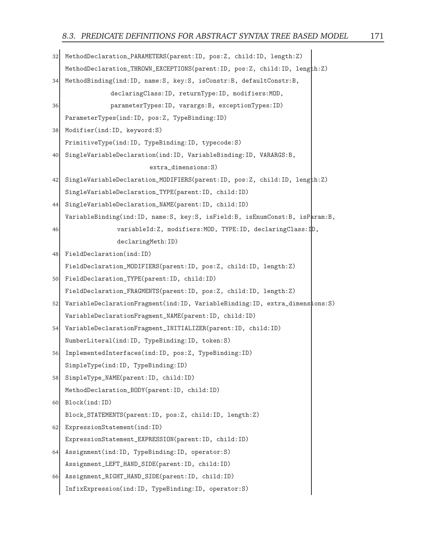```
32 MethodDeclaration_PARAMETERS(parent:ID, pos:Z, child:ID, length:Z)
   MethodDeclaration_THROWN_EXCEPTIONS(parent:ID, pos:Z, child:ID, length:Z)
34 MethodBinding(ind:ID, name:S, key:S, isConstr:B, defaultConstr:B,
                declaringClass:ID, returnType:ID, modifiers:MOD,
36 parameterTypes:ID, varargs:B, exceptionTypes:ID)
   ParameterTypes(ind:ID, pos:Z, TypeBinding:ID)
38 Modifier(ind:ID, keyword:S)
   PrimitiveType(ind:ID, TypeBinding:ID, typecode:S)
40 SingleVariableDeclaration(ind:ID, VariableBinding:ID, VARARGS:B,
                          extra_dimensions:S)
42 SingleVariableDeclaration_MODIFIERS(parent:ID, pos:Z, child:ID, length:Z)
   SingleVariableDeclaration_TYPE(parent:ID, child:ID)
44 SingleVariableDeclaration_NAME(parent:ID, child:ID)
   VariableBinding(ind:ID, name:S, key:S, isField:B, isEnumConst:B, isParam:B,
46 variableId:Z, modifiers:MOD, TYPE:ID, declaringClass:ID,
                 declaringMeth:ID)
48 FieldDeclaration(ind:ID)
   FieldDeclaration_MODIFIERS(parent:ID, pos:Z, child:ID, length:Z)
50 FieldDeclaration_TYPE(parent:ID, child:ID)
   FieldDeclaration_FRAGMENTS(parent:ID, pos:Z, child:ID, length:Z)
52 VariableDeclarationFragment(ind:ID, VariableBinding:ID, extra_dimensions:S)
   VariableDeclarationFragment_NAME(parent:ID, child:ID)
54 VariableDeclarationFragment_INITIALIZER(parent:ID, child:ID)
   NumberLiteral(ind:ID, TypeBinding:ID, token:S)
56 ImplementedInterfaces(ind:ID, pos:Z, TypeBinding:ID)
   SimpleType(ind:ID, TypeBinding:ID)
58 SimpleType_NAME(parent:ID, child:ID)
   MethodDeclaration_BODY(parent:ID, child:ID)
60 Block(ind:ID)
   Block_STATEMENTS(parent:ID, pos:Z, child:ID, length:Z)
62 ExpressionStatement(ind:ID)
   ExpressionStatement_EXPRESSION(parent:ID, child:ID)
64 Assignment(ind:ID, TypeBinding:ID, operator:S)
   Assignment_LEFT_HAND_SIDE(parent:ID, child:ID)
66 Assignment_RIGHT_HAND_SIDE(parent:ID, child:ID)
   InfixExpression(ind:ID, TypeBinding:ID, operator:S)
```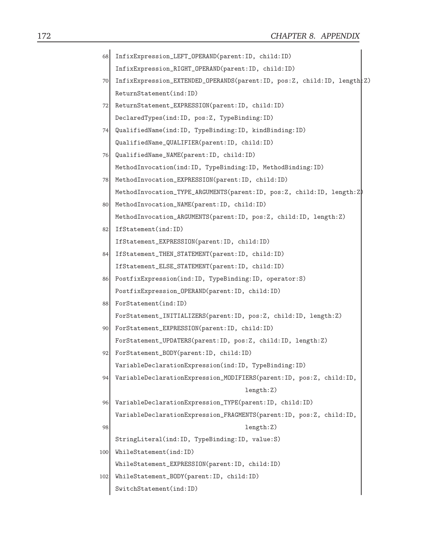| 68  | InfixExpression_LEFT_OPERAND(parent:ID, child:ID)                         |
|-----|---------------------------------------------------------------------------|
|     | InfixExpression_RIGHT_OPERAND(parent:ID, child:ID)                        |
| 70  | InfixExpression_EXTENDED_OPERANDS(parent:ID, pos:Z, child:ID, length:Z)   |
|     | ReturnStatement(ind:ID)                                                   |
| 72  | ReturnStatement_EXPRESSION(parent:ID, child:ID)                           |
|     | DeclaredTypes(ind:ID, pos:Z, TypeBinding:ID)                              |
| 74  | QualifiedName(ind:ID, TypeBinding:ID, kindBinding:ID)                     |
|     | QualifiedName_QUALIFIER(parent: ID, child: ID)                            |
| 76  | QualifiedName_NAME(parent: ID, child: ID)                                 |
|     | MethodInvocation(ind:ID, TypeBinding:ID, MethodBinding:ID)                |
| 78  | MethodInvocation_EXPRESSION(parent: ID, child: ID)                        |
|     | MethodInvocation_TYPE_ARGUMENTS(parent: ID, pos: Z, child: ID, length: Z) |
| 80  | MethodInvocation_NAME(parent: ID, child: ID)                              |
|     | MethodInvocation_ARGUMENTS(parent:ID, pos:Z, child:ID, length:Z)          |
| 82  | IfStatement(ind:ID)                                                       |
|     | IfStatement_EXPRESSION(parent:ID, child:ID)                               |
| 84  | IfStatement_THEN_STATEMENT(parent:ID, child:ID)                           |
|     | IfStatement_ELSE_STATEMENT(parent:ID, child:ID)                           |
| 86  | PostfixExpression(ind: ID, TypeBinding: ID, operator: S)                  |
|     | PostfixExpression_OPERAND(parent: ID, child: ID)                          |
| 88  | ForStatement(ind:ID)                                                      |
|     | ForStatement_INITIALIZERS(parent: ID, pos: Z, child: ID, length: Z)       |
| 90  | ForStatement_EXPRESSION(parent: ID, child: ID)                            |
|     | ForStatement_UPDATERS(parent: ID, pos: Z, child: ID, length: Z)           |
| 921 | ForStatement_BODY(parent: ID, child: ID)                                  |
|     | VariableDeclarationExpression(ind:ID, TypeBinding:ID)                     |
| 94  | VariableDeclarationExpression_MODIFIERS(parent: ID, pos: Z, child: ID,    |
|     | length:Z)                                                                 |
| 96  | VariableDeclarationExpression_TYPE(parent:ID, child:ID)                   |
|     | VariableDeclarationExpression_FRAGMENTS(parent:ID, pos:Z, child:ID,       |
| 98  | length:Z)                                                                 |
|     | StringLiteral(ind:ID, TypeBinding:ID, value:S)                            |
| 100 | WhileStatement(ind:ID)                                                    |
|     | WhileStatement_EXPRESSION(parent: ID, child: ID)                          |
| 102 | WhileStatement_BODY(parent: ID, child: ID)                                |
|     | SwitchStatement(ind:ID)                                                   |
|     |                                                                           |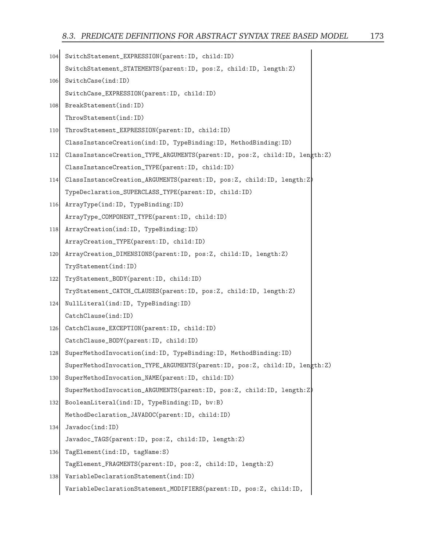| 104 | SwitchStatement_EXPRESSION(parent: ID, child: ID)                          |
|-----|----------------------------------------------------------------------------|
|     | SwitchStatement_STATEMENTS(parent: ID, pos: Z, child: ID, length: Z)       |
| 106 | SwitchCase(ind:ID)                                                         |
|     | SwitchCase_EXPRESSION(parent:ID, child:ID)                                 |
| 108 | BreakStatement(ind:ID)                                                     |
|     | ThrowStatement(ind:ID)                                                     |
| 110 | ThrowStatement_EXPRESSION(parent:ID, child:ID)                             |
|     | ClassInstanceCreation(ind:ID, TypeBinding:ID, MethodBinding:ID)            |
| 112 | ClassInstanceCreation_TYPE_ARGUMENTS(parent:ID, pos:Z, child:ID, length:Z) |
|     | ClassInstanceCreation_TYPE(parent: ID, child: ID)                          |
| 114 | ClassInstanceCreation_ARGUMENTS(parent: ID, pos: Z, child: ID, length: Z)  |
|     | TypeDeclaration_SUPERCLASS_TYPE(parent: ID, child: ID)                     |
| 116 | ArrayType(ind: ID, TypeBinding: ID)                                        |
|     | ArrayType_COMPONENT_TYPE(parent:ID, child:ID)                              |
| 118 | ArrayCreation(ind: ID, TypeBinding: ID)                                    |
|     | ArrayCreation_TYPE(parent: ID, child: ID)                                  |
| 120 | ArrayCreation_DIMENSIONS(parent:ID, pos:Z, child:ID, length:Z)             |
|     | TryStatement(ind:ID)                                                       |
| 122 | TryStatement_BODY(parent:ID, child:ID)                                     |
|     | TryStatement_CATCH_CLAUSES(parent: ID, pos: Z, child: ID, length: Z)       |
| 124 | NullLiteral(ind: ID, TypeBinding: ID)                                      |
|     | CatchClause(ind:ID)                                                        |
| 126 | CatchClause_EXCEPTION(parent: ID, child: ID)                               |
|     | CatchClause_BODY(parent: ID, child: ID)                                    |
| 128 | SuperMethodInvocation(ind:ID, TypeBinding:ID, MethodBinding:ID)            |
|     | SuperMethodInvocation_TYPE_ARGUMENTS(parent:ID, pos:Z, child:ID, length:Z) |
| 130 | SuperMethodInvocation_NAME(parent: ID, child: ID)                          |
|     | SuperMethodInvocation_ARGUMENTS(parent: ID, pos: Z, child: ID, length: Z)  |
| 132 | BooleanLiteral(ind:ID, TypeBinding:ID, bv:B)                               |
|     | MethodDeclaration_JAVADOC(parent:ID, child:ID)                             |
| 134 | Javadoc(ind:ID)                                                            |
|     | Javadoc_TAGS(parent: ID, pos: Z, child: ID, length: Z)                     |
| 136 | TagElement(ind:ID, tagName:S)                                              |
|     | TagElement_FRAGMENTS(parent:ID, pos:Z, child:ID, length:Z)                 |
| 138 | VariableDeclarationStatement(ind:ID)                                       |
|     | VariableDeclarationStatement_MODIFIERS(parent:ID, pos:Z, child:ID,         |